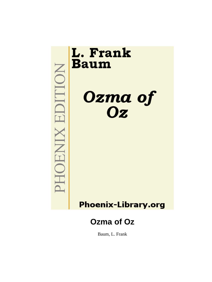

Baum, L. Frank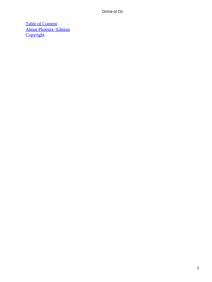[Table of Content](#page-111-0) [About Phoenix−Edition](#page-113-0) **[Copyright](#page-114-0)**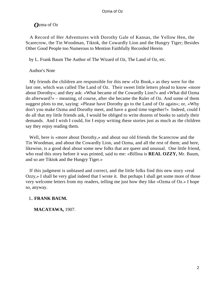A Record of Her Adventures with Dorothy Gale of Kansas, the Yellow Hen, the Scarecrow, the Tin Woodman, Tiktok, the Cowardly Lion and the Hungry Tiger; Besides Other Good People too Numerous to Mention Faithfully Recorded Herein

by L. Frank Baum The Author of The Wizard of Oz, The Land of Oz, etc.

### Author's Note

 My friends the children are responsible for this new «Oz Book,» as they were for the last one, which was called The Land of Oz. Their sweet little letters plead to know «more about Dorothy»; and they ask: «What became of the Cowardly Lion?» and «What did Ozma do afterward?» – meaning, of course, after she became the Ruler of Oz. And some of them suggest plots to me, saying: «Please have Dorothy go to the Land of Oz again»; or, «Why don't you make Ozma and Dorothy meet, and have a good time together?» Indeed, could I do all that my little friends ask, I would be obliged to write dozens of books to satisfy their demands. And I wish I could, for I enjoy writing these stories just as much as the children say they enjoy reading them.

 Well, here is «more about Dorothy,» and about our old friends the Scarecrow and the Tin Woodman, and about the Cowardly Lion, and Ozma, and all the rest of them; and here, likewise, is a good deal about some new folks that are queer and unusual. One little friend, who read this story before it was printed, said to me: «Billina is **REAL OZZY,** Mr. Baum, and so are Tiktok and the Hungry Tiger.»

 If this judgment is unbiased and correct, and the little folks find this new story «real Ozzy,» I shall be very glad indeed that I wrote it. But perhaps I shall get some more of those very welcome letters from my readers, telling me just how they like «Ozma of Oz.» I hope so, anyway.

### L. **FRANK BAUM.**

**MACATAWA,** 1907.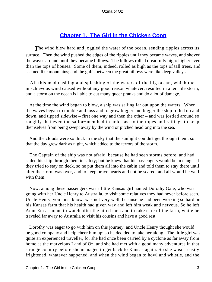## **[Chapter 1. The Girl in the Chicken Coop](#page-111-0)**

**The wind blew hard and joggled the water of the ocean, sending ripples across its** surface. Then the wind pushed the edges of the ripples until they became waves, and shoved the waves around until they became billows. The billows rolled dreadfully high: higher even than the tops of houses. Some of them, indeed, rolled as high as the tops of tall trees, and seemed like mountains; and the gulfs between the great billows were like deep valleys.

 All this mad dashing and splashing of the waters of the big ocean, which the mischievous wind caused without any good reason whatever, resulted in a terrible storm, and a storm on the ocean is liable to cut many queer pranks and do a lot of damage.

 At the time the wind began to blow, a ship was sailing far out upon the waters. When the waves began to tumble and toss and to grow bigger and bigger the ship rolled up and down, and tipped sidewise – first one way and then the other – and was jostled around so roughly that even the sailor−men had to hold fast to the ropes and railings to keep themselves from being swept away by the wind or pitched headlong into the sea.

 And the clouds were so thick in the sky that the sunlight couldn't get through them; so that the day grew dark as night, which added to the terrors of the storm.

 The Captain of the ship was not afraid, because he had seen storms before, and had sailed his ship through them in safety; but he knew that his passengers would be in danger if they tried to stay on deck, so he put them all into the cabin and told them to stay there until after the storm was over, and to keep brave hearts and not be scared, and all would be well with them.

 Now, among these passengers was a little Kansas girl named Dorothy Gale, who was going with her Uncle Henry to Australia, to visit some relatives they had never before seen. Uncle Henry, you must know, was not very well, because he had been working so hard on his Kansas farm that his health had given way and left him weak and nervous. So he left Aunt Em at home to watch after the hired men and to take care of the farm, while he traveled far away to Australia to visit his cousins and have a good rest.

 Dorothy was eager to go with him on this journey, and Uncle Henry thought she would be good company and help cheer him up; so he decided to take her along. The little girl was quite an experienced traveller, for she had once been carried by a cyclone as far away from home as the marvelous Land of Oz, and she had met with a good many adventures in that strange country before she managed to get back to Kansas again. So she wasn't easily frightened, whatever happened, and when the wind began to howl and whistle, and the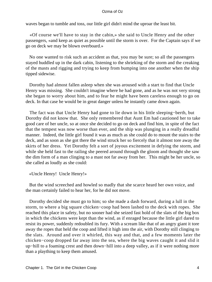waves began to tumble and toss, our little girl didn't mind the uproar the least bit.

 «Of course we'll have to stay in the cabin,» she said to Uncle Henry and the other passengers, «and keep as quiet as possible until the storm is over. For the Captain says if we go on deck we may be blown overboard.»

 No one wanted to risk such an accident as that, you may be sure; so all the passengers stayed huddled up in the dark cabin, listening to the shrieking of the storm and the creaking of the masts and rigging and trying to keep from bumping into one another when the ship tipped sidewise.

 Dorothy had almost fallen asleep when she was aroused with a start to find that Uncle Henry was missing. She couldn't imagine where he had gone, and as he was not very strong she began to worry about him, and to fear he might have been careless enough to go on deck. In that case he would be in great danger unless he instantly came down again.

 The fact was that Uncle Henry had gone to lie down in his little sleeping−berth, but Dorothy did not know that. She only remembered that Aunt Em had cautioned her to take good care of her uncle, so at once she decided to go on deck and find him, in spite of the fact that the tempest was now worse than ever, and the ship was plunging in a really dreadful manner. Indeed, the little girl found it was as much as she could do to mount the stairs to the deck, and as soon as she got there the wind struck her so fiercely that it almost tore away the skirts of her dress. Yet Dorothy felt a sort of joyous excitement in defying the storm, and while she held fast to the railing she peered around through the gloom and thought she saw the dim form of a man clinging to a mast not far away from her. This might be her uncle, so she called as loudly as she could:

«Uncle Henry! Uncle Henry!»

 But the wind screeched and howled so madly that she scarce heard her own voice, and the man certainly failed to hear her, for he did not move.

 Dorothy decided she must go to him; so she made a dash forward, during a lull in the storm, to where a big square chicken−coop had been lashed to the deck with ropes. She reached this place in safety, but no sooner had she seized fast hold of the slats of the big box in which the chickens were kept than the wind, as if enraged because the little girl dared to resist its power, suddenly redoubled its fury. With a scream like that of an angry giant it tore away the ropes that held the coop and lifted it high into the air, with Dorothy still clinging to the slats. Around and over it whirled, this way and that, and a few moments later the chicken−coop dropped far away into the sea, where the big waves caught it and slid it up−hill to a foaming crest and then down−hill into a deep valley, as if it were nothing more than a plaything to keep them amused.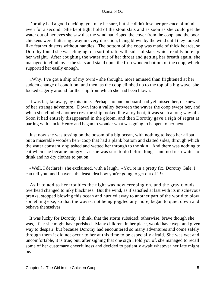Dorothy had a good ducking, you may be sure, but she didn't lose her presence of mind even for a second. She kept tight hold of the stout slats and as soon as she could get the water out of her eyes she saw that the wind had ripped the cover from the coop, and the poor chickens were fluttering away in every direction, being blown by the wind until they looked like feather dusters without handles. The bottom of the coop was made of thick boards, so Dorothy found she was clinging to a sort of raft, with sides of slats, which readily bore up her weight. After coughing the water out of her throat and getting her breath again, she managed to climb over the slats and stand upon the firm wooden bottom of the coop, which supported her easily enough.

 «Why, I've got a ship of my own!» she thought, more amused than frightened at her sudden change of condition; and then, as the coop climbed up to the top of a big wave, she looked eagerly around for the ship from which she had been blown.

 It was far, far away, by this time. Perhaps no one on board had yet missed her, or knew of her strange adventure. Down into a valley between the waves the coop swept her, and when she climbed another crest the ship looked like a toy boat, it was such a long way off. Soon it had entirely disappeared in the gloom, and then Dorothy gave a sigh of regret at parting with Uncle Henry and began to wonder what was going to happen to her next.

 Just now she was tossing on the bosom of a big ocean, with nothing to keep her afloat but a miserable wooden hen−coop that had a plank bottom and slatted sides, through which the water constantly splashed and wetted her through to the skin! And there was nothing to eat when she became hungry – as she was sure to do before long – and no fresh water to drink and no dry clothes to put on.

 «Well, I declare!» she exclaimed, with a laugh. «You're in a pretty fix, Dorothy Gale, I can tell you! and I haven't the least idea how you're going to get out of it!»

 As if to add to her troubles the night was now creeping on, and the gray clouds overhead changed to inky blackness. But the wind, as if satisfied at last with its mischievous pranks, stopped blowing this ocean and hurried away to another part of the world to blow something else; so that the waves, not being joggled any more, began to quiet down and behave themselves.

 It was lucky for Dorothy, I think, that the storm subsided; otherwise, brave though she was, I fear she might have perished. Many children, in her place, would have wept and given way to despair; but because Dorothy had encountered so many adventures and come safely through them it did not occur to her at this time to be especially afraid. She was wet and uncomfortable, it is true; but, after sighing that one sigh I told you of, she managed to recall some of her customary cheerfulness and decided to patiently await whatever her fate might be.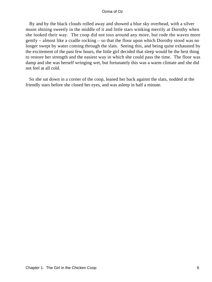By and by the black clouds rolled away and showed a blue sky overhead, with a silver moon shining sweetly in the middle of it and little stars winking merrily at Dorothy when she looked their way. The coop did not toss around any more, but rode the waves more gently – almost like a cradle rocking – so that the floor upon which Dorothy stood was no longer swept by water coming through the slats. Seeing this, and being quite exhausted by the excitement of the past few hours, the little girl decided that sleep would be the best thing to restore her strength and the easiest way in which she could pass the time. The floor was damp and she was herself wringing wet, but fortunately this was a warm climate and she did not feel at all cold.

 So she sat down in a corner of the coop, leaned her back against the slats, nodded at the friendly stars before she closed her eyes, and was asleep in half a minute.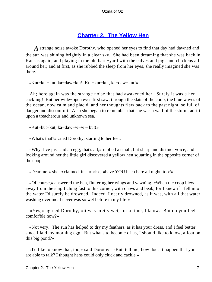### **[Chapter 2. The Yellow Hen](#page-111-0)**

*A* strange noise awoke Dorothy, who opened her eyes to find that day had dawned and the sun was shining brightly in a clear sky. She had been dreaming that she was back in Kansas again, and playing in the old barn−yard with the calves and pigs and chickens all around her; and at first, as she rubbed the sleep from her eyes, she really imagined she was there.

«Kut−kut−kut, ka−daw−kut! Kut−kut−kut, ka−daw−kut!»

 Ah; here again was the strange noise that had awakened her. Surely it was a hen cackling! But her wide−open eyes first saw, through the slats of the coop, the blue waves of the ocean, now calm and placid, and her thoughts flew back to the past night, so full of danger and discomfort. Also she began to remember that she was a waif of the storm, adrift upon a treacherous and unknown sea.

«Kut−kut−kut, ka−daw−w−w – kut!»

«What's that?» cried Dorothy, starting to her feet.

 «Why, I've just laid an egg, that's all,» replied a small, but sharp and distinct voice, and looking around her the little girl discovered a yellow hen squatting in the opposite corner of the coop.

«Dear me!» she exclaimed, in surprise; «have YOU been here all night, too?»

 «Of course,» answered the hen, fluttering her wings and yawning. «When the coop blew away from the ship I clung fast to this corner, with claws and beak, for I knew if I fell into the water I'd surely be drowned. Indeed, I nearly drowned, as it was, with all that water washing over me. I never was so wet before in my life!»

 «Yes,» agreed Dorothy, «it was pretty wet, for a time, I know. But do you feel comfor'ble now?»

 «Not very. The sun has helped to dry my feathers, as it has your dress, and I feel better since I laid my morning egg. But what's to become of us, I should like to know, afloat on this big pond?»

 «I'd like to know that, too,» said Dorothy. «But, tell me; how does it happen that you are able to talk? I thought hens could only cluck and cackle.»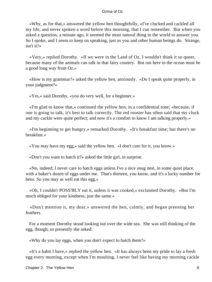«Why, as for that,» answered the yellow hen thoughtfully, «I've clucked and cackled all my life, and never spoken a word before this morning, that I can remember. But when you asked a question, a minute ago, it seemed the most natural thing in the world to answer you. So I spoke, and I seem to keep on speaking, just as you and other human beings do. Strange, isn't it?»

 «Very,» replied Dorothy. «If we were in the Land of Oz, I wouldn't think it so queer, because many of the animals can talk in that fairy country. But out here in the ocean must be a good long way from Oz.»

 «How is my grammar?» asked the yellow hen, anxiously. «Do I speak quite properly, in your judgment?»

«Yes,» said Dorothy, «you do very well, for a beginner.»

 «I'm glad to know that,» continued the yellow hen, in a confidential tone; «because, if one is going to talk, it's best to talk correctly. The red rooster has often said that my cluck and my cackle were quite perfect; and now it's a comfort to know I am talking properly.»

 «I'm beginning to get hungry,» remarked Dorothy. «It's breakfast time; but there's no breakfast.»

«You may have my egg,» said the yellow hen. «I don't care for it, you know.»

«Don't you want to hatch it?» asked the little girl, in surprise.

 «No, indeed; I never care to hatch eggs unless I've a nice snug nest, in some quiet place, with a baker's dozen of eggs under me. That's thirteen, you know, and it's a lucky number for hens. So you may as well eat this egg.»

 «Oh, I couldn't POSS'BLY eat it, unless it was cooked,» exclaimed Dorothy. «But I'm much obliged for your kindness, just the same.»

 «Don't mention it, my dear,» answered the hen, calmly, and began preening her feathers.

 For a moment Dorothy stood looking out over the wide sea. She was still thinking of the egg, though; so presently she asked:

«Why do you lay eggs, when you don't expect to hatch them?»

 «It's a habit I have,» replied the yellow hen. «It has always been my pride to lay a fresh egg every morning, except when I'm moulting. I never feel like having my morning cackle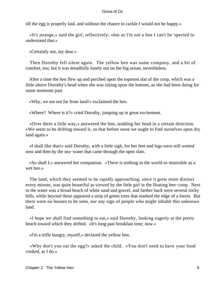till the egg is properly laid, and without the chance to cackle I would not be happy.»

 «It's strange,» said the girl, reflectively; «but as I'm not a hen I can't be 'spected to understand that.»

«Certainly not, my dear.»

 Then Dorothy fell silent again. The yellow hen was some company, and a bit of comfort, too; but it was dreadfully lonely out on the big ocean, nevertheless.

 After a time the hen flew up and perched upon the topmost slat of the coop, which was a little above Dorothy's head when she was sitting upon the bottom, as she had been doing for some moments past.

«Why, we are not far from land!» exclaimed the hen.

«Where? Where is it?» cried Dorothy, jumping up in great excitement.

 «Over there a little way,» answered the hen, nodding her head in a certain direction. «We seem to be drifting toward it, so that before noon we ought to find ourselves upon dry land again.»

 «I shall like that!» said Dorothy, with a little sigh, for her feet and legs were still wetted now and then by the sea−water that came through the open slats.

 «So shall I,» answered her companion. «There is nothing in the world so miserable as a wet hen.»

 The land, which they seemed to be rapidly approaching, since it grew more distinct every minute, was quite beautiful as viewed by the little girl in the floating hen−coop. Next to the water was a broad beach of white sand and gravel, and farther back were several rocky hills, while beyond these appeared a strip of green trees that marked the edge of a forest. But there were no houses to be seen, nor any sign of people who might inhabit this unknown land.

 «I hope we shall find something to eat,» said Dorothy, looking eagerly at the pretty beach toward which they drifted. «It's long past breakfast time, now.»

«I'm a trifle hungry, myself,» declared the yellow hen.

 «Why don't you eat the egg?» asked the child. «You don't need to have your food cooked, as I do.»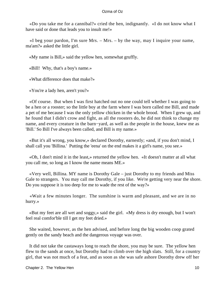«Do you take me for a cannibal?» cried the hen, indignantly. «I do not know what I have said or done that leads you to insult me!»

 «I beg your pardon, I'm sure Mrs. – Mrs. – by the way, may I inquire your name, ma'am?» asked the little girl.

«My name is Bill,» said the yellow hen, somewhat gruffly.

«Bill! Why, that's a boy's name.»

«What difference does that make?»

«You're a lady hen, aren't you?»

 «Of course. But when I was first hatched out no one could tell whether I was going to be a hen or a rooster; so the little boy at the farm where I was born called me Bill, and made a pet of me because I was the only yellow chicken in the whole brood. When I grew up, and he found that I didn't crow and fight, as all the roosters do, he did not think to change my name, and every creature in the barn−yard, as well as the people in the house, knew me as 'Bill.' So Bill I've always been called, and Bill is my name.»

 «But it's all wrong, you know,» declared Dorothy, earnestly; «and, if you don't mind, I shall call you 'Billina.' Putting the 'eena' on the end makes it a girl's name, you see.»

 «Oh, I don't mind it in the least,» returned the yellow hen. «It doesn't matter at all what you call me, so long as I know the name means ME.»

 «Very well, Billina. MY name is Dorothy Gale – just Dorothy to my friends and Miss Gale to strangers. You may call me Dorothy, if you like. We're getting very near the shore. Do you suppose it is too deep for me to wade the rest of the way?»

 «Wait a few minutes longer. The sunshine is warm and pleasant, and we are in no hurry.»

 «But my feet are all wet and soggy,» said the girl. «My dress is dry enough, but I won't feel real comfor'ble till I get my feet dried.»

 She waited, however, as the hen advised, and before long the big wooden coop grated gently on the sandy beach and the dangerous voyage was over.

 It did not take the castaways long to reach the shore, you may be sure. The yellow hen flew to the sands at once, but Dorothy had to climb over the high slats. Still, for a country girl, that was not much of a feat, and as soon as she was safe ashore Dorothy drew off her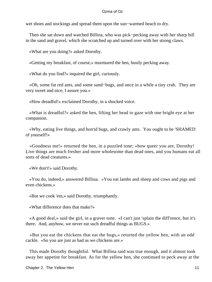wet shoes and stockings and spread them upon the sun−warmed beach to dry.

 Then she sat down and watched Billina, who was pick−pecking away with her sharp bill in the sand and gravel, which she scratched up and turned over with her strong claws.

«What are you doing?» asked Dorothy.

«Getting my breakfast, of course,» murmured the hen, busily pecking away.

«What do you find?» inquired the girl, curiously.

 «Oh, some fat red ants, and some sand−bugs, and once in a while a tiny crab. They are very sweet and nice, I assure you.»

«How dreadful!» exclaimed Dorothy, in a shocked voice.

 «What is dreadful?» asked the hen, lifting her head to gaze with one bright eye at her companion.

 «Why, eating live things, and horrid bugs, and crawly ants. You ought to be 'SHAMED of yourself!»

 «Goodness me!» returned the hen, in a puzzled tone; «how queer you are, Dorothy! Live things are much fresher and more wholesome than dead ones, and you humans eat all sorts of dead creatures.»

«We don't!» said Dorothy.

 «You do, indeed,» answered Billina. «You eat lambs and sheep and cows and pigs and even chickens.»

«But we cook 'em,» said Dorothy, triumphantly.

«What difference does that make?»

 «A good deal,» said the girl, in a graver tone. «I can't just 'splain the diff'rence, but it's there. And, anyhow, we never eat such dreadful things as BUGS.»

 «But you eat the chickens that eat the bugs,» retorted the yellow hen, with an odd cackle. «So you are just as bad as we chickens are.»

 This made Dorothy thoughtful. What Billina said was true enough, and it almost took away her appetite for breakfast. As for the yellow hen, she continued to peck away at the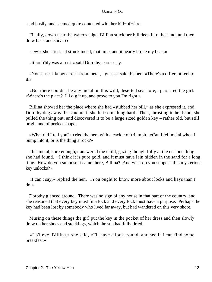sand busily, and seemed quite contented with her bill−of−fare.

 Finally, down near the water's edge, Billina stuck her bill deep into the sand, and then drew back and shivered.

«Ow!» she cried. «I struck metal, that time, and it nearly broke my beak.»

«It prob'bly was a rock,» said Dorothy, carelessly.

 «Nonsense. I know a rock from metal, I guess,» said the hen. «There's a different feel to it.»

 «But there couldn't be any metal on this wild, deserted seashore,» persisted the girl. «Where's the place? I'll dig it up, and prove to you I'm right,»

 Billina showed her the place where she had «stubbed her bill,» as she expressed it, and Dorothy dug away the sand until she felt something hard. Then, thrusting in her hand, she pulled the thing out, and discovered it to be a large sized golden key – rather old, but still bright and of perfect shape.

 «What did I tell you?» cried the hen, with a cackle of triumph. «Can I tell metal when I bump into it, or is the thing a rock?»

 «It's metal, sure enough,» answered the child, gazing thoughtfully at the curious thing she had found. «I think it is pure gold, and it must have lain hidden in the sand for a long time. How do you suppose it came there, Billina? And what do you suppose this mysterious key unlocks?»

 «I can't say,» replied the hen. «You ought to know more about locks and keys than I do.»

 Dorothy glanced around. There was no sign of any house in that part of the country, and she reasoned that every key must fit a lock and every lock must have a purpose. Perhaps the key had been lost by somebody who lived far away, but had wandered on this very shore.

 Musing on these things the girl put the key in the pocket of her dress and then slowly drew on her shoes and stockings, which the sun had fully dried.

 «I b'lieve, Billina,» she said, «I'll have a look 'round, and see if I can find some breakfast.»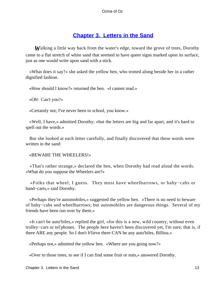### **[Chapter 3. Letters in the Sand](#page-111-0)**

*W*alking a little way back from the water's edge, toward the grove of trees, Dorothy came to a flat stretch of white sand that seemed to have queer signs marked upon its surface, just as one would write upon sand with a stick.

 «What does it say?» she asked the yellow hen, who trotted along beside her in a rather dignified fashion.

«How should I know?» returned the hen. «I cannot read.»

«Oh! Can't you?»

«Certainly not; I've never been to school, you know.»

 «Well, I have,» admitted Dorothy; «but the letters are big and far apart, and it's hard to spell out the words.»

 But she looked at each letter carefully, and finally discovered that these words were written in the sand:

#### «BEWARE THE WHEELERS!»

 «That's rather strange,» declared the hen, when Dorothy had read aloud the words. «What do you suppose the Wheelers are?»

 «Folks that wheel, I guess. They must have wheelbarrows, or baby−cabs or hand−carts,» said Dorothy.

 «Perhaps they're automobiles,» suggested the yellow hen. «There is no need to beware of baby−cabs and wheelbarrows; but automobiles are dangerous things. Several of my friends have been run over by them.»

 «It can't be auto'biles,» replied the girl, «for this is a new, wild country, without even trolley−cars or tel'phones. The people here haven't been discovered yet, I'm sure; that is, if there ARE any people. So I don't b'lieve there CAN be any auto'biles, Billina.»

«Perhaps not,» admitted the yellow hen. «Where are you going now?»

«Over to those trees, to see if I can find some fruit or nuts,» answered Dorothy.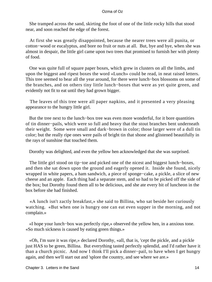She tramped across the sand, skirting the foot of one of the little rocky hills that stood near, and soon reached the edge of the forest.

 At first she was greatly disappointed, because the nearer trees were all punita, or cotton−wood or eucalyptus, and bore no fruit or nuts at all. But, bye and bye, when she was almost in despair, the little girl came upon two trees that promised to furnish her with plenty of food.

 One was quite full of square paper boxes, which grew in clusters on all the limbs, and upon the biggest and ripest boxes the word «Lunch» could be read, in neat raised letters. This tree seemed to bear all the year around, for there were lunch−box blossoms on some of the branches, and on others tiny little lunch−boxes that were as yet quite green, and evidently not fit to eat until they had grown bigger.

 The leaves of this tree were all paper napkins, and it presented a very pleasing appearance to the hungry little girl.

 But the tree next to the lunch−box tree was even more wonderful, for it bore quantities of tin dinner−pails, which were so full and heavy that the stout branches bent underneath their weight. Some were small and dark−brown in color; those larger were of a dull tin color; but the really ripe ones were pails of bright tin that shone and glistened beautifully in the rays of sunshine that touched them.

Dorothy was delighted, and even the yellow hen acknowledged that she was surprised.

 The little girl stood on tip−toe and picked one of the nicest and biggest lunch−boxes, and then she sat down upon the ground and eagerly opened it. Inside she found, nicely wrapped in white papers, a ham sandwich, a piece of sponge−cake, a pickle, a slice of new cheese and an apple. Each thing had a separate stem, and so had to be picked off the side of the box; but Dorothy found them all to be delicious, and she ate every bit of luncheon in the box before she had finished.

 «A lunch isn't zactly breakfast,» she said to Billina, who sat beside her curiously watching. «But when one is hungry one can eat even supper in the morning, and not complain.»

 «I hope your lunch−box was perfectly ripe,» observed the yellow hen, in a anxious tone. «So much sickness is caused by eating green things.»

 «Oh, I'm sure it was ripe,» declared Dorothy, «all, that is, 'cept the pickle, and a pickle just HAS to be green, Billina. But everything tasted perfectly splendid, and I'd rather have it than a church picnic. And now I think I'll pick a dinner−pail, to have when I get hungry again, and then we'll start out and 'splore the country, and see where we are.»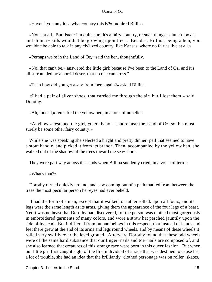«Haven't you any idea what country this is?» inquired Billina.

 «None at all. But listen: I'm quite sure it's a fairy country, or such things as lunch−boxes and dinner−pails wouldn't be growing upon trees. Besides, Billina, being a hen, you wouldn't be able to talk in any civ'lized country, like Kansas, where no fairies live at all.»

«Perhaps we're in the Land of Oz,» said the hen, thoughtfully.

 «No, that can't be,» answered the little girl; because I've been to the Land of Oz, and it's all surrounded by a horrid desert that no one can cross."

«Then how did you get away from there again?» asked Billina.

 «I had a pair of silver shoes, that carried me through the air; but I lost them,» said Dorothy.

«Ah, indeed,» remarked the yellow hen, in a tone of unbelief.

 «Anyhow,» resumed the girl, «there is no seashore near the Land of Oz, so this must surely be some other fairy country.»

 While she was speaking she selected a bright and pretty dinner−pail that seemed to have a stout handle, and picked it from its branch. Then, accompanied by the yellow hen, she walked out of the shadow of the trees toward the sea−shore.

They were part way across the sands when Billina suddenly cried, in a voice of terror:

«What's that?»

 Dorothy turned quickly around, and saw coming out of a path that led from between the trees the most peculiar person her eyes had ever beheld.

 It had the form of a man, except that it walked, or rather rolled, upon all fours, and its legs were the same length as its arms, giving them the appearance of the four legs of a beast. Yet it was no beast that Dorothy had discovered, for the person was clothed most gorgeously in embroidered garments of many colors, and wore a straw hat perched jauntily upon the side of its head. But it differed from human beings in this respect, that instead of hands and feet there grew at the end of its arms and legs round wheels, and by means of these wheels it rolled very swiftly over the level ground. Afterward Dorothy found that these odd wheels were of the same hard substance that our finger−nails and toe−nails are composed of, and she also learned that creatures of this strange race were born in this queer fashion. But when our little girl first caught sight of the first individual of a race that was destined to cause her a lot of trouble, she had an idea that the brilliantly−clothed personage was on roller−skates,

Chapter 3. Letters in the Sand 15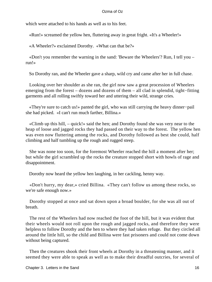which were attached to his hands as well as to his feet.

«Run!» screamed the yellow hen, fluttering away in great fright. «It's a Wheeler!»

«A Wheeler?» exclaimed Dorothy. «What can that be?»

 «Don't you remember the warning in the sand: 'Beware the Wheelers'? Run, I tell you – run!»

So Dorothy ran, and the Wheeler gave a sharp, wild cry and came after her in full chase.

 Looking over her shoulder as she ran, the girl now saw a great procession of Wheelers emerging from the forest – dozens and dozens of them – all clad in splendid, tight−fitting garments and all rolling swiftly toward her and uttering their wild, strange cries.

 «They're sure to catch us!» panted the girl, who was still carrying the heavy dinner−pail she had picked. «I can't run much farther, Billina.»

 «Climb up this hill, – quick!» said the hen; and Dorothy found she was very near to the heap of loose and jagged rocks they had passed on their way to the forest. The yellow hen was even now fluttering among the rocks, and Dorothy followed as best she could, half climbing and half tumbling up the rough and rugged steep.

 She was none too soon, for the foremost Wheeler reached the hill a moment after her; but while the girl scrambled up the rocks the creature stopped short with howls of rage and disappointment.

Dorothy now heard the yellow hen laughing, in her cackling, henny way.

 «Don't hurry, my dear,» cried Billina. «They can't follow us among these rocks, so we're safe enough now.»

 Dorothy stopped at once and sat down upon a broad boulder, for she was all out of breath.

 The rest of the Wheelers had now reached the foot of the hill, but it was evident that their wheels would not roll upon the rough and jagged rocks, and therefore they were helpless to follow Dorothy and the hen to where they had taken refuge. But they circled all around the little hill, so the child and Billina were fast prisoners and could not come down without being captured.

 Then the creatures shook their front wheels at Dorothy in a threatening manner, and it seemed they were able to speak as well as to make their dreadful outcries, for several of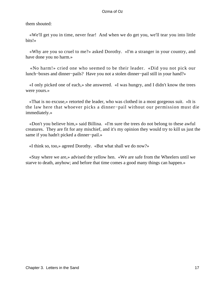them shouted:

 «We'll get you in time, never fear! And when we do get you, we'll tear you into little bits!»

 «Why are you so cruel to me?» asked Dorothy. «I'm a stranger in your country, and have done you no harm.»

 «No harm!» cried one who seemed to be their leader. «Did you not pick our lunch−boxes and dinner−pails? Have you not a stolen dinner−pail still in your hand?»

 «I only picked one of each,» she answered. «I was hungry, and I didn't know the trees were yours.»

 «That is no excuse,» retorted the leader, who was clothed in a most gorgeous suit. «It is the law here that whoever picks a dinner−pail without our permission must die immediately.»

 «Don't you believe him,» said Billina. «I'm sure the trees do not belong to these awful creatures. They are fit for any mischief, and it's my opinion they would try to kill us just the same if you hadn't picked a dinner−pail.»

«I think so, too,» agreed Dorothy. «But what shall we do now?»

 «Stay where we are,» advised the yellow hen. «We are safe from the Wheelers until we starve to death, anyhow; and before that time comes a good many things can happen.»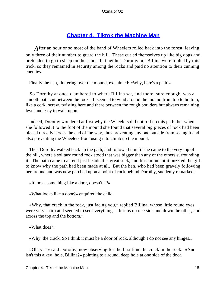### **[Chapter 4. Tiktok the Machine Man](#page-111-0)**

After an hour or so most of the band of Wheelers rolled back into the forest, leaving only three of their number to guard the hill. These curled themselves up like big dogs and pretended to go to sleep on the sands; but neither Dorothy nor Billina were fooled by this trick, so they remained in security among the rocks and paid no attention to their cunning enemies.

Finally the hen, fluttering over the mound, exclaimed: «Why, here's a path!»

 So Dorothy at once clambered to where Billina sat, and there, sure enough, was a smooth path cut between the rocks. It seemed to wind around the mound from top to bottom, like a cork−screw, twisting here and there between the rough boulders but always remaining level and easy to walk upon.

 Indeed, Dorothy wondered at first why the Wheelers did not roll up this path; but when she followed it to the foot of the mound she found that several big pieces of rock had been placed directly across the end of the way, thus preventing any one outside from seeing it and also preventing the Wheelers from using it to climb up the mound.

 Then Dorothy walked back up the path, and followed it until she came to the very top of the hill, where a solitary round rock stood that was bigger than any of the others surrounding it. The path came to an end just beside this great rock, and for a moment it puzzled the girl to know why the path had been made at all. But the hen, who had been gravely following her around and was now perched upon a point of rock behind Dorothy, suddenly remarked:

«It looks something like a door, doesn't it?»

«What looks like a door?» enquired the child.

 «Why, that crack in the rock, just facing you,» replied Billina, whose little round eyes were very sharp and seemed to see everything. «It runs up one side and down the other, and across the top and the bottom.»

«What does?»

«Why, the crack. So I think it must be a door of rock, although I do not see any hinges.»

 «Oh, yes,» said Dorothy, now observing for the first time the crack in the rock. «And isn't this a key−hole, Billina?» pointing to a round, deep hole at one side of the door.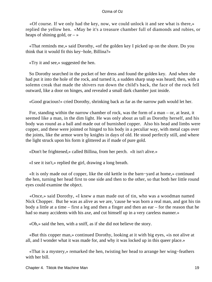«Of course. If we only had the key, now, we could unlock it and see what is there,» replied the yellow hen. «May be it's a treasure chamber full of diamonds and rubies, or heaps of shining gold, or  $-\infty$ 

 «That reminds me,» said Dorothy, «of the golden key I picked up on the shore. Do you think that it would fit this key−hole, Billina?»

«Try it and see,» suggested the hen.

 So Dorothy searched in the pocket of her dress and found the golden key. And when she had put it into the hole of the rock, and turned it, a sudden sharp snap was heard; then, with a solemn creak that made the shivers run down the child's back, the face of the rock fell outward, like a door on hinges, and revealed a small dark chamber just inside.

«Good gracious!» cried Dorothy, shrinking back as far as the narrow path would let her.

 For, standing within the narrow chamber of rock, was the form of a man – or, at least, it seemed like a man, in the dim light. He was only about as tall as Dorothy herself, and his body was round as a ball and made out of burnished copper. Also his head and limbs were copper, and these were jointed or hinged to his body in a peculiar way, with metal caps over the joints, like the armor worn by knights in days of old. He stood perfectly still, and where the light struck upon his form it glittered as if made of pure gold.

«Don't be frightened,» called Billina, from her perch. «It isn't alive.»

«I see it isn't,» replied the girl, drawing a long breath.

 «It is only made out of copper, like the old kettle in the barn−yard at home,» continued the hen, turning her head first to one side and then to the other, so that both her little round eyes could examine the object.

 «Once,» said Dorothy, «I knew a man made out of tin, who was a woodman named Nick Chopper. But he was as alive as we are, 'cause he was born a real man, and got his tin body a little at a time – first a leg and then a finger and then an ear – for the reason that he had so many accidents with his axe, and cut himself up in a very careless manner.»

«Oh,» said the hen, with a sniff, as if she did not believe the story.

 «But this copper man,» continued Dorothy, looking at it with big eyes, «is not alive at all, and I wonder what it was made for, and why it was locked up in this queer place.»

 «That is a mystery,» remarked the hen, twisting her head to arrange her wing−feathers with her bill.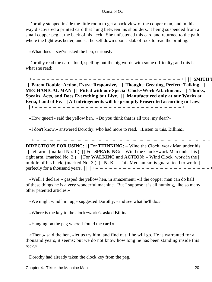Dorothy stepped inside the little room to get a back view of the copper man, and in this way discovered a printed card that hung between his shoulders, it being suspended from a small copper peg at the back of his neck. She unfastened this card and returned to the path, where the light was better, and sat herself down upon a slab of rock to read the printing.

«What does it say?» asked the hen, curiously.

 Dorothy read the card aloud, spelling out the big words with some difficulty; and this is what she read:

 + – – – – – – – – – – – – – – – – – – – – – – – – – – – – – – – – + | **| | SMITH TINKER'S | | Patent Double−Action, Extra−Responsive, | | Thought−Creating, Perfect−Talking | | MECHANICAL MAN | | Fitted with our Special Clock−Work Attachment. | | Thinks, Speaks, Acts, and Does Everything but Live. | | Manufactured only at our Works at Evna, Land of Ev. | | All infringements will be promptly Prosecuted according to Law.| | | + – – – – – – – – – – – – – – – – – – – – – – – – – – – – – – – – +** 

«How queer!» said the yellow hen. «Do you think that is all true, my dear?»

+ – – – – – – – – – – – – – – – – – – – – – – – – – + | **| |**

«I don't know,» answered Dorothy, who had more to read. «Listen to this, Billina:»

**DIRECTIONS FOR USING: | |** For **THINKING:** – Wind the Clock−work Man under his **| |** left arm, (marked No. 1.) **| |** For **SPEAKING:** – Wind the Clock−work Man under his **| |** right arm, (marked No. 2.) **| |** For **WALKING** and **ACTION:** – Wind Clock−work in the **| |** middle of his back, (marked No. 3.) **| | N.** B. – This Mechanism is guaranteed to work **| |** perfectly for a thousand years. **| | | +** – – – – – – – – – – – – – – – – – – – – – – – – – +

 «Well, I declare!» gasped the yellow hen, in amazement; «if the copper man can do half of these things he is a very wonderful machine. But I suppose it is all humbug, like so many other patented articles.»

«We might wind him up,» suggested Dorothy, «and see what he'll do.»

«Where is the key to the clock−work?» asked Billina.

«Hanging on the peg where I found the card.»

 «Then,» said the hen, «let us try him, and find out if he will go. He is warranted for a thousand years, it seems; but we do not know how long he has been standing inside this rock.»

Dorothy had already taken the clock key from the peg.

Chapter 4. Tiktok the Machine Man 20 and 20 and 20 and 20 and 20 and 20 and 20 and 20 and 20 and 20 and 20 and 20 and 20 and 20 and 20 and 20 and 20 and 20 and 20 and 20 and 20 and 20 and 20 and 20 and 20 and 20 and 20 and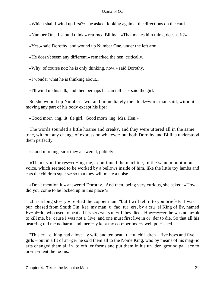«Which shall I wind up first?» she asked, looking again at the directions on the card.

«Number One, I should think,» returned Billina. «That makes him think, doesn't it?»

«Yes,» said Dorothy, and wound up Number One, under the left arm.

«He doesn't seem any different,» remarked the hen, critically.

«Why, of course not; he is only thinking, now,» said Dorothy.

«I wonder what he is thinking about.»

«I'll wind up his talk, and then perhaps he can tell us,» said the girl.

 So she wound up Number Two, and immediately the clock−work man said, without moving any part of his body except his lips:

«Good morn−ing, lit−tle girl. Good morn−ing, Mrs. Hen.»

 The words sounded a little hoarse and creaky, and they were uttered all in the same tone, without any change of expression whatever; but both Dorothy and Billina understood them perfectly.

«Good morning, sir,» they answered, politely.

 «Thank you for res−cu−ing me,» continued the machine, in the same monotonous voice, which seemed to be worked by a bellows inside of him, like the little toy lambs and cats the children squeeze so that they will make a noise.

 «Don't mention it,» answered Dorothy. And then, being very curious, she asked: «How did you come to be locked up in this place?»

 «It is a long sto−ry,» replied the copper man; "but I will tell it to you brief−ly. I was pur−chased from Smith Tin−ker, my man−u−fac−tur−ers, by a cru−el King of Ev, named Ev−ol−do, who used to beat all his serv−ants un−til they died. How−ev−er, he was not a−ble to kill me, be−cause I was not a−live, and one must first live in or−der to die. So that all his beat−ing did me no harm, and mere−ly kept my cop−per bod−y well pol−ished.

 "This cru−el king had a love−ly wife and ten beau−ti−ful chil−dren – five boys and five girls – but in a fit of an−ger he sold them all to the Nome King, who by means of his mag−ic arts changed them all in−to oth−er forms and put them in his un−der−ground pal−ace to or−na−ment the rooms.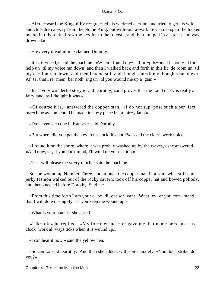«Af−ter−ward the King of Ev re−gret−ted his wick−ed ac−tion, and tried to get his wife and chil−dren a−way from the Nome King, but with−out a−vail. So, in de−spair, he locked me up in this rock, threw the key in−to the o−cean, and then jumped in af−ter it and was drowned.»

«How very dreadful!» exclaimed Dorothy.

 «It is, in−deed,» said the machine. «When I found my−self im−pris−oned I shout−ed for help un−til my voice ran down; and then I walked back and forth in this lit−tle room un−til my ac−tion ran down; and then I stood still and thought un−til my thoughts ran down. Af−ter that I re−mem−ber noth−ing un−til you wound me up a−gain.»

 «It's a very wonderful story,» said Dorothy, «and proves that the Land of Ev is really a fairy land, as I thought it was.»

 «Of course it is,» answered the copper man. «I do not sup−pose such a per−fect ma−chine as I am could be made in an−y place but a fair−y land.»

«I've never seen one in Kansas,» said Dorothy.

«But where did you get the key to un−lock this door?» asked the clock−work voice.

 «I found it on the shore, where it was prob'ly washed up by the waves,» she answered. «And now, sir, if you don't mind, I'll wind up your action.»

«That will please me ve−ry much,» said the machine.

 So she wound up Number Three, and at once the copper man in a somewhat stiff and jerky fashion walked out of the rocky cavern, took off his copper hat and bowed politely, and then kneeled before Dorothy. Said he:

 «From this time forth I am your o−be−di−ent ser−vant. What−ev−er you com−mand, that I will do will−ing−ly – if you keep me wound up.»

«What is your name?» she asked.

 «Tik−tok,» he replied. «My for−mer mas−ter gave me that name be−cause my clock−work al−ways ticks when it is wound up.»

«I can hear it now,» said the yellow hen.

 «So can I,» said Dorothy. And then she added, with some anxiety: «You don't strike, do you?»

Chapter 4. Tiktok the Machine Man 22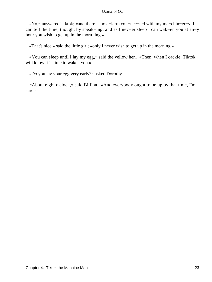«No,» answered Tiktok; «and there is no a−larm con−nec−ted with my ma−chin−er−y. I can tell the time, though, by speak−ing, and as I nev−er sleep I can wak−en you at an−y hour you wish to get up in the morn−ing.»

«That's nice,» said the little girl; «only I never wish to get up in the morning.»

 «You can sleep until I lay my egg,» said the yellow hen. «Then, when I cackle, Tiktok will know it is time to waken you.»

«Do you lay your egg very early?» asked Dorothy.

 «About eight o'clock,» said Billina. «And everybody ought to be up by that time, I'm sure.»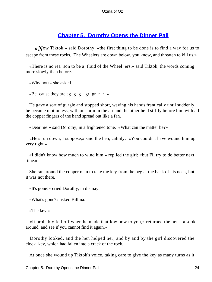### **[Chapter 5. Dorothy Opens the Dinner Pail](#page-111-0)**

*«N*ow Tiktok,» said Dorothy, «the first thing to be done is to find a way for us to escape from these rocks. The Wheelers are down below, you know, and threaten to kill us.»

 «There is no rea−son to be a−fraid of the Wheel−ers,» said Tiktok, the words coming more slowly than before.

«Why not?» she asked.

«Be−cause they are ag−g−g – gr−gr−r−r−»

 He gave a sort of gurgle and stopped short, waving his hands frantically until suddenly he became motionless, with one arm in the air and the other held stiffly before him with all the copper fingers of the hand spread out like a fan.

«Dear me!» said Dorothy, in a frightened tone. «What can the matter be?»

 «He's run down, I suppose,» said the hen, calmly. «You couldn't have wound him up very tight.»

 «I didn't know how much to wind him,» replied the girl; «but I'll try to do better next time.»

 She ran around the copper man to take the key from the peg at the back of his neck, but it was not there.

«It's gone!» cried Dorothy, in dismay.

«What's gone?» asked Billina.

«The key.»

 «It probably fell off when he made that low bow to you,» returned the hen. «Look around, and see if you cannot find it again.»

 Dorothy looked, and the hen helped her, and by and by the girl discovered the clock−key, which had fallen into a crack of the rock.

At once she wound up Tiktok's voice, taking care to give the key as many turns as it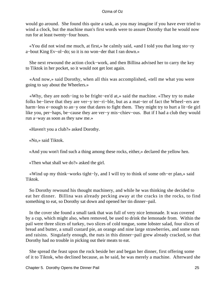would go around. She found this quite a task, as you may imagine if you have ever tried to wind a clock, but the machine man's first words were to assure Dorothy that he would now run for at least twenty−four hours.

 «You did not wind me much, at first,» he calmly said, «and I told you that long sto−ry a−bout King Ev−ol−do; so it is no won−der that I ran down.»

 She next rewound the action clock−work, and then Billina advised her to carry the key to Tiktok in her pocket, so it would not get lost again.

 «And now,» said Dorothy, when all this was accomplished, «tell me what you were going to say about the Wheelers.»

 «Why, they are noth−ing to be fright−en'd at,» said the machine. «They try to make folks be−lieve that they are ver−y ter−ri−ble, but as a mat−ter of fact the Wheel−ers are harm−less e−nough to an−y one that dares to fight them. They might try to hurt a lit−tle girl like you, per−haps, be−cause they are ver−y mis−chiev−ous. But if I had a club they would run a−way as soon as they saw me.»

«Haven't you a club?» asked Dorothy.

«No,» said Tiktok.

«And you won't find such a thing among these rocks, either,» declared the yellow hen.

«Then what shall we do?» asked the girl.

 «Wind up my think−works tight−ly, and I will try to think of some oth−er plan,» said Tiktok.

 So Dorothy rewound his thought machinery, and while he was thinking she decided to eat her dinner. Billina was already pecking away at the cracks in the rocks, to find something to eat, so Dorothy sat down and opened her tin dinner−pail.

 In the cover she found a small tank that was full of very nice lemonade. It was covered by a cup, which might also, when removed, be used to drink the lemonade from. Within the pail were three slices of turkey, two slices of cold tongue, some lobster salad, four slices of bread and butter, a small custard pie, an orange and nine large strawberries, and some nuts and raisins. Singularly enough, the nuts in this dinner−pail grew already cracked, so that Dorothy had no trouble in picking out their meats to eat.

 She spread the feast upon the rock beside her and began her dinner, first offering some of it to Tiktok, who declined because, as he said, he was merely a machine. Afterward she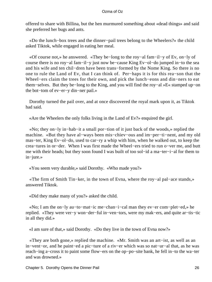offered to share with Billina, but the hen murmured something about «dead things» and said she preferred her bugs and ants.

 «Do the lunch−box trees and the dinner−pail trees belong to the Wheelers?» the child asked Tiktok, while engaged in eating her meal.

 «Of course not,» he answered. «They be−long to the roy−al fam−il−y of Ev, on−ly of course there is no roy−al fam−il−y just now be−cause King Ev−ol−do jumped in−to the sea and his wife and ten chil−dren have been trans−formed by the Nome King. So there is no one to rule the Land of Ev, that I can think of. Per−haps it is for this rea−son that the Wheel−ers claim the trees for their own, and pick the lunch−eons and din−ners to eat them−selves. But they be−long to the King, and you will find the roy−al »E« stamped up−on the bot−tom of ev−er−y din−ner pail.»

 Dorothy turned the pail over, and at once discovered the royal mark upon it, as Tiktok had said.

«Are the Wheelers the only folks living in the Land of Ev?» enquired the girl.

 «No; they on−ly in−hab−it a small por−tion of it just back of the woods,» replied the machine. «But they have al−ways been mis−chiev−ous and im−per−ti−nent, and my old mas−ter, King Ev−ol−do, used to car−ry a whip with him, when he walked out, to keep the crea−tures in or−der. When I was first made the Wheel−ers tried to run o−ver me, and butt me with their heads; but they soon found I was built of too sol−id a ma−ter−i−al for them to in−jure.»

«You seem very durable,» said Dorothy. «Who made you?»

 «The firm of Smith Tin−ker, in the town of Evna, where the roy−al pal−ace stands,» answered Tiktok.

«Did they make many of you?» asked the child.

 «No; I am the on−ly au−to−mat−ic me−chan−i−cal man they ev−er com−plet−ed,» he replied. «They were ver−y won−der−ful in−ven−tors, were my mak−ers, and quite ar−tis−tic in all they did.»

«I am sure of that,» said Dorothy. «Do they live in the town of Evna now?»

 «They are both gone,» replied the machine. «Mr. Smith was an art−ist, as well as an in−vent−or, and he paint−ed a pic−ture of a riv−er which was so nat−ur−al that, as he was reach−ing a−cross it to paint some flow−ers on the op−po−site bank, he fell in−to the wa−ter and was drowned.»

Chapter 5. Dorothy Opens the Dinner Pail 26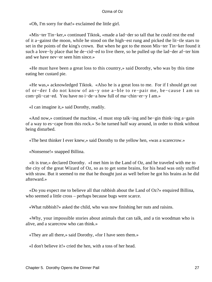«Oh, I'm sorry for that!» exclaimed the little girl.

 «Mis−ter Tin−ker,» continued Tiktok, «made a lad−der so tall that he could rest the end of it a−gainst the moon, while he stood on the high−est rung and picked the lit−tle stars to set in the points of the king's crown. But when he got to the moon Mis−ter Tin−ker found it such a love−ly place that he de−cid−ed to live there, so he pulled up the lad−der af−ter him and we have nev−er seen him since.»

 «He must have been a great loss to this country,» said Dorothy, who was by this time eating her custard pie.

 «He was,» acknowledged Tiktok. «Also he is a great loss to me. For if I should get out of or−der I do not know of an−y one a−ble to re−pair me, be−cause I am so com−pli−cat−ed. You have no i−de−a how full of ma−chin−er−y I am.»

«I can imagine it,» said Dorothy, readily.

 «And now,» continued the machine, «I must stop talk−ing and be−gin think−ing a−gain of a way to es−cape from this rock.» So he turned half way around, in order to think without being disturbed.

«The best thinker I ever knew,» said Dorothy to the yellow hen, «was a scarecrow.»

«Nonsense!» snapped Billina.

 «It is true,» declared Dorothy. «I met him in the Land of Oz, and he traveled with me to the city of the great Wizard of Oz, so as to get some brains, for his head was only stuffed with straw. But it seemed to me that he thought just as well before he got his brains as he did afterward.»

 «Do you expect me to believe all that rubbish about the Land of Oz?» enquired Billina, who seemed a little cross – perhaps because bugs were scarce.

«What rubbish?» asked the child, who was now finishing her nuts and raisins.

 «Why, your impossible stories about animals that can talk, and a tin woodman who is alive, and a scarecrow who can think.»

«They are all there,» said Dorothy, «for I have seen them.»

«I don't believe it!» cried the hen, with a toss of her head.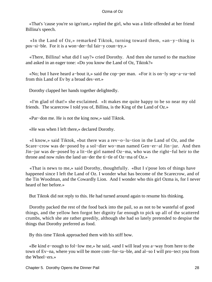«That's 'cause you're so ign'rant,» replied the girl, who was a little offended at her friend Billina's speech.

 «In the Land of Oz,» remarked Tiktok, turning toward them, «an−y−thing is pos−si−ble. For it is a won−der−ful fair−y coun−try.»

 «There, Billina! what did I say?» cried Dorothy. And then she turned to the machine and asked in an eager tone: «Do you know the Land of Oz, Tiktok?»

 «No; but I have heard a−bout it,» said the cop−per man. «For it is on−ly sep−a−ra−ted from this Land of Ev by a broad des−ert.»

Dorothy clapped her hands together delightedly.

 «I'm glad of that!» she exclaimed. «It makes me quite happy to be so near my old friends. The scarecrow I told you of, Billina, is the King of the Land of Oz.»

«Par−don me. He is not the king now,» said Tiktok.

«He was when I left there,» declared Dorothy.

 «I know,» said Tiktok, «but there was a rev−o−lu−tion in the Land of Oz, and the Scare−crow was de−posed by a sol−dier wo−man named Gen−er−al Jin−jur. And then Jin−jur was de−posed by a lit−tle girl named Oz−ma, who was the right−ful heir to the throne and now rules the land un−der the ti−tle of Oz−ma of Oz.»

 «That is news to me,» said Dorothy, thoughtfully. «But I s'pose lots of things have happened since I left the Land of Oz. I wonder what has become of the Scarecrow, and of the Tin Woodman, and the Cowardly Lion. And I wonder who this girl Ozma is, for I never heard of her before.»

But Tiktok did not reply to this. He had turned around again to resume his thinking.

 Dorothy packed the rest of the food back into the pail, so as not to be wasteful of good things, and the yellow hen forgot her dignity far enough to pick up all of the scattered crumbs, which she ate rather greedily, although she had so lately pretended to despise the things that Dorothy preferred as food.

By this time Tiktok approached them with his stiff bow.

 «Be kind e−nough to fol−low me,» he said, «and I will lead you a−way from here to the town of Ev−na, where you will be more com−for−ta−ble, and al−so I will pro−tect you from the Wheel−ers.»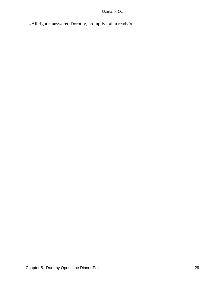«All right,» answered Dorothy, promptly. «I'm ready!»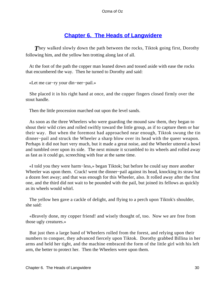## **[Chapter 6. The Heads of Langwidere](#page-111-0)**

**They walked slowly down the path between the rocks, Tiktok going first, Dorothy** following him, and the yellow hen trotting along last of all.

 At the foot of the path the copper man leaned down and tossed aside with ease the rocks that encumbered the way. Then he turned to Dorothy and said:

```
 «Let me car−ry your din−ner−pail.»
```
 She placed it in his right hand at once, and the copper fingers closed firmly over the stout handle.

Then the little procession marched out upon the level sands.

 As soon as the three Wheelers who were guarding the mound saw them, they began to shout their wild cries and rolled swiftly toward the little group, as if to capture them or bar their way. But when the foremost had approached near enough, Tiktok swung the tin dinner−pail and struck the Wheeler a sharp blow over its head with the queer weapon. Perhaps it did not hurt very much, but it made a great noise, and the Wheeler uttered a howl and tumbled over upon its side. The next minute it scrambled to its wheels and rolled away as fast as it could go, screeching with fear at the same time.

 «I told you they were harm−less,» began Tiktok; but before he could say more another Wheeler was upon them. Crack! went the dinner−pail against its head, knocking its straw hat a dozen feet away; and that was enough for this Wheeler, also. It rolled away after the first one, and the third did not wait to be pounded with the pail, but joined its fellows as quickly as its wheels would whirl.

 The yellow hen gave a cackle of delight, and flying to a perch upon Tiktok's shoulder, she said:

 «Bravely done, my copper friend! and wisely thought of, too. Now we are free from those ugly creatures.»

 But just then a large band of Wheelers rolled from the forest, and relying upon their numbers to conquer, they advanced fiercely upon Tiktok. Dorothy grabbed Billina in her arms and held her tight, and the machine embraced the form of the little girl with his left arm, the better to protect her. Then the Wheelers were upon them.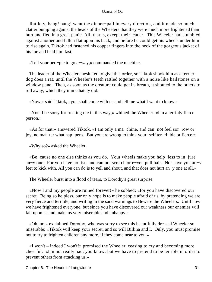Rattlety, bang! bang! went the dinner−pail in every direction, and it made so much clatter bumping against the heads of the Wheelers that they were much more frightened than hurt and fled in a great panic. All, that is, except their leader. This Wheeler had stumbled against another and fallen flat upon his back, and before he could get his wheels under him to rise again, Tiktok had fastened his copper fingers into the neck of the gorgeous jacket of his foe and held him fast.

«Tell your peo−ple to go a−way,» commanded the machine.

 The leader of the Wheelers hesitated to give this order, so Tiktok shook him as a terrier dog does a rat, until the Wheeler's teeth rattled together with a noise like hailstones on a window pane. Then, as soon as the creature could get its breath, it shouted to the others to roll away, which they immediately did.

«Now,» said Tiktok, «you shall come with us and tell me what I want to know.»

 «You'll be sorry for treating me in this way,» whined the Wheeler. «I'm a terribly fierce person.»

 «As for that,» answered Tiktok, «I am only a ma−chine, and can−not feel sor−row or joy, no mat−ter what hap−pens. But you are wrong to think your−self ter−ri−ble or fierce.»

«Why so?» asked the Wheeler.

 «Be−cause no one else thinks as you do. Your wheels make you help−less to in−jure an−y one. For you have no fists and can not scratch or e−ven pull hair. Nor have you an−y feet to kick with. All you can do is to yell and shout, and that does not hurt an−y one at all.»

The Wheeler burst into a flood of tears, to Dorothy's great surprise.

 «Now I and my people are ruined forever!» he sobbed; «for you have discovered our secret. Being so helpless, our only hope is to make people afraid of us, by pretending we are very fierce and terrible, and writing in the sand warnings to Beware the Wheelers. Until now we have frightened everyone, but since you have discovered our weakness our enemies will fall upon us and make us very miserable and unhappy.»

 «Oh, no,» exclaimed Dorothy, who was sorry to see this beautifully dressed Wheeler so miserable; «Tiktok will keep your secret, and so will Billina and I. Only, you must promise not to try to frighten children any more, if they come near to you.»

 «I won't – indeed I won't!» promised the Wheeler, ceasing to cry and becoming more cheerful. «I'm not really bad, you know; but we have to pretend to be terrible in order to prevent others from attacking us.»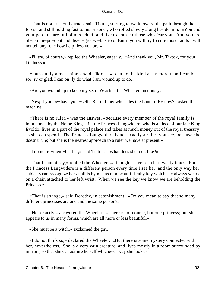«That is not ex−act−ly true,» said Tiktok, starting to walk toward the path through the forest, and still holding fast to his prisoner, who rolled slowly along beside him. «You and your peo−ple are full of mis−chief, and like to both−er those who fear you. And you are of−ten im−pu−dent and dis−a−gree−a−ble, too. But if you will try to cure those faults I will not tell any−one how help−less you are.»

 «I'll try, of course,» replied the Wheeler, eagerly. «And thank you, Mr. Tiktok, for your kindness.»

 «I am on−ly a ma−chine,» said Tiktok. «I can not be kind an−y more than I can be sor−ry or glad. I can on−ly do what I am wound up to do.»

«Are you wound up to keep my secret?» asked the Wheeler, anxiously.

 «Yes; if you be−have your−self. But tell me: who rules the Land of Ev now?» asked the machine.

 «There is no ruler,» was the answer, «because every member of the royal family is imprisoned by the Nome King. But the Princess Langwidere, who is a niece of our late King Evoldo, lives in a part of the royal palace and takes as much money out of the royal treasury as she can spend. The Princess Langwidere is not exactly a ruler, you see, because she doesn't rule; but she is the nearest approach to a ruler we have at present.»

«I do not re−mem−ber her,» said Tiktok. «What does she look like?»

 «That I cannot say,» replied the Wheeler, «although I have seen her twenty times. For the Princess Langwidere is a different person every time I see her, and the only way her subjects can recognize her at all is by means of a beautiful ruby key which she always wears on a chain attached to her left wrist. When we see the key we know we are beholding the Princess.»

 «That is strange,» said Dorothy, in astonishment. «Do you mean to say that so many different princesses are one and the same person?»

 «Not exactly,» answered the Wheeler. «There is, of course, but one princess; but she appears to us in many forms, which are all more or less beautiful.»

«She must be a witch,» exclaimed the girl.

 «I do not think so,» declared the Wheeler. «But there is some mystery connected with her, nevertheless. She is a very vain creature, and lives mostly in a room surrounded by mirrors, so that she can admire herself whichever way she looks.»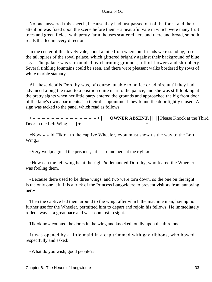No one answered this speech, because they had just passed out of the forest and their attention was fixed upon the scene before them – a beautiful vale in which were many fruit trees and green fields, with pretty farm−houses scattered here and there and broad, smooth roads that led in every direction.

 In the center of this lovely vale, about a mile from where our friends were standing, rose the tall spires of the royal palace, which glittered brightly against their background of blue sky. The palace was surrounded by charming grounds, full of flowers and shrubbery. Several tinkling fountains could be seen, and there were pleasant walks bordered by rows of white marble statuary.

 All these details Dorothy was, of course, unable to notice or admire until they had advanced along the road to a position quite near to the palace, and she was still looking at the pretty sights when her little party entered the grounds and approached the big front door of the king's own apartments. To their disappointment they found the door tightly closed. A sign was tacked to the panel which read as follows:

 + – – – – – – – – – – – – – – + | **| | OWNER ABSENT. | | | |** Please Knock at the Third | | Door in the Left Wing.  $|| \cdot || + - - - - - - - - - - - - - +$ 

 «Now,» said Tiktok to the captive Wheeler, «you must show us the way to the Left Wing.»

«Very well,» agreed the prisoner, «it is around here at the right.»

 «How can the left wing be at the right?» demanded Dorothy, who feared the Wheeler was fooling them.

 «Because there used to be three wings, and two were torn down, so the one on the right is the only one left. It is a trick of the Princess Langwidere to prevent visitors from annoying her.»

 Then the captive led them around to the wing, after which the machine man, having no further use for the Wheeler, permitted him to depart and rejoin his fellows. He immediately rolled away at a great pace and was soon lost to sight.

Tiktok now counted the doors in the wing and knocked loudly upon the third one.

 It was opened by a little maid in a cap trimmed with gay ribbons, who bowed respectfully and asked:

«What do you wish, good people?»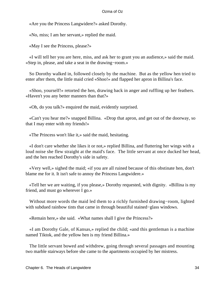«Are you the Princess Langwidere?» asked Dorothy.

«No, miss; I am her servant,» replied the maid.

«May I see the Princess, please?»

 «I will tell her you are here, miss, and ask her to grant you an audience,» said the maid. «Step in, please, and take a seat in the drawing−room.»

 So Dorothy walked in, followed closely by the machine. But as the yellow hen tried to enter after them, the little maid cried «Shoo!» and flapped her apron in Billina's face.

 «Shoo, yourself!» retorted the hen, drawing back in anger and ruffling up her feathers. «Haven't you any better manners than that?»

«Oh, do you talk?» enquired the maid, evidently surprised.

 «Can't you hear me?» snapped Billina. «Drop that apron, and get out of the doorway, so that I may enter with my friends!»

«The Princess won't like it,» said the maid, hesitating.

 «I don't care whether she likes it or not,» replied Billina, and fluttering her wings with a loud noise she flew straight at the maid's face. The little servant at once ducked her head, and the hen reached Dorothy's side in safety.

 «Very well,» sighed the maid; «if you are all ruined because of this obstinate hen, don't blame me for it. It isn't safe to annoy the Princess Langwidere.»

 «Tell her we are waiting, if you please,» Dorothy requested, with dignity. «Billina is my friend, and must go wherever I go.»

 Without more words the maid led them to a richly furnished drawing−room, lighted with subdued rainbow tints that came in through beautiful stained−glass windows.

«Remain here,» she said. «What names shall I give the Princess?»

 «I am Dorothy Gale, of Kansas,» replied the child; «and this gentleman is a machine named Tiktok, and the yellow hen is my friend Billina.»

 The little servant bowed and withdrew, going through several passages and mounting two marble stairways before she came to the apartments occupied by her mistress.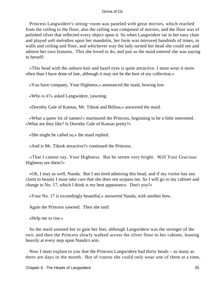Princess Langwidere's sitting−room was paneled with great mirrors, which reached from the ceiling to the floor; also the ceiling was composed of mirrors, and the floor was of polished silver that reflected every object upon it. So when Langwidere sat in her easy chair and played soft melodies upon her mandolin, her form was mirrored hundreds of times, in walls and ceiling and floor, and whichever way the lady turned her head she could see and admire her own features. This she loved to do, and just as the maid entered she was saying to herself:

 «This head with the auburn hair and hazel eyes is quite attractive. I must wear it more often than I have done of late, although it may not be the best of my collection.»

«You have company, Your Highness,» announced the maid, bowing low.

«Who is it?» asked Langwidere, yawning.

«Dorothy Gale of Kansas, Mr. Tiktok and Billina,» answered the maid.

 «What a queer lot of names!» murmured the Princess, beginning to be a little interested. «What are they like? Is Dorothy Gale of Kansas pretty?»

«She might be called so,» the maid replied.

«And is Mr. Tiktok attractive?» continued the Princess.

 «That I cannot say, Your Highness. But he seems very bright. Will Your Gracious Highness see them?»

 «Oh, I may as well, Nanda. But I am tired admiring this head, and if my visitor has any claim to beauty I must take care that she does not surpass me. So I will go to my cabinet and change to No. 17, which I think is my best appearance. Don't you?»

«Your No. 17 is exceedingly beautiful,» answered Nanda, with another bow.

Again the Princess yawned. Then she said:

«Help me to rise.»

 So the maid assisted her to gain her feet, although Langwidere was the stronger of the two; and then the Princess slowly walked across the silver floor to her cabinet, leaning heavily at every step upon Nanda's arm.

 Now I must explain to you that the Princess Langwidere had thirty heads – as many as there are days in the month. But of course she could only wear one of them at a time,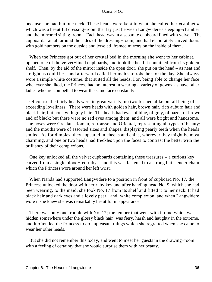because she had but one neck. These heads were kept in what she called her «cabinet,» which was a beautiful dressing−room that lay just between Langwidere's sleeping−chamber and the mirrored sitting−room. Each head was in a separate cupboard lined with velvet. The cupboards ran all around the sides of the dressing−room, and had elaborately carved doors with gold numbers on the outside and jeweled−framed mirrors on the inside of them.

 When the Princess got out of her crystal bed in the morning she went to her cabinet, opened one of the velvet−lined cupboards, and took the head it contained from its golden shelf. Then, by the aid of the mirror inside the open door, she put on the head – as neat and straight as could be – and afterward called her maids to robe her for the day. She always wore a simple white costume, that suited all the heads. For, being able to change her face whenever she liked, the Princess had no interest in wearing a variety of gowns, as have other ladies who are compelled to wear the same face constantly.

 Of course the thirty heads were in great variety, no two formed alike but all being of exceeding loveliness. There were heads with golden hair, brown hair, rich auburn hair and black hair; but none with gray hair. The heads had eyes of blue, of gray, of hazel, of brown and of black; but there were no red eyes among them, and all were bright and handsome. The noses were Grecian, Roman, retrousse and Oriental, representing all types of beauty; and the mouths were of assorted sizes and shapes, displaying pearly teeth when the heads smiled. As for dimples, they appeared in cheeks and chins, wherever they might be most charming, and one or two heads had freckles upon the faces to contrast the better with the brilliancy of their complexions.

 One key unlocked all the velvet cupboards containing these treasures – a curious key carved from a single blood−red ruby – and this was fastened to a strong but slender chain which the Princess wore around her left wrist.

 When Nanda had supported Langwidere to a position in front of cupboard No. 17, the Princess unlocked the door with her ruby key and after handing head No. 9, which she had been wearing, to the maid, she took No. 17 from its shelf and fitted it to her neck. It had black hair and dark eyes and a lovely pearl−and−white complexion, and when Langwidere wore it she knew she was remarkably beautiful in appearance.

 There was only one trouble with No. 17; the temper that went with it (and which was hidden somewhere under the glossy black hair) was fiery, harsh and haughty in the extreme, and it often led the Princess to do unpleasant things which she regretted when she came to wear her other heads.

 But she did not remember this today, and went to meet her guests in the drawing−room with a feeling of certainty that she would surprise them with her beauty.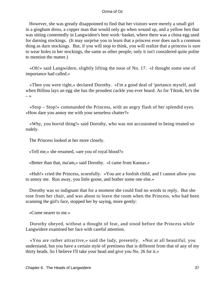However, she was greatly disappointed to find that her visitors were merely a small girl in a gingham dress, a copper man that would only go when wound up, and a yellow hen that was sitting contentedly in Langwidere's best work−basket, where there was a china egg used for darning stockings. (It may surprise you to learn that a princess ever does such a common thing as darn stockings. But, if you will stop to think, you will realize that a princess is sure to wear holes in her stockings, the same as other people; only it isn't considered quite polite to mention the matter.)

 «Oh!» said Langwidere, slightly lifting the nose of No. 17. «I thought some one of importance had called.»

 «Then you were right,» declared Dorothy. «I'm a good deal of 'portance myself, and when Billina lays an egg she has the proudest cackle you ever heard. As for Tiktok, he's the  $\rightarrow$ 

 «Stop – Stop!» commanded the Princess, with an angry flash of her splendid eyes. «How dare you annoy me with your senseless chatter?»

 «Why, you horrid thing!» said Dorothy, who was not accustomed to being treated so rudely.

The Princess looked at her more closely.

«Tell me,» she resumed, «are you of royal blood?»

«Better than that, ma'am,» said Dorothy. «I came from Kansas.»

 «Huh!» cried the Princess, scornfully. «You are a foolish child, and I cannot allow you to annoy me. Run away, you little goose, and bother some one else.»

 Dorothy was so indignant that for a moment she could find no words to reply. But she rose from her chair, and was about to leave the room when the Princess, who had been scanning the girl's face, stopped her by saying, more gently:

«Come nearer to me.»

 Dorothy obeyed, without a thought of fear, and stood before the Princess while Langwidere examined her face with careful attention.

 «You are rather attractive,» said the lady, presently. «Not at all beautiful, you understand, but you have a certain style of prettiness that is different from that of any of my thirty heads. So I believe I'll take your head and give you No. 26 for it.»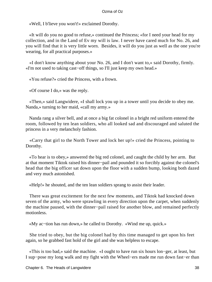«Well, I b'lieve you won't!» exclaimed Dorothy.

 «It will do you no good to refuse,» continued the Princess; «for I need your head for my collection, and in the Land of Ev my will is law. I never have cared much for No. 26, and you will find that it is very little worn. Besides, it will do you just as well as the one you're wearing, for all practical purposes.»

 «I don't know anything about your No. 26, and I don't want to,» said Dorothy, firmly. «I'm not used to taking cast−off things, so I'll just keep my own head.»

«You refuse?» cried the Princess, with a frown.

«Of course I do,» was the reply.

 «Then,» said Langwidere, «I shall lock you up in a tower until you decide to obey me. Nanda,» turning to her maid, «call my army.»

 Nanda rang a silver bell, and at once a big fat colonel in a bright red uniform entered the room, followed by ten lean soldiers, who all looked sad and discouraged and saluted the princess in a very melancholy fashion.

 «Carry that girl to the North Tower and lock her up!» cried the Princess, pointing to Dorothy.

 «To hear is to obey,» answered the big red colonel, and caught the child by her arm. But at that moment Tiktok raised his dinner−pail and pounded it so forcibly against the colonel's head that the big officer sat down upon the floor with a sudden bump, looking both dazed and very much astonished.

«Help!» he shouted, and the ten lean soldiers sprang to assist their leader.

 There was great excitement for the next few moments, and Tiktok had knocked down seven of the army, who were sprawling in every direction upon the carpet, when suddenly the machine paused, with the dinner−pail raised for another blow, and remained perfectly motionless.

«My ac−tion has run down,» he called to Dorothy. «Wind me up, quick.»

 She tried to obey, but the big colonel had by this time managed to get upon his feet again, so he grabbed fast hold of the girl and she was helpless to escape.

 «This is too bad,» said the machine. «I ought to have run six hours lon−ger, at least, but I sup−pose my long walk and my fight with the Wheel−ers made me run down fast−er than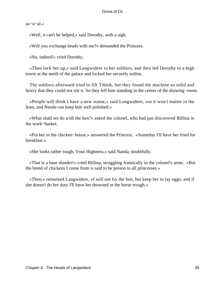us−u−al.»

«Well, it can't be helped,» said Dorothy, with a sigh.

«Will you exchange heads with me?» demanded the Princess.

«No, indeed!» cried Dorothy.

 «Then lock her up,» said Langwidere to her soldiers, and they led Dorothy to a high tower at the north of the palace and locked her securely within.

 The soldiers afterward tried to lift Tiktok, but they found the machine so solid and heavy that they could not stir it. So they left him standing in the center of the drawing−room.

 «People will think I have a new statue,» said Langwidere, «so it won't matter in the least, and Nanda can keep him well polished.»

 «What shall we do with the hen?» asked the colonel, who had just discovered Billina in the work−basket.

 «Put her in the chicken−house,» answered the Princess. «Someday I'll have her fried for breakfast.»

«She looks rather tough, Your Highness,» said Nanda, doubtfully.

 «That is a base slander!» cried Billina, struggling frantically in the colonel's arms. «But the breed of chickens I come from is said to be poison to all princesses.»

 «Then,» remarked Langwidere, «I will not fry the hen, but keep her to lay eggs; and if she doesn't do her duty I'll have her drowned in the horse trough.»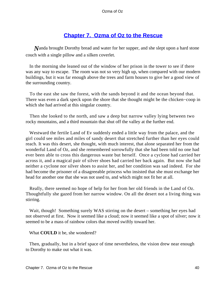# **[Chapter 7. Ozma of Oz to the Rescue](#page-111-0)**

*N*anda brought Dorothy bread and water for her supper, and she slept upon a hard stone couch with a single pillow and a silken coverlet.

 In the morning she leaned out of the window of her prison in the tower to see if there was any way to escape. The room was not so very high up, when compared with our modern buildings, but it was far enough above the trees and farm houses to give her a good view of the surrounding country.

 To the east she saw the forest, with the sands beyond it and the ocean beyond that. There was even a dark speck upon the shore that she thought might be the chicken−coop in which she had arrived at this singular country.

 Then she looked to the north, and saw a deep but narrow valley lying between two rocky mountains, and a third mountain that shut off the valley at the further end.

 Westward the fertile Land of Ev suddenly ended a little way from the palace, and the girl could see miles and miles of sandy desert that stretched further than her eyes could reach. It was this desert, she thought, with much interest, that alone separated her from the wonderful Land of Oz, and she remembered sorrowfully that she had been told no one had ever been able to cross this dangerous waste but herself. Once a cyclone had carried her across it, and a magical pair of silver shoes had carried her back again. But now she had neither a cyclone nor silver shoes to assist her, and her condition was sad indeed. For she had become the prisoner of a disagreeable princess who insisted that she must exchange her head for another one that she was not used to, and which might not fit her at all.

 Really, there seemed no hope of help for her from her old friends in the Land of Oz. Thoughtfully she gazed from her narrow window. On all the desert not a living thing was stirring.

Wait, though! Something surely WAS stirring on the desert – something her eyes had not observed at first. Now it seemed like a cloud; now it seemed like a spot of silver; now it seemed to be a mass of rainbow colors that moved swiftly toward her.

What **COULD** it be, she wondered?

 Then, gradually, but in a brief space of time nevertheless, the vision drew near enough to Dorothy to make out what it was.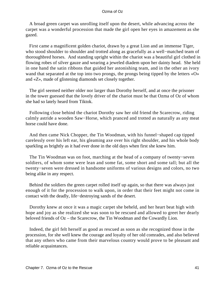A broad green carpet was unrolling itself upon the desert, while advancing across the carpet was a wonderful procession that made the girl open her eyes in amazement as she gazed.

 First came a magnificent golden chariot, drawn by a great Lion and an immense Tiger, who stood shoulder to shoulder and trotted along as gracefully as a well−matched team of thoroughbred horses. And standing upright within the chariot was a beautiful girl clothed in flowing robes of silver gauze and wearing a jeweled diadem upon her dainty head. She held in one hand the satin ribbons that guided her astonishing team, and in the other an ivory wand that separated at the top into two prongs, the prongs being tipped by the letters «O» and «Z», made of glistening diamonds set closely together.

 The girl seemed neither older nor larger than Dorothy herself, and at once the prisoner in the tower guessed that the lovely driver of the chariot must be that Ozma of Oz of whom she had so lately heard from Tiktok.

 Following close behind the chariot Dorothy saw her old friend the Scarecrow, riding calmly astride a wooden Saw−Horse, which pranced and trotted as naturally as any meat horse could have done.

 And then came Nick Chopper, the Tin Woodman, with his funnel−shaped cap tipped carelessly over his left ear, his gleaming axe over his right shoulder, and his whole body sparkling as brightly as it had ever done in the old days when first she knew him.

 The Tin Woodman was on foot, marching at the head of a company of twenty−seven soldiers, of whom some were lean and some fat, some short and some tall; but all the twenty−seven were dressed in handsome uniforms of various designs and colors, no two being alike in any respect.

 Behind the soldiers the green carpet rolled itself up again, so that there was always just enough of it for the procession to walk upon, in order that their feet might not come in contact with the deadly, life−destroying sands of the desert.

 Dorothy knew at once it was a magic carpet she beheld, and her heart beat high with hope and joy as she realized she was soon to be rescued and allowed to greet her dearly beloved friends of Oz – the Scarecrow, the Tin Woodman and the Cowardly Lion.

 Indeed, the girl felt herself as good as rescued as soon as she recognized those in the procession, for she well knew the courage and loyalty of her old comrades, and also believed that any others who came from their marvelous country would prove to be pleasant and reliable acquaintances.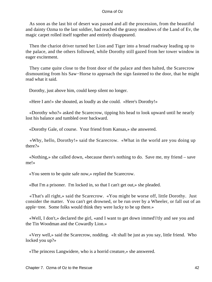As soon as the last bit of desert was passed and all the procession, from the beautiful and dainty Ozma to the last soldier, had reached the grassy meadows of the Land of Ev, the magic carpet rolled itself together and entirely disappeared.

 Then the chariot driver turned her Lion and Tiger into a broad roadway leading up to the palace, and the others followed, while Dorothy still gazed from her tower window in eager excitement.

 They came quite close to the front door of the palace and then halted, the Scarecrow dismounting from his Saw−Horse to approach the sign fastened to the door, that he might read what it said.

Dorothy, just above him, could keep silent no longer.

«Here I am!» she shouted, as loudly as she could. «Here's Dorothy!»

 «Dorothy who?» asked the Scarecrow, tipping his head to look upward until he nearly lost his balance and tumbled over backward.

«Dorothy Gale, of course. Your friend from Kansas,» she answered.

 «Why, hello, Dorothy!» said the Scarecrow. «What in the world are you doing up there?»

 «Nothing,» she called down, «because there's nothing to do. Save me, my friend – save me!»

«You seem to be quite safe now,» replied the Scarecrow.

«But I'm a prisoner. I'm locked in, so that I can't get out,» she pleaded.

 «That's all right,» said the Scarecrow. «You might be worse off, little Dorothy. Just consider the matter. You can't get drowned, or be run over by a Wheeler, or fall out of an apple−tree. Some folks would think they were lucky to be up there.»

 «Well, I don't,» declared the girl, «and I want to get down immed'i'tly and see you and the Tin Woodman and the Cowardly Lion.»

 «Very well,» said the Scarecrow, nodding. «It shall be just as you say, little friend. Who locked you up?»

«The princess Langwidere, who is a horrid creature,» she answered.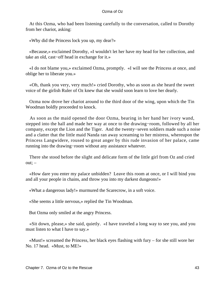At this Ozma, who had been listening carefully to the conversation, called to Dorothy from her chariot, asking:

«Why did the Princess lock you up, my dear?»

 «Because,» exclaimed Dorothy, «I wouldn't let her have my head for her collection, and take an old, cast−off head in exchange for it.»

 «I do not blame you,» exclaimed Ozma, promptly. «I will see the Princess at once, and oblige her to liberate you.»

 «Oh, thank you very, very much!» cried Dorothy, who as soon as she heard the sweet voice of the girlish Ruler of Oz knew that she would soon learn to love her dearly.

 Ozma now drove her chariot around to the third door of the wing, upon which the Tin Woodman boldly proceeded to knock.

 As soon as the maid opened the door Ozma, bearing in her hand her ivory wand, stepped into the hall and made her way at once to the drawing−room, followed by all her company, except the Lion and the Tiger. And the twenty−seven soldiers made such a noise and a clatter that the little maid Nanda ran away screaming to her mistress, whereupon the Princess Langwidere, roused to great anger by this rude invasion of her palace, came running into the drawing−room without any assistance whatever.

 There she stood before the slight and delicate form of the little girl from Oz and cried  $out; -$ 

 «How dare you enter my palace unbidden? Leave this room at once, or I will bind you and all your people in chains, and throw you into my darkest dungeons!»

«What a dangerous lady!» murmured the Scarecrow, in a soft voice.

«She seems a little nervous,» replied the Tin Woodman.

But Ozma only smiled at the angry Princess.

 «Sit down, please,» she said, quietly. «I have traveled a long way to see you, and you must listen to what I have to say.»

 «Must!» screamed the Princess, her black eyes flashing with fury – for she still wore her No. 17 head. «Must, to ME!»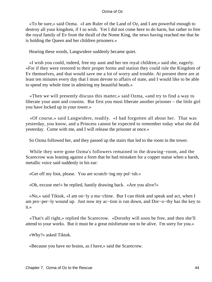«To be sure,» said Ozma. «I am Ruler of the Land of Oz, and I am powerful enough to destroy all your kingdom, if I so wish. Yet I did not come here to do harm, but rather to free the royal family of Ev from the thrall of the Nome King, the news having reached me that he is holding the Queen and her children prisoners.»

Hearing these words, Langwidere suddenly became quiet.

 «I wish you could, indeed, free my aunt and her ten royal children,» said she, eagerly. «For if they were restored to their proper forms and station they could rule the Kingdom of Ev themselves, and that would save me a lot of worry and trouble. At present there are at least ten minutes every day that I must devote to affairs of state, and I would like to be able to spend my whole time in admiring my beautiful heads.»

 «Then we will presently discuss this matter,» said Ozma, «and try to find a way to liberate your aunt and cousins. But first you must liberate another prisoner – the little girl you have locked up in your tower.»

 «Of course,» said Langwidere, readily. «I had forgotten all about her. That was yesterday, you know, and a Princess cannot be expected to remember today what she did yesterday. Come with me, and I will release the prisoner at once.»

So Ozma followed her, and they passed up the stairs that led to the room in the tower.

 While they were gone Ozma's followers remained in the drawing−room, and the Scarecrow was leaning against a form that he had mistaken for a copper statue when a harsh, metallic voice said suddenly in his ear:

«Get off my foot, please. You are scratch−ing my pol−ish.»

«Oh, excuse me!» he replied, hastily drawing back. «Are you alive?»

 «No,» said Tiktok, «I am on−ly a ma−chine. But I can think and speak and act, when I am pro−per−ly wound up. Just now my ac−tion is run down, and Dor−o−thy has the key to it.»

 «That's all right,» replied the Scarecrow. «Dorothy will soon be free, and then she'll attend to your works. But it must be a great misfortune not to be alive. I'm sorry for you.»

«Why?» asked Tiktok.

«Because you have no brains, as I have,» said the Scarecrow.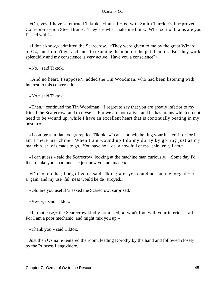«Oh, yes, I have,» returned Tiktok. «I am fit−ted with Smith Tin−ker's Im−proved Com−bi−na−tion Steel Brains. They are what make me think. What sort of brains are you fit−ted with?»

 «I don't know,» admitted the Scarecrow. «They were given to me by the great Wizard of Oz, and I didn't get a chance to examine them before he put them in. But they work splendidly and my conscience is very active. Have you a conscience?»

«No,» said Tiktok.

 «And no heart, I suppose?» added the Tin Woodman, who had been listening with interest to this conversation.

«No,» said Tiktok.

 «Then,» continued the Tin Woodman, «I regret to say that you are greatly inferior to my friend the Scarecrow, and to myself. For we are both alive, and he has brains which do not need to be wound up, while I have an excellent heart that is continually beating in my bosom.»

 «I con−grat−u−late you,» replied Tiktok. «I can−not help be−ing your in−fer−i−or for I am a mere ma−chine. When I am wound up I do my du−ty by go−ing just as my ma−chin−er−y is made to go. You have no i−de−a how full of ma−chin−er−y I am.»

 «I can guess,» said the Scarecrow, looking at the machine man curiously. «Some day I'd like to take you apart and see just how you are made.»

 «Do not do that, I beg of you,» said Tiktok; «for you could not put me to−geth−er a−gain, and my use−ful−ness would be de−stroyed.»

«Oh! are you useful?» asked the Scarecrow, surprised.

«Ve−ry,» said Tiktok.

 «In that case,» the Scarecrow kindly promised, «I won't fool with your interior at all. For I am a poor mechanic, and might mix you up.»

«Thank you,» said Tiktok.

 Just then Ozma re−entered the room, leading Dorothy by the hand and followed closely by the Princess Langwidere.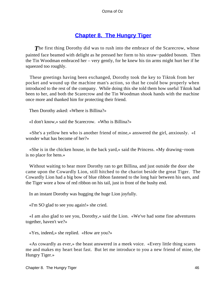## **[Chapter 8. The Hungry Tiger](#page-111-0)**

**The first thing Dorothy did was to rush into the embrace of the Scarecrow, whose** painted face beamed with delight as he pressed her form to his straw−padded bosom. Then the Tin Woodman embraced her – very gently, for he knew his tin arms might hurt her if he squeezed too roughly.

 These greetings having been exchanged, Dorothy took the key to Tiktok from her pocket and wound up the machine man's action, so that he could bow properly when introduced to the rest of the company. While doing this she told them how useful Tiktok had been to her, and both the Scarecrow and the Tin Woodman shook hands with the machine once more and thanked him for protecting their friend.

Then Dorothy asked: «Where is Billina?»

«I don't know,» said the Scarecrow. «Who is Billina?»

 «She's a yellow hen who is another friend of mine,» answered the girl, anxiously. «I wonder what has become of her?»

 «She is in the chicken house, in the back yard,» said the Princess. «My drawing−room is no place for hens.»

 Without waiting to hear more Dorothy ran to get Billina, and just outside the door she came upon the Cowardly Lion, still hitched to the chariot beside the great Tiger. The Cowardly Lion had a big bow of blue ribbon fastened to the long hair between his ears, and the Tiger wore a bow of red ribbon on his tail, just in front of the bushy end.

In an instant Dorothy was hugging the huge Lion joyfully.

«I'm SO glad to see you again!» she cried.

 «I am also glad to see you, Dorothy,» said the Lion. «We've had some fine adventures together, haven't we?»

«Yes, indeed,» she replied. «How are you?»

 «As cowardly as ever,» the beast answered in a meek voice. «Every little thing scares me and makes my heart beat fast. But let me introduce to you a new friend of mine, the Hungry Tiger.»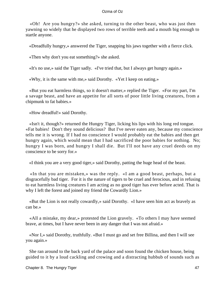«Oh! Are you hungry?» she asked, turning to the other beast, who was just then yawning so widely that he displayed two rows of terrible teeth and a mouth big enough to startle anyone.

«Dreadfully hungry,» answered the Tiger, snapping his jaws together with a fierce click.

«Then why don't you eat something?» she asked.

«It's no use,» said the Tiger sadly. «I've tried that, but I always get hungry again.»

«Why, it is the same with me,» said Dorothy. «Yet I keep on eating.»

 «But you eat harmless things, so it doesn't matter,» replied the Tiger. «For my part, I'm a savage beast, and have an appetite for all sorts of poor little living creatures, from a chipmunk to fat babies.»

«How dreadful!» said Dorothy.

 «Isn't it, though?» returned the Hungry Tiger, licking his lips with his long red tongue. «Fat babies! Don't they sound delicious? But I've never eaten any, because my conscience tells me it is wrong. If I had no conscience I would probably eat the babies and then get hungry again, which would mean that I had sacrificed the poor babies for nothing. No; hungry I was born, and hungry I shall die. But I'll not have any cruel deeds on my conscience to be sorry for.»

«I think you are a very good tiger,» said Dorothy, patting the huge head of the beast.

 «In that you are mistaken,» was the reply. «I am a good beast, perhaps, but a disgracefully bad tiger. For it is the nature of tigers to be cruel and ferocious, and in refusing to eat harmless living creatures I am acting as no good tiger has ever before acted. That is why I left the forest and joined my friend the Cowardly Lion.»

 «But the Lion is not really cowardly,» said Dorothy. «I have seen him act as bravely as can be.»

 «All a mistake, my dear,» protested the Lion gravely. «To others I may have seemed brave, at times, but I have never been in any danger that I was not afraid.»

 «Nor I,» said Dorothy, truthfully. «But I must go and set free Billina, and then I will see you again.»

 She ran around to the back yard of the palace and soon found the chicken house, being guided to it by a loud cackling and crowing and a distracting hubbub of sounds such as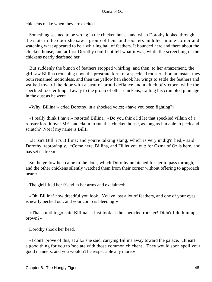chickens make when they are excited.

 Something seemed to be wrong in the chicken house, and when Dorothy looked through the slats in the door she saw a group of hens and roosters huddled in one corner and watching what appeared to be a whirling ball of feathers. It bounded here and there about the chicken house, and at first Dorothy could not tell what it was, while the screeching of the chickens nearly deafened her.

 But suddenly the bunch of feathers stopped whirling, and then, to her amazement, the girl saw Billina crouching upon the prostrate form of a speckled rooster. For an instant they both remained motionless, and then the yellow hen shook her wings to settle the feathers and walked toward the door with a strut of proud defiance and a cluck of victory, while the speckled rooster limped away to the group of other chickens, trailing his crumpled plumage in the dust as he went.

«Why, Billina!» cried Dorothy, in a shocked voice; «have you been fighting?»

 «I really think I have,» retorted Billina. «Do you think I'd let that speckled villain of a rooster lord it over ME, and claim to run this chicken house, as long as I'm able to peck and scratch? Not if my name is Bill!»

 «It isn't Bill, it's Billina; and you're talking slang, which is very undig'n'fied,» said Dorothy, reprovingly. «Come here, Billina, and I'll let you out; for Ozma of Oz is here, and has set us free.»

 So the yellow hen came to the door, which Dorothy unlatched for her to pass through, and the other chickens silently watched them from their corner without offering to approach nearer.

The girl lifted her friend in her arms and exclaimed:

 «Oh, Billina! how dreadful you look. You've lost a lot of feathers, and one of your eyes is nearly pecked out, and your comb is bleeding!»

 «That's nothing,» said Billina. «Just look at the speckled rooster! Didn't I do him up brown?»

Dorothy shook her head.

 «I don't 'prove of this, at all,» she said, carrying Billina away toward the palace. «It isn't a good thing for you to 'sociate with those common chickens. They would soon spoil your good manners, and you wouldn't be respec'able any more.»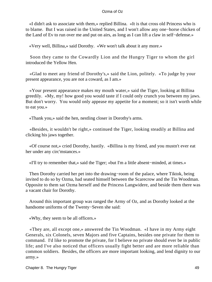«I didn't ask to associate with them,» replied Billina. «It is that cross old Princess who is to blame. But I was raised in the United States, and I won't allow any one−horse chicken of the Land of Ev to run over me and put on airs, as long as I can lift a claw in self−defense.»

«Very well, Billina,» said Dorothy. «We won't talk about it any more.»

 Soon they came to the Cowardly Lion and the Hungry Tiger to whom the girl introduced the Yellow Hen.

 «Glad to meet any friend of Dorothy's,» said the Lion, politely. «To judge by your present appearance, you are not a coward, as I am.»

 «Your present appearance makes my mouth water,» said the Tiger, looking at Billina greedily. «My, my! how good you would taste if I could only crunch you between my jaws. But don't worry. You would only appease my appetite for a moment; so it isn't worth while to eat you.»

«Thank you,» said the hen, nestling closer in Dorothy's arms.

 «Besides, it wouldn't be right,» continued the Tiger, looking steadily at Billina and clicking his jaws together.

 «Of course not,» cried Dorothy, hastily. «Billina is my friend, and you mustn't ever eat her under any circ'mstances.»

«I'll try to remember that,» said the Tiger; «but I'm a little absent−minded, at times.»

 Then Dorothy carried her pet into the drawing−room of the palace, where Tiktok, being invited to do so by Ozma, had seated himself between the Scarecrow and the Tin Woodman. Opposite to them sat Ozma herself and the Princess Langwidere, and beside them there was a vacant chair for Dorothy.

 Around this important group was ranged the Army of Oz, and as Dorothy looked at the handsome uniforms of the Twenty−Seven she said:

«Why, they seem to be all officers.»

 «They are, all except one,» answered the Tin Woodman. «I have in my Army eight Generals, six Colonels, seven Majors and five Captains, besides one private for them to command. I'd like to promote the private, for I believe no private should ever be in public life; and I've also noticed that officers usually fight better and are more reliable than common soldiers. Besides, the officers are more important looking, and lend dignity to our army.»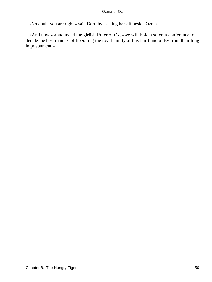«No doubt you are right,» said Dorothy, seating herself beside Ozma.

 «And now,» announced the girlish Ruler of Oz, «we will hold a solemn conference to decide the best manner of liberating the royal family of this fair Land of Ev from their long imprisonment.»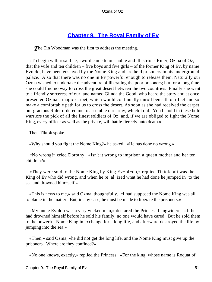# **[Chapter 9. The Royal Family of Ev](#page-111-0)**

**The Tin Woodman was the first to address the meeting.** 

 «To begin with,» said he, «word came to our noble and illustrious Ruler, Ozma of Oz, that the wife and ten children – five boys and five girls – of the former King of Ev, by name Evoldo, have been enslaved by the Nome King and are held prisoners in his underground palace. Also that there was no one in Ev powerful enough to release them. Naturally our Ozma wished to undertake the adventure of liberating the poor prisoners; but for a long time she could find no way to cross the great desert between the two countries. Finally she went to a friendly sorceress of our land named Glinda the Good, who heard the story and at once presented Ozma a magic carpet, which would continually unroll beneath our feet and so make a comfortable path for us to cross the desert. As soon as she had received the carpet our gracious Ruler ordered me to assemble our army, which I did. You behold in these bold warriors the pick of all the finest soldiers of Oz; and, if we are obliged to fight the Nome King, every officer as well as the private, will battle fiercely unto death.»

Then Tiktok spoke.

«Why should you fight the Nome King?» he asked. «He has done no wrong.»

 «No wrong!» cried Dorothy. «Isn't it wrong to imprison a queen mother and her ten children?»

 «They were sold to the Nome King by King Ev−ol−do,» replied Tiktok. «It was the King of Ev who did wrong, and when he re−al−ized what he had done he jumped in−to the sea and drowned him−self.»

 «This is news to me,» said Ozma, thoughtfully. «I had supposed the Nome King was all to blame in the matter. But, in any case, he must be made to liberate the prisoners.»

 «My uncle Evoldo was a very wicked man,» declared the Princess Langwidere. «If he had drowned himself before he sold his family, no one would have cared. But he sold them to the powerful Nome King in exchange for a long life, and afterward destroyed the life by jumping into the sea.»

 «Then,» said Ozma, «he did not get the long life, and the Nome King must give up the prisoners. Where are they confined?»

«No one knows, exactly,» replied the Princess. «For the king, whose name is Roquat of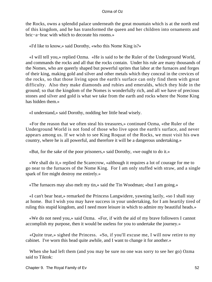the Rocks, owns a splendid palace underneath the great mountain which is at the north end of this kingdom, and he has transformed the queen and her children into ornaments and bric−a−brac with which to decorate his rooms.»

«I'd like to know,» said Dorothy, «who this Nome King is?»

 «I will tell you,» replied Ozma. «He is said to be the Ruler of the Underground World, and commands the rocks and all that the rocks contain. Under his rule are many thousands of the Nomes, who are queerly shaped but powerful sprites that labor at the furnaces and forges of their king, making gold and silver and other metals which they conceal in the crevices of the rocks, so that those living upon the earth's surface can only find them with great difficulty. Also they make diamonds and rubies and emeralds, which they hide in the ground; so that the kingdom of the Nomes is wonderfully rich, and all we have of precious stones and silver and gold is what we take from the earth and rocks where the Nome King has hidden them.»

«I understand,» said Dorothy, nodding her little head wisely.

 «For the reason that we often steal his treasures,» continued Ozma, «the Ruler of the Underground World is not fond of those who live upon the earth's surface, and never appears among us. If we wish to see King Roquat of the Rocks, we must visit his own country, where he is all powerful, and therefore it will be a dangerous undertaking.»

«But, for the sake of the poor prisoners,» said Dorothy, «we ought to do it.»

 «We shall do it,» replied the Scarecrow, «although it requires a lot of courage for me to go near to the furnaces of the Nome King. For I am only stuffed with straw, and a single spark of fire might destroy me entirely.»

«The furnaces may also melt my tin,» said the Tin Woodman; «but I am going.»

 «I can't bear heat,» remarked the Princess Langwidere, yawning lazily, «so I shall stay at home. But I wish you may have success in your undertaking, for I am heartily tired of ruling this stupid kingdom, and I need more leisure in which to admire my beautiful heads.»

 «We do not need you,» said Ozma. «For, if with the aid of my brave followers I cannot accomplish my purpose, then it would be useless for you to undertake the journey.»

 «Quite true,» sighed the Princess. «So, if you'll excuse me, I will now retire to my cabinet. I've worn this head quite awhile, and I want to change it for another.»

 When she had left them (and you may be sure no one was sorry to see her go) Ozma said to Tiktok: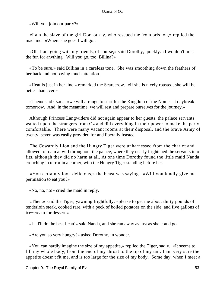«Will you join our party?»

 «I am the slave of the girl Dor−oth−y, who rescued me from pris−on,» replied the machine. «Where she goes I will go.»

 «Oh, I am going with my friends, of course,» said Dorothy, quickly. «I wouldn't miss the fun for anything. Will you go, too, Billina?»

 «To be sure,» said Billina in a careless tone. She was smoothing down the feathers of her back and not paying much attention.

 «Heat is just in her line,» remarked the Scarecrow. «If she is nicely roasted, she will be better than ever.»

 «Then» said Ozma, «we will arrange to start for the Kingdom of the Nomes at daybreak tomorrow. And, in the meantime, we will rest and prepare ourselves for the journey.»

 Although Princess Langwidere did not again appear to her guests, the palace servants waited upon the strangers from Oz and did everything in their power to make the party comfortable. There were many vacant rooms at their disposal, and the brave Army of twenty−seven was easily provided for and liberally feasted.

 The Cowardly Lion and the Hungry Tiger were unharnessed from the chariot and allowed to roam at will throughout the palace, where they nearly frightened the servants into fits, although they did no harm at all. At one time Dorothy found the little maid Nanda crouching in terror in a corner, with the Hungry Tiger standing before her.

 «You certainly look delicious,» the beast was saying. «Will you kindly give me permission to eat you?»

«No, no, no!» cried the maid in reply.

 «Then,» said the Tiger, yawning frightfully, «please to get me about thirty pounds of tenderloin steak, cooked rare, with a peck of boiled potatoes on the side, and five gallons of ice−cream for dessert.»

«I – I'll do the best I can!» said Nanda, and she ran away as fast as she could go.

«Are you so very hungry?» asked Dorothy, in wonder.

 «You can hardly imagine the size of my appetite,» replied the Tiger, sadly. «It seems to fill my whole body, from the end of my throat to the tip of my tail. I am very sure the appetite doesn't fit me, and is too large for the size of my body. Some day, when I meet a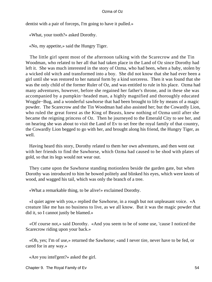dentist with a pair of forceps, I'm going to have it pulled.»

«What, your tooth?» asked Dorothy.

«No, my appetite,» said the Hungry Tiger.

 The little girl spent most of the afternoon talking with the Scarecrow and the Tin Woodman, who related to her all that had taken place in the Land of Oz since Dorothy had left it. She was much interested in the story of Ozma, who had been, when a baby, stolen by a wicked old witch and transformed into a boy. She did not know that she had ever been a girl until she was restored to her natural form by a kind sorceress. Then it was found that she was the only child of the former Ruler of Oz, and was entitled to rule in his place. Ozma had many adventures, however, before she regained her father's throne, and in these she was accompanied by a pumpkin−headed man, a highly magnified and thoroughly educated Woggle−Bug, and a wonderful sawhorse that had been brought to life by means of a magic powder. The Scarecrow and the Tin Woodman had also assisted her; but the Cowardly Lion, who ruled the great forest as the King of Beasts, knew nothing of Ozma until after she became the reigning princess of Oz. Then he journeyed to the Emerald City to see her, and on hearing she was about to visit the Land of Ev to set free the royal family of that country, the Cowardly Lion begged to go with her, and brought along his friend, the Hungry Tiger, as well.

 Having heard this story, Dorothy related to them her own adventures, and then went out with her friends to find the Sawhorse, which Ozma had caused to be shod with plates of gold, so that its legs would not wear out.

 They came upon the Sawhorse standing motionless beside the garden gate, but when Dorothy was introduced to him he bowed politely and blinked his eyes, which were knots of wood, and wagged his tail, which was only the branch of a tree.

«What a remarkable thing, to be alive!» exclaimed Dorothy.

 «I quiet agree with you,» replied the Sawhorse, in a rough but not unpleasant voice. «A creature like me has no business to live, as we all know. But it was the magic powder that did it, so I cannot justly be blamed.»

 «Of course not,» said Dorothy. «And you seem to be of some use, 'cause I noticed the Scarecrow riding upon your back.»

 «Oh, yes; I'm of use,» returned the Sawhorse; «and I never tire, never have to be fed, or cared for in any way.»

«Are you intel'gent?» asked the girl.

Chapter 9. The Royal Family of Ev 54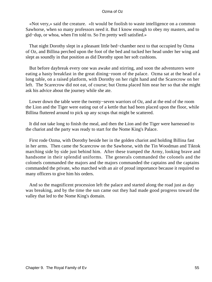«Not very,» said the creature. «It would be foolish to waste intelligence on a common Sawhorse, when so many professors need it. But I know enough to obey my masters, and to gid−dup, or whoa, when I'm told to. So I'm pretty well satisfied.»

 That night Dorothy slept in a pleasant little bed−chamber next to that occupied by Ozma of Oz, and Billina perched upon the foot of the bed and tucked her head under her wing and slept as soundly in that position as did Dorothy upon her soft cushions.

 But before daybreak every one was awake and stirring, and soon the adventurers were eating a hasty breakfast in the great dining−room of the palace. Ozma sat at the head of a long table, on a raised platform, with Dorothy on her right hand and the Scarecrow on her left. The Scarecrow did not eat, of course; but Ozma placed him near her so that she might ask his advice about the journey while she ate.

 Lower down the table were the twenty−seven warriors of Oz, and at the end of the room the Lion and the Tiger were eating out of a kettle that had been placed upon the floor, while Billina fluttered around to pick up any scraps that might be scattered.

 It did not take long to finish the meal, and then the Lion and the Tiger were harnessed to the chariot and the party was ready to start for the Nome King's Palace.

 First rode Ozma, with Dorothy beside her in the golden chariot and holding Billina fast in her arms. Then came the Scarecrow on the Sawhorse, with the Tin Woodman and Tiktok marching side by side just behind him. After these tramped the Army, looking brave and handsome in their splendid uniforms. The generals commanded the colonels and the colonels commanded the majors and the majors commanded the captains and the captains commanded the private, who marched with an air of proud importance because it required so many officers to give him his orders.

 And so the magnificent procession left the palace and started along the road just as day was breaking, and by the time the sun came out they had made good progress toward the valley that led to the Nome King's domain.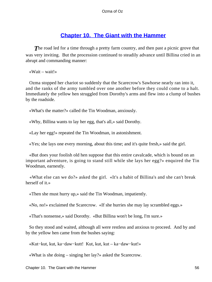# **[Chapter 10. The Giant with the Hammer](#page-111-0)**

**The road led for a time through a pretty farm country, and then past a picnic grove that** was very inviting. But the procession continued to steadily advance until Billina cried in an abrupt and commanding manner:

«Wait – wait!»

 Ozma stopped her chariot so suddenly that the Scarecrow's Sawhorse nearly ran into it, and the ranks of the army tumbled over one another before they could come to a halt. Immediately the yellow hen struggled from Dorothy's arms and flew into a clump of bushes by the roadside.

«What's the matter?» called the Tin Woodman, anxiously.

«Why, Billina wants to lay her egg, that's all,» said Dorothy.

«Lay her egg!» repeated the Tin Woodman, in astonishment.

«Yes; she lays one every morning, about this time; and it's quite fresh,» said the girl.

 «But does your foolish old hen suppose that this entire cavalcade, which is bound on an important adventure, is going to stand still while she lays her egg?» enquired the Tin Woodman, earnestly.

 «What else can we do?» asked the girl. «It's a habit of Billina's and she can't break herself of it.»

«Then she must hurry up,» said the Tin Woodman, impatiently.

«No, no!» exclaimed the Scarecrow. «If she hurries she may lay scrambled eggs.»

«That's nonsense,» said Dorothy. «But Billina won't be long, I'm sure.»

 So they stood and waited, although all were restless and anxious to proceed. And by and by the yellow hen came from the bushes saying:

«Kut−kut, kut, ka−daw−kutt! Kut, kut, kut – ka−daw−kut!»

«What is she doing – singing her lay?» asked the Scarecrow.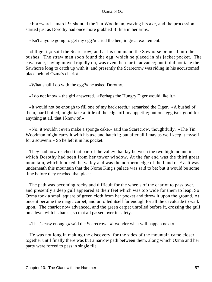«For−ward – march!» shouted the Tin Woodman, waving his axe, and the procession started just as Dorothy had once more grabbed Billina in her arms.

«Isn't anyone going to get my egg?» cried the hen, in great excitement.

 «I'll get it,» said the Scarecrow; and at his command the Sawhorse pranced into the bushes. The straw man soon found the egg, which he placed in his jacket pocket. The cavalcade, having moved rapidly on, was even then far in advance; but it did not take the Sawhorse long to catch up with it, and presently the Scarecrow was riding in his accustomed place behind Ozma's chariot.

«What shall I do with the egg?» he asked Dorothy.

«I do not know,» the girl answered. «Perhaps the Hungry Tiger would like it.»

 «It would not be enough to fill one of my back teeth,» remarked the Tiger. «A bushel of them, hard boiled, might take a little of the edge off my appetite; but one egg isn't good for anything at all, that I know of.»

 «No; it wouldn't even make a sponge cake,» said the Scarecrow, thoughtfully. «The Tin Woodman might carry it with his axe and hatch it; but after all I may as well keep it myself for a souvenir.» So he left it in his pocket.

 They had now reached that part of the valley that lay between the two high mountains which Dorothy had seen from her tower window. At the far end was the third great mountain, which blocked the valley and was the northern edge of the Land of Ev. It was underneath this mountain that the Nome King's palace was said to be; but it would be some time before they reached that place.

 The path was becoming rocky and difficult for the wheels of the chariot to pass over, and presently a deep gulf appeared at their feet which was too wide for them to leap. So Ozma took a small square of green cloth from her pocket and threw it upon the ground. At once it became the magic carpet, and unrolled itself far enough for all the cavalcade to walk upon. The chariot now advanced, and the green carpet unrolled before it, crossing the gulf on a level with its banks, so that all passed over in safety.

«That's easy enough,» said the Scarecrow. «I wonder what will happen next.»

 He was not long in making the discovery, for the sides of the mountain came closer together until finally there was but a narrow path between them, along which Ozma and her party were forced to pass in single file.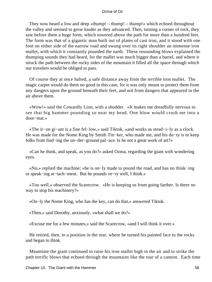They now heard a low and deep «thump! – thump! – thump!» which echoed throughout the valley and seemed to grow louder as they advanced. Then, turning a corner of rock, they saw before them a huge form, which towered above the path for more than a hundred feet. The form was that of a gigantic man built out of plates of cast iron, and it stood with one foot on either side of the narrow road and swung over its right shoulder an immense iron mallet, with which it constantly pounded the earth. These resounding blows explained the thumping sounds they had heard, for the mallet was much bigger than a barrel, and where it struck the path between the rocky sides of the mountain it filled all the space through which our travelers would be obliged to pass.

 Of course they at once halted, a safe distance away from the terrible iron mallet. The magic carpet would do them no good in this case, for it was only meant to protect them from any dangers upon the ground beneath their feet, and not from dangers that appeared in the air above them.

 «Wow!» said the Cowardly Lion, with a shudder. «It makes me dreadfully nervous to see that big hammer pounding so near my head. One blow would crush me into a door−mat.»

 «The ir−on gi−ant is a fine fel−low,» said Tiktok, «and works as stead−i−ly as a clock. He was made for the Nome King by Smith Tin−ker, who made me, and his du−ty is to keep folks from find−ing the un−der−ground pal−ace. Is he not a great work of art?»

 «Can he think, and speak, as you do?» asked Ozma, regarding the giant with wondering eyes.

 «No,» replied the machine; «he is on−ly made to pound the road, and has no think−ing or speak−ing at−tach−ment. But he pounds ve−ry well, I think.»

 «Too well,» observed the Scarecrow. «He is keeping us from going farther. Is there no way to stop his machinery?»

«On−ly the Nome King, who has the key, can do that,» answered Tiktok.

«Then,» said Dorothy, anxiously, «what shall we do?»

«Excuse me for a few minutes,» said the Scarecrow, «and I will think it over.»

 He retired, then, to a position in the rear, where he turned his painted face to the rocks and began to think.

 Meantime the giant continued to raise his iron mallet high in the air and to strike the path terrific blows that echoed through the mountains like the roar of a cannon. Each time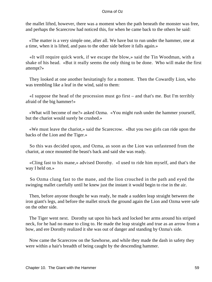the mallet lifted, however, there was a moment when the path beneath the monster was free, and perhaps the Scarecrow had noticed this, for when he came back to the others he said:

 «The matter is a very simple one, after all. We have but to run under the hammer, one at a time, when it is lifted, and pass to the other side before it falls again.»

 «It will require quick work, if we escape the blow,» said the Tin Woodman, with a shake of his head. «But it really seems the only thing to be done. Who will make the first attempt?»

 They looked at one another hesitatingly for a moment. Then the Cowardly Lion, who was trembling like a leaf in the wind, said to them:

 «I suppose the head of the procession must go first – and that's me. But I'm terribly afraid of the big hammer!»

 «What will become of me?» asked Ozma. «You might rush under the hammer yourself, but the chariot would surely be crushed.»

 «We must leave the chariot,» said the Scarecrow. «But you two girls can ride upon the backs of the Lion and the Tiger.»

 So this was decided upon, and Ozma, as soon as the Lion was unfastened from the chariot, at once mounted the beast's back and said she was ready.

 «Cling fast to his mane,» advised Dorothy. «I used to ride him myself, and that's the way I held on.»

 So Ozma clung fast to the mane, and the lion crouched in the path and eyed the swinging mallet carefully until he knew just the instant it would begin to rise in the air.

 Then, before anyone thought he was ready, he made a sudden leap straight between the iron giant's legs, and before the mallet struck the ground again the Lion and Ozma were safe on the other side.

 The Tiger went next. Dorothy sat upon his back and locked her arms around his striped neck, for he had no mane to cling to. He made the leap straight and true as an arrow from a bow, and ere Dorothy realized it she was out of danger and standing by Ozma's side.

 Now came the Scarecrow on the Sawhorse, and while they made the dash in safety they were within a hair's breadth of being caught by the descending hammer.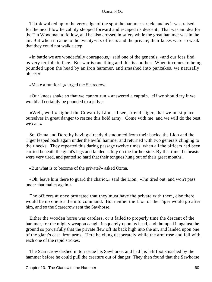Tiktok walked up to the very edge of the spot the hammer struck, and as it was raised for the next blow he calmly stepped forward and escaped its descent. That was an idea for the Tin Woodman to follow, and he also crossed in safety while the great hammer was in the air. But when it came to the twenty−six officers and the private, their knees were so weak that they could not walk a step.

 «In battle we are wonderfully courageous,» said one of the generals, «and our foes find us very terrible to face. But war is one thing and this is another. When it comes to being pounded upon the head by an iron hammer, and smashed into pancakes, we naturally object.»

«Make a run for it,» urged the Scarecrow.

 «Our knees shake so that we cannot run,» answered a captain. «If we should try it we would all certainly be pounded to a jelly.»

 «Well, well,» sighed the Cowardly Lion, «I see, friend Tiger, that we must place ourselves in great danger to rescue this bold army. Come with me, and we will do the best we can.»

 So, Ozma and Dorothy having already dismounted from their backs, the Lion and the Tiger leaped back again under the awful hammer and returned with two generals clinging to their necks. They repeated this daring passage twelve times, when all the officers had been carried beneath the giant's legs and landed safely on the further side. By that time the beasts were very tired, and panted so hard that their tongues hung out of their great mouths.

«But what is to become of the private?» asked Ozma.

 «Oh, leave him there to guard the chariot,» said the Lion. «I'm tired out, and won't pass under that mallet again.»

 The officers at once protested that they must have the private with them, else there would be no one for them to command. But neither the Lion or the Tiger would go after him, and so the Scarecrow sent the Sawhorse.

 Either the wooden horse was careless, or it failed to properly time the descent of the hammer, for the mighty weapon caught it squarely upon its head, and thumped it against the ground so powerfully that the private flew off its back high into the air, and landed upon one of the giant's cast−iron arms. Here he clung desperately while the arm rose and fell with each one of the rapid strokes.

 The Scarecrow dashed in to rescue his Sawhorse, and had his left foot smashed by the hammer before he could pull the creature out of danger. They then found that the Sawhorse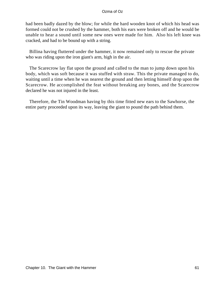had been badly dazed by the blow; for while the hard wooden knot of which his head was formed could not be crushed by the hammer, both his ears were broken off and he would be unable to hear a sound until some new ones were made for him. Also his left knee was cracked, and had to be bound up with a string.

 Billina having fluttered under the hammer, it now remained only to rescue the private who was riding upon the iron giant's arm, high in the air.

 The Scarecrow lay flat upon the ground and called to the man to jump down upon his body, which was soft because it was stuffed with straw. This the private managed to do, waiting until a time when he was nearest the ground and then letting himself drop upon the Scarecrow. He accomplished the feat without breaking any bones, and the Scarecrow declared he was not injured in the least.

 Therefore, the Tin Woodman having by this time fitted new ears to the Sawhorse, the entire party proceeded upon its way, leaving the giant to pound the path behind them.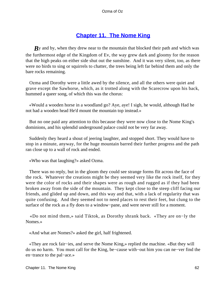## **[Chapter 11. The Nome King](#page-111-0)**

*By* and by, when they drew near to the mountain that blocked their path and which was the furthermost edge of the Kingdom of Ev, the way grew dark and gloomy for the reason that the high peaks on either side shut out the sunshine. And it was very silent, too, as there were no birds to sing or squirrels to chatter, the trees being left far behind them and only the bare rocks remaining.

 Ozma and Dorothy were a little awed by the silence, and all the others were quiet and grave except the Sawhorse, which, as it trotted along with the Scarecrow upon his back, hummed a queer song, of which this was the chorus:

 «Would a wooden horse in a woodland go? Aye, aye! I sigh, he would, although Had he not had a wooden head He'd mount the mountain top instead.»

 But no one paid any attention to this because they were now close to the Nome King's dominions, and his splendid underground palace could not be very far away.

 Suddenly they heard a shout of jeering laughter, and stopped short. They would have to stop in a minute, anyway, for the huge mountain barred their further progress and the path ran close up to a wall of rock and ended.

«Who was that laughing?» asked Ozma.

 There was no reply, but in the gloom they could see strange forms flit across the face of the rock. Whatever the creations might be they seemed very like the rock itself, for they were the color of rocks and their shapes were as rough and rugged as if they had been broken away from the side of the mountain. They kept close to the steep cliff facing our friends, and glided up and down, and this way and that, with a lack of regularity that was quite confusing. And they seemed not to need places to rest their feet, but clung to the surface of the rock as a fly does to a window−pane, and were never still for a moment.

 «Do not mind them,» said Tiktok, as Dorothy shrank back. «They are on−ly the Nomes.»

«And what are Nomes?» asked the girl, half frightened.

 «They are rock fair−ies, and serve the Nome King,» replied the machine. «But they will do us no harm. You must call for the King, be−cause with−out him you can ne−ver find the en−trance to the pal−ace.»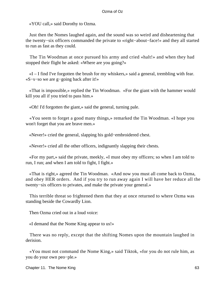«YOU call,» said Dorothy to Ozma.

 Just then the Nomes laughed again, and the sound was so weird and disheartening that the twenty−six officers commanded the private to «right−about−face!» and they all started to run as fast as they could.

 The Tin Woodman at once pursued his army and cried «halt!» and when they had stopped their flight he asked: «Where are you going?»

 «I – I find I've forgotten the brush for my whiskers,» said a general, trembling with fear. «S−s−so we are g−going back after it!»

 «That is impossible,» replied the Tin Woodman. «For the giant with the hammer would kill you all if you tried to pass him.»

«Oh! I'd forgotten the giant,» said the general, turning pale.

 «You seem to forget a good many things,» remarked the Tin Woodman. «I hope you won't forget that you are brave men.»

«Never!» cried the general, slapping his gold−embroidered chest.

«Never!» cried all the other officers, indignantly slapping their chests.

 «For my part,» said the private, meekly, «I must obey my officers; so when I am told to run, I run; and when I am told to fight, I fight.»

 «That is right,» agreed the Tin Woodman. «And now you must all come back to Ozma, and obey HER orders. And if you try to run away again I will have her reduce all the twenty−six officers to privates, and make the private your general.»

 This terrible threat so frightened them that they at once returned to where Ozma was standing beside the Cowardly Lion.

Then Ozma cried out in a loud voice:

«I demand that the Nome King appear to us!»

 There was no reply, except that the shifting Nomes upon the mountain laughed in derision.

 «You must not command the Nome King,» said Tiktok, «for you do not rule him, as you do your own peo−ple.»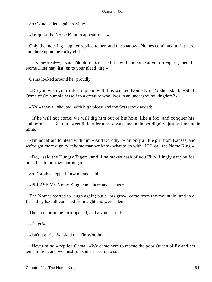So Ozma called again, saying:

«I request the Nome King to appear to us.»

 Only the mocking laughter replied to her, and the shadowy Nomes continued to flit here and there upon the rocky cliff.

 «Try en−treat−y,» said Tiktok to Ozma. «If he will not come at your re−quest, then the Nome King may list−en to your plead−ing.»

Ozma looked around her proudly.

 «Do you wish your ruler to plead with this wicked Nome King?» she asked. «Shall Ozma of Oz humble herself to a creature who lives in an underground kingdom?»

«No!» they all shouted, with big voices; and the Scarecrow added:

 «If he will not come, we will dig him out of his hole, like a fox, and conquer his stubbornness. But our sweet little ruler must always maintain her dignity, just as I maintain mine.»

 «I'm not afraid to plead with him,» said Dorothy. «I'm only a little girl from Kansas, and we've got more dignity at home than we know what to do with. I'LL call the Nome King.»

 «Do,» said the Hungry Tiger; «and if he makes hash of you I'll willingly eat you for breakfast tomorrow morning.»

So Dorothy stepped forward and said:

«PLEASE Mr. Nome King, come here and see us.»

 The Nomes started to laugh again; but a low growl came from the mountain, and in a flash they had all vanished from sight and were silent.

Then a door in the rock opened, and a voice cried:

«Enter!»

«Isn't it a trick?» asked the Tin Woodman.

 «Never mind,» replied Ozma. «We came here to rescue the poor Queen of Ev and her ten children, and we must run some risks to do so.»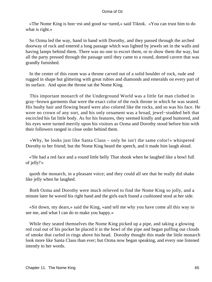«The Nome King is hon−est and good na−tured,» said Tiktok. «You can trust him to do what is right.»

 So Ozma led the way, hand in hand with Dorothy, and they passed through the arched doorway of rock and entered a long passage which was lighted by jewels set in the walls and having lamps behind them. There was no one to escort them, or to show them the way, but all the party pressed through the passage until they came to a round, domed cavern that was grandly furnished.

 In the center of this room was a throne carved out of a solid boulder of rock, rude and rugged in shape but glittering with great rubies and diamonds and emeralds on every part of its surface. And upon the throne sat the Nome King.

 This important monarch of the Underground World was a little fat man clothed in gray−brown garments that were the exact color of the rock throne in which he was seated. His bushy hair and flowing beard were also colored like the rocks, and so was his face. He wore no crown of any sort, and his only ornament was a broad, jewel−studded belt that encircled his fat little body. As for his features, they seemed kindly and good humored, and his eyes were turned merrily upon his visitors as Ozma and Dorothy stood before him with their followers ranged in close order behind them.

 «Why, he looks just like Santa Claus – only he isn't the same color!» whispered Dorothy to her friend; but the Nome King heard the speech, and it made him laugh aloud.

 «'He had a red face and a round little belly That shook when he laughed like a bowl full of jelly!'»

 quoth the monarch, in a pleasant voice; and they could all see that he really did shake like jelly when he laughed.

 Both Ozma and Dorothy were much relieved to find the Nome King so jolly, and a minute later he waved his right hand and the girls each found a cushioned stool at her side.

 «Sit down, my dears,» said the King, «and tell me why you have come all this way to see me, and what I can do to make you happy.»

 While they seated themselves the Nome King picked up a pipe, and taking a glowing red coal out of his pocket he placed it in the bowl of the pipe and began puffing out clouds of smoke that curled in rings above his head. Dorothy thought this made the little monarch look more like Santa Claus than ever; but Ozma now began speaking, and every one listened intently to her words.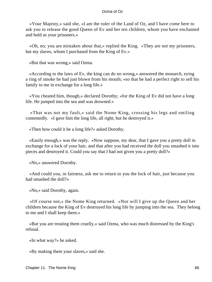«Your Majesty,» said she, «I am the ruler of the Land of Oz, and I have come here to ask you to release the good Queen of Ev and her ten children, whom you have enchanted and hold as your prisoners.»

 «Oh, no; you are mistaken about that,» replied the King. «They are not my prisoners, but my slaves, whom I purchased from the King of Ev.»

«But that was wrong,» said Ozma.

 «According to the laws of Ev, the king can do no wrong,» answered the monarch, eying a ring of smoke he had just blown from his mouth; «so that he had a perfect right to sell his family to me in exchange for a long life.»

 «You cheated him, though,» declared Dorothy; «for the King of Ev did not have a long life. He jumped into the sea and was drowned.»

 «That was not my fault,» said the Nome King, crossing his legs and smiling contentedly. «I gave him the long life, all right; but he destroyed it.»

«Then how could it be a long life?» asked Dorothy.

 «Easily enough,» was the reply. «Now suppose, my dear, that I gave you a pretty doll in exchange for a lock of your hair, and that after you had received the doll you smashed it into pieces and destroyed it. Could you say that I had not given you a pretty doll?»

«No,» answered Dorothy.

 «And could you, in fairness, ask me to return to you the lock of hair, just because you had smashed the doll?»

«No,» said Dorothy, again.

 «Of course not,» the Nome King returned. «Nor will I give up the Queen and her children because the King of Ev destroyed his long life by jumping into the sea. They belong to me and I shall keep them.»

 «But you are treating them cruelly,» said Ozma, who was much distressed by the King's refusal.

«In what way?» he asked.

«By making them your slaves,» said she.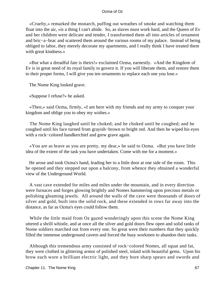«Cruelty,» remarked the monarch, puffing out wreathes of smoke and watching them float into the air, «is a thing I can't abide. So, as slaves must work hard, and the Queen of Ev and her children were delicate and tender, I transformed them all into articles of ornament and bric−a−brac and scattered them around the various rooms of my palace. Instead of being obliged to labor, they merely decorate my apartments, and I really think I have treated them with great kindness.»

 «But what a dreadful fate is theirs!» exclaimed Ozma, earnestly. «And the Kingdom of Ev is in great need of its royal family to govern it. If you will liberate them, and restore them to their proper forms, I will give you ten ornaments to replace each one you lose.»

The Nome King looked grave.

«Suppose I refuse?» he asked.

 «Then,» said Ozma, firmly, «I am here with my friends and my army to conquer your kingdom and oblige you to obey my wishes.»

 The Nome King laughed until he choked; and he choked until he coughed; and he coughed until his face turned from grayish−brown to bright red. And then he wiped his eyes with a rock−colored handkerchief and grew grave again.

 «You are as brave as you are pretty, my dear,» he said to Ozma. «But you have little idea of the extent of the task you have undertaken. Come with me for a moment.»

 He arose and took Ozma's hand, leading her to a little door at one side of the room. This he opened and they stepped out upon a balcony, from whence they obtained a wonderful view of the Underground World.

 A vast cave extended for miles and miles under the mountain, and in every direction were furnaces and forges glowing brightly and Nomes hammering upon precious metals or polishing gleaming jewels. All around the walls of the cave were thousands of doors of silver and gold, built into the solid rock, and these extended in rows far away into the distance, as far as Ozma's eyes could follow them.

 While the little maid from Oz gazed wonderingly upon this scene the Nome King uttered a shrill whistle, and at once all the silver and gold doors flew open and solid ranks of Nome soldiers marched out from every one. So great were their numbers that they quickly filled the immense underground cavern and forced the busy workmen to abandon their tasks.

 Although this tremendous army consisted of rock−colored Nomes, all squat and fat, they were clothed in glittering armor of polished steel, inlaid with beautiful gems. Upon his brow each wore a brilliant electric light, and they bore sharp spears and swords and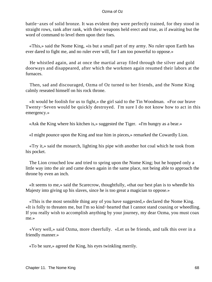battle−axes of solid bronze. It was evident they were perfectly trained, for they stood in straight rows, rank after rank, with their weapons held erect and true, as if awaiting but the word of command to level them upon their foes.

 «This,» said the Nome King, «is but a small part of my army. No ruler upon Earth has ever dared to fight me, and no ruler ever will, for I am too powerful to oppose.»

 He whistled again, and at once the martial array filed through the silver and gold doorways and disappeared, after which the workmen again resumed their labors at the furnaces.

 Then, sad and discouraged, Ozma of Oz turned to her friends, and the Nome King calmly reseated himself on his rock throne.

 «It would be foolish for us to fight,» the girl said to the Tin Woodman. «For our brave Twenty−Seven would be quickly destroyed. I'm sure I do not know how to act in this emergency.»

«Ask the King where his kitchen is,» suggested the Tiger. «I'm hungry as a bear.»

«I might pounce upon the King and tear him in pieces,» remarked the Cowardly Lion.

 «Try it,» said the monarch, lighting his pipe with another hot coal which he took from his pocket.

 The Lion crouched low and tried to spring upon the Nome King; but he hopped only a little way into the air and came down again in the same place, not being able to approach the throne by even an inch.

 «It seems to me,» said the Scarecrow, thoughtfully, «that our best plan is to wheedle his Majesty into giving up his slaves, since he is too great a magician to oppose.»

 «This is the most sensible thing any of you have suggested,» declared the Nome King. «It is folly to threaten me, but I'm so kind−hearted that I cannot stand coaxing or wheedling. If you really wish to accomplish anything by your journey, my dear Ozma, you must coax me.»

 «Very well,» said Ozma, more cheerfully. «Let us be friends, and talk this over in a friendly manner.»

«To be sure,» agreed the King, his eyes twinkling merrily.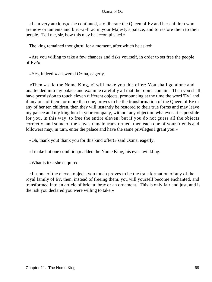«I am very anxious,» she continued, «to liberate the Queen of Ev and her children who are now ornaments and bric−a−brac in your Majesty's palace, and to restore them to their people. Tell me, sir, how this may be accomplished.»

The king remained thoughtful for a moment, after which he asked:

 «Are you willing to take a few chances and risks yourself, in order to set free the people of Ev?»

«Yes, indeed!» answered Ozma, eagerly.

 «Then,» said the Nome King, «I will make you this offer: You shall go alone and unattended into my palace and examine carefully all that the rooms contain. Then you shall have permission to touch eleven different objects, pronouncing at the time the word 'Ev,' and if any one of them, or more than one, proves to be the transformation of the Queen of Ev or any of her ten children, then they will instantly be restored to their true forms and may leave my palace and my kingdom in your company, without any objection whatever. It is possible for you, in this way, to free the entire eleven; but if you do not guess all the objects correctly, and some of the slaves remain transformed, then each one of your friends and followers may, in turn, enter the palace and have the same privileges I grant you.»

«Oh, thank you! thank you for this kind offer!» said Ozma, eagerly.

«I make but one condition,» added the Nome King, his eyes twinkling.

«What is it?» she enquired.

 «If none of the eleven objects you touch proves to be the transformation of any of the royal family of Ev, then, instead of freeing them, you will yourself become enchanted, and transformed into an article of bric−a−brac or an ornament. This is only fair and just, and is the risk you declared you were willing to take.»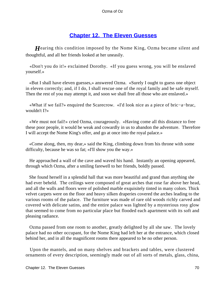## **[Chapter 12. The Eleven Guesses](#page-111-0)**

*H*earing this condition imposed by the Nome King, Ozma became silent and thoughtful, and all her friends looked at her uneasily.

 «Don't you do it!» exclaimed Dorothy. «If you guess wrong, you will be enslaved yourself.»

 «But I shall have eleven guesses,» answered Ozma. «Surely I ought to guess one object in eleven correctly; and, if I do, I shall rescue one of the royal family and be safe myself. Then the rest of you may attempt it, and soon we shall free all those who are enslaved.»

 «What if we fail?» enquired the Scarecrow. «I'd look nice as a piece of bric−a−brac, wouldn't I?»

 «We must not fail!» cried Ozma, courageously. «Having come all this distance to free these poor people, it would be weak and cowardly in us to abandon the adventure. Therefore I will accept the Nome King's offer, and go at once into the royal palace.»

 «Come along, then, my dear,» said the King, climbing down from his throne with some difficulty, because he was so fat; «I'll show you the way.»

 He approached a wall of the cave and waved his hand. Instantly an opening appeared, through which Ozma, after a smiling farewell to her friends, boldly passed.

 She found herself in a splendid hall that was more beautiful and grand than anything she had ever beheld. The ceilings were composed of great arches that rose far above her head, and all the walls and floors were of polished marble exquisitely tinted in many colors. Thick velvet carpets were on the floor and heavy silken draperies covered the arches leading to the various rooms of the palace. The furniture was made of rare old woods richly carved and covered with delicate satins, and the entire palace was lighted by a mysterious rosy glow that seemed to come from no particular place but flooded each apartment with its soft and pleasing radiance.

 Ozma passed from one room to another, greatly delighted by all she saw. The lovely palace had no other occupant, for the Nome King had left her at the entrance, which closed behind her, and in all the magnificent rooms there appeared to be no other person.

 Upon the mantels, and on many shelves and brackets and tables, were clustered ornaments of every description, seemingly made out of all sorts of metals, glass, china,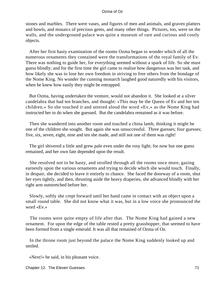stones and marbles. There were vases, and figures of men and animals, and graven platters and bowls, and mosaics of precious gems, and many other things. Pictures, too, were on the walls, and the underground palace was quite a museum of rare and curious and costly objects.

 After her first hasty examination of the rooms Ozma began to wonder which of all the numerous ornaments they contained were the transformations of the royal family of Ev. There was nothing to guide her, for everything seemed without a spark of life. So she must guess blindly; and for the first time the girl came to realize how dangerous was her task, and how likely she was to lose her own freedom in striving to free others from the bondage of the Nome King. No wonder the cunning monarch laughed good naturedly with his visitors, when he knew how easily they might be entrapped.

 But Ozma, having undertaken the venture, would not abandon it. She looked at a silver candelabra that had ten branches, and thought: «This may be the Queen of Ev and her ten children.» So she touched it and uttered aloud the word «Ev,» as the Nome King had instructed her to do when she guessed. But the candelabra remained as it was before.

 Then she wandered into another room and touched a china lamb, thinking it might be one of the children she sought. But again she was unsuccessful. Three guesses; four guesses; five, six, seven, eight, nine and ten she made, and still not one of them was right!

 The girl shivered a little and grew pale even under the rosy light; for now but one guess remained, and her own fate depended upon the result.

 She resolved not to be hasty, and strolled through all the rooms once more, gazing earnestly upon the various ornaments and trying to decide which she would touch. Finally, in despair, she decided to leave it entirely to chance. She faced the doorway of a room, shut her eyes tightly, and then, thrusting aside the heavy draperies, she advanced blindly with her right arm outstretched before her.

 Slowly, softly she crept forward until her hand came in contact with an object upon a small round table. She did not know what it was, but in a low voice she pronounced the word «Ev.»

 The rooms were quite empty of life after that. The Nome King had gained a new ornament. For upon the edge of the table rested a pretty grasshopper, that seemed to have been formed from a single emerald. It was all that remained of Ozma of Oz.

 In the throne room just beyond the palace the Nome King suddenly looked up and smiled.

«Next!» he said, in his pleasant voice.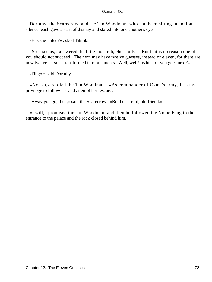Dorothy, the Scarecrow, and the Tin Woodman, who had been sitting in anxious silence, each gave a start of dismay and stared into one another's eyes.

«Has she failed?» asked Tiktok.

 «So it seems,» answered the little monarch, cheerfully. «But that is no reason one of you should not succeed. The next may have twelve guesses, instead of eleven, for there are now twelve persons transformed into ornaments. Well, well! Which of you goes next?»

«I'll go,» said Dorothy.

 «Not so,» replied the Tin Woodman. «As commander of Ozma's army, it is my privilege to follow her and attempt her rescue.»

«Away you go, then,» said the Scarecrow. «But be careful, old friend.»

 «I will,» promised the Tin Woodman; and then he followed the Nome King to the entrance to the palace and the rock closed behind him.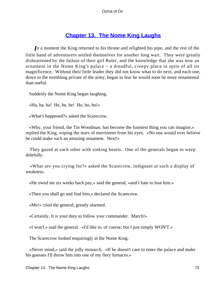# **[Chapter 13. The Nome King Laughs](#page-111-0)**

*I*n a moment the King returned to his throne and relighted his pipe, and the rest of the little band of adventurers settled themselves for another long wait. They were greatly disheartened by the failure of their girl Ruler, and the knowledge that she was now an ornament in the Nome King's palace – a dreadful, creepy place in spite of all its magnificence. Without their little leader they did not know what to do next, and each one, down to the trembling private of the army, began to fear he would soon be more ornamental than useful.

Suddenly the Nome King began laughing.

«Ha, ha, ha! He, he, he! Ho, ho, ho!»

«What's happened?» asked the Scarecrow.

 «Why, your friend, the Tin Woodman, has become the funniest thing you can imagine,» replied the King, wiping the tears of merriment from his eyes. «No one would ever believe he could make such an amusing ornament. Next!»

 They gazed at each other with sinking hearts. One of the generals began to weep dolefully.

 «What are you crying for?» asked the Scarecrow, indignant at such a display of weakness.

«He owed me six weeks back pay,» said the general, «and I hate to lose him.»

«Then you shall go and find him,» declared the Scarecrow.

«Me!» cried the general, greatly alarmed.

«Certainly. It is your duty to follow your commander. March!»

«I won't,» said the general. «I'd like to, of course; but I just simply WON'T.»

The Scarecrow looked enquiringly at the Nome King.

 «Never mind,» said the jolly monarch. «If he doesn't care to enter the palace and make his guesses I'll throw him into one of my fiery furnaces.»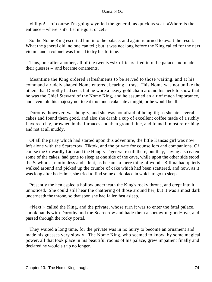«I'll go! – of course I'm going,» yelled the general, as quick as scat. «Where is the entrance – where is it? Let me go at once!»

 So the Nome King escorted him into the palace, and again returned to await the result. What the general did, no one can tell; but it was not long before the King called for the next victim, and a colonel was forced to try his fortune.

 Thus, one after another, all of the twenty−six officers filed into the palace and made their guesses – and became ornaments.

 Meantime the King ordered refreshments to be served to those waiting, and at his command a rudely shaped Nome entered, bearing a tray. This Nome was not unlike the others that Dorothy had seen, but he wore a heavy gold chain around his neck to show that he was the Chief Steward of the Nome King, and he assumed an air of much importance, and even told his majesty not to eat too much cake late at night, or he would be ill.

 Dorothy, however, was hungry, and she was not afraid of being ill; so she ate several cakes and found them good, and also she drank a cup of excellent coffee made of a richly flavored clay, browned in the furnaces and then ground fine, and found it most refreshing and not at all muddy.

 Of all the party which had started upon this adventure, the little Kansas girl was now left alone with the Scarecrow, Tiktok, and the private for counsellors and companions. Of course the Cowardly Lion and the Hungry Tiger were still there, but they, having also eaten some of the cakes, had gone to sleep at one side of the cave, while upon the other side stood the Sawhorse, motionless and silent, as became a mere thing of wood. Billina had quietly walked around and picked up the crumbs of cake which had been scattered, and now, as it was long after bed−time, she tried to find some dark place in which to go to sleep.

 Presently the hen espied a hollow underneath the King's rocky throne, and crept into it unnoticed. She could still hear the chattering of those around her, but it was almost dark underneath the throne, so that soon she had fallen fast asleep.

 «Next!» called the King, and the private, whose turn it was to enter the fatal palace, shook hands with Dorothy and the Scarecrow and bade them a sorrowful good−bye, and passed through the rocky portal.

 They waited a long time, for the private was in no hurry to become an ornament and made his guesses very slowly. The Nome King, who seemed to know, by some magical power, all that took place in his beautiful rooms of his palace, grew impatient finally and declared he would sit up no longer.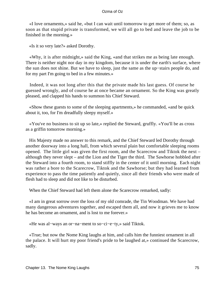«I love ornaments,» said he, «but I can wait until tomorrow to get more of them; so, as soon as that stupid private is transformed, we will all go to bed and leave the job to be finished in the morning.»

«Is it so very late?» asked Dorothy.

 «Why, it is after midnight,» said the King, «and that strikes me as being late enough. There is neither night nor day in my kingdom, because it is under the earth's surface, where the sun does not shine. But we have to sleep, just the same as the up−stairs people do, and for my part I'm going to bed in a few minutes.»

 Indeed, it was not long after this that the private made his last guess. Of course he guessed wrongly, and of course he at once became an ornament. So the King was greatly pleased, and clapped his hands to summon his Chief Steward.

 «Show these guests to some of the sleeping apartments,» he commanded, «and be quick about it, too, for I'm dreadfully sleepy myself.»

 «You've no business to sit up so late,» replied the Steward, gruffly. «You'll be as cross as a griffin tomorrow morning.»

 His Majesty made no answer to this remark, and the Chief Steward led Dorothy through another doorway into a long hall, from which several plain but comfortable sleeping rooms opened. The little girl was given the first room, and the Scarecrow and Tiktok the next – although they never slept – and the Lion and the Tiger the third. The Sawhorse hobbled after the Steward into a fourth room, to stand stiffly in the center of it until morning. Each night was rather a bore to the Scarecrow, Tiktok and the Sawhorse; but they had learned from experience to pass the time patiently and quietly, since all their friends who were made of flesh had to sleep and did not like to be disturbed.

When the Chief Steward had left them alone the Scarecrow remarked, sadly:

 «I am in great sorrow over the loss of my old comrade, the Tin Woodman. We have had many dangerous adventures together, and escaped them all, and now it grieves me to know he has become an ornament, and is lost to me forever.»

«He was al−ways an or−na−ment to so−ci−e−ty,» said Tiktok.

 «True; but now the Nome King laughs at him, and calls him the funniest ornament in all the palace. It will hurt my poor friend's pride to be laughed at,» continued the Scarecrow, sadly.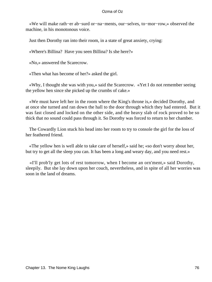«We will make rath−er ab−surd or−na−ments, our−selves, to−mor−row,» observed the machine, in his monotonous voice.

Just then Dorothy ran into their room, in a state of great anxiety, crying:

«Where's Billina? Have you seen Billina? Is she here?»

«No,» answered the Scarecrow.

«Then what has become of her?» asked the girl.

 «Why, I thought she was with you,» said the Scarecrow. «Yet I do not remember seeing the yellow hen since she picked up the crumbs of cake.»

 «We must have left her in the room where the King's throne is,» decided Dorothy, and at once she turned and ran down the hall to the door through which they had entered. But it was fast closed and locked on the other side, and the heavy slab of rock proved to be so thick that no sound could pass through it. So Dorothy was forced to return to her chamber.

 The Cowardly Lion stuck his head into her room to try to console the girl for the loss of her feathered friend.

 «The yellow hen is well able to take care of herself,» said he; «so don't worry about her, but try to get all the sleep you can. It has been a long and weary day, and you need rest.»

 «I'll prob'ly get lots of rest tomorrow, when I become an orn'ment,» said Dorothy, sleepily. But she lay down upon her couch, nevertheless, and in spite of all her worries was soon in the land of dreams.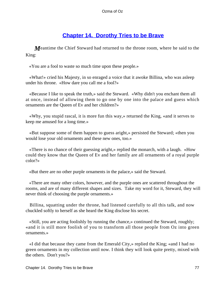# **[Chapter 14. Dorothy Tries to be Brave](#page-111-0)**

*M*eantime the Chief Steward had returned to the throne room, where he said to the King:

«You are a fool to waste so much time upon these people.»

 «What!» cried his Majesty, in so enraged a voice that it awoke Billina, who was asleep under his throne. «How dare you call me a fool?»

 «Because I like to speak the truth,» said the Steward. «Why didn't you enchant them all at once, instead of allowing them to go one by one into the palace and guess which ornaments are the Queen of Ev and her children?»

 «Why, you stupid rascal, it is more fun this way,» returned the King, «and it serves to keep me amused for a long time.»

 «But suppose some of them happen to guess aright,» persisted the Steward; «then you would lose your old ornaments and these new ones, too.»

 «There is no chance of their guessing aright,» replied the monarch, with a laugh. «How could they know that the Queen of Ev and her family are all ornaments of a royal purple color?»

«But there are no other purple ornaments in the palace,» said the Steward.

 «There are many other colors, however, and the purple ones are scattered throughout the rooms, and are of many different shapes and sizes. Take my word for it, Steward, they will never think of choosing the purple ornaments.»

 Billina, squatting under the throne, had listened carefully to all this talk, and now chuckled softly to herself as she heard the King disclose his secret.

 «Still, you are acting foolishly by running the chance,» continued the Steward, roughly; «and it is still more foolish of you to transform all those people from Oz into green ornaments.»

 «I did that because they came from the Emerald City,» replied the King; «and I had no green ornaments in my collection until now. I think they will look quite pretty, mixed with the others. Don't you?»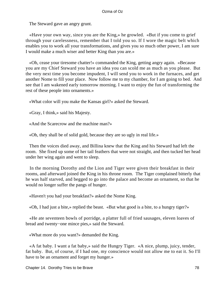The Steward gave an angry grunt.

 «Have your own way, since you are the King,» he growled. «But if you come to grief through your carelessness, remember that I told you so. If I wore the magic belt which enables you to work all your transformations, and gives you so much other power, I am sure I would make a much wiser and better King than you are.»

 «Oh, cease your tiresome chatter!» commanded the King, getting angry again. «Because you are my Chief Steward you have an idea you can scold me as much as you please. But the very next time you become impudent, I will send you to work in the furnaces, and get another Nome to fill your place. Now follow me to my chamber, for I am going to bed. And see that I am wakened early tomorrow morning. I want to enjoy the fun of transforming the rest of these people into ornaments.»

«What color will you make the Kansas girl?» asked the Steward.

«Gray, I think,» said his Majesty.

«And the Scarecrow and the machine man?»

«Oh, they shall be of solid gold, because they are so ugly in real life.»

 Then the voices died away, and Billina knew that the King and his Steward had left the room. She fixed up some of her tail feathers that were not straight, and then tucked her head under her wing again and went to sleep.

 In the morning Dorothy and the Lion and Tiger were given their breakfast in their rooms, and afterward joined the King in his throne room. The Tiger complained bitterly that he was half starved, and begged to go into the palace and become an ornament, so that he would no longer suffer the pangs of hunger.

«Haven't you had your breakfast?» asked the Nome King.

«Oh, I had just a bite,» replied the beast. «But what good is a bite, to a hungry tiger?»

 «He ate seventeen bowls of porridge, a platter full of fried sausages, eleven loaves of bread and twenty−one mince pies,» said the Steward.

«What more do you want?» demanded the King.

 «A fat baby. I want a fat baby,» said the Hungry Tiger. «A nice, plump, juicy, tender, fat baby. But, of course, if I had one, my conscience would not allow me to eat it. So I'll have to be an ornament and forget my hunger.»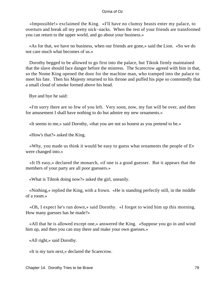«Impossible!» exclaimed the King. «I'll have no clumsy beasts enter my palace, to overturn and break all my pretty nick−nacks. When the rest of your friends are transformed you can return to the upper world, and go about your business.»

 «As for that, we have no business, when our friends are gone,» said the Lion. «So we do not care much what becomes of us.»

 Dorothy begged to be allowed to go first into the palace, but Tiktok firmly maintained that the slave should face danger before the mistress. The Scarecrow agreed with him in that, so the Nome King opened the door for the machine man, who tramped into the palace to meet his fate. Then his Majesty returned to his throne and puffed his pipe so contentedly that a small cloud of smoke formed above his head.

Bye and bye he said:

 «I'm sorry there are so few of you left. Very soon, now, my fun will be over, and then for amusement I shall have nothing to do but admire my new ornaments.»

«It seems to me,» said Dorothy, «that you are not so honest as you pretend to be.»

«How's that?» asked the King.

 «Why, you made us think it would be easy to guess what ornaments the people of Ev were changed into.»

 «It IS easy,» declared the monarch, «if one is a good guesser. But it appears that the members of your party are all poor guessers.»

«What is Tiktok doing now?» asked the girl, uneasily.

 «Nothing,» replied the King, with a frown. «He is standing perfectly still, in the middle of a room.»

 «Oh, I expect he's run down,» said Dorothy. «I forgot to wind him up this morning. How many guesses has he made?»

 «All that he is allowed except one,» answered the King. «Suppose you go in and wind him up, and then you can stay there and make your own guesses.»

«All right,» said Dorothy.

«It is my turn next,» declared the Scarecrow.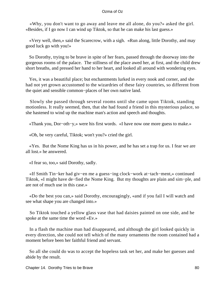«Why, you don't want to go away and leave me all alone, do you?» asked the girl. «Besides, if I go now I can wind up Tiktok, so that he can make his last guess.»

 «Very well, then,» said the Scarecrow, with a sigh. «Run along, little Dorothy, and may good luck go with you!»

 So Dorothy, trying to be brave in spite of her fears, passed through the doorway into the gorgeous rooms of the palace. The stillness of the place awed her, at first, and the child drew short breaths, and pressed her hand to her heart, and looked all around with wondering eyes.

 Yes, it was a beautiful place; but enchantments lurked in every nook and corner, and she had not yet grown accustomed to the wizardries of these fairy countries, so different from the quiet and sensible common−places of her own native land.

 Slowly she passed through several rooms until she came upon Tiktok, standing motionless. It really seemed, then, that she had found a friend in this mysterious palace, so she hastened to wind up the machine man's action and speech and thoughts.

«Thank you, Dor−oth−y,» were his first words. «I have now one more guess to make.»

«Oh, be very careful, Tiktok; won't you?» cried the girl.

 «Yes. But the Nome King has us in his power, and he has set a trap for us. I fear we are all lost.» he answered.

«I fear so, too,» said Dorothy, sadly.

 «If Smith Tin−ker had giv−en me a guess−ing clock−work at−tach−ment,» continued Tiktok, «I might have de−fied the Nome King. But my thoughts are plain and sim−ple, and are not of much use in this case.»

 «Do the best you can,» said Dorothy, encouragingly, «and if you fail I will watch and see what shape you are changed into.»

 So Tiktok touched a yellow glass vase that had daisies painted on one side, and he spoke at the same time the word «Ev.»

 In a flash the machine man had disappeared, and although the girl looked quickly in every direction, she could not tell which of the many ornaments the room contained had a moment before been her faithful friend and servant.

 So all she could do was to accept the hopeless task set her, and make her guesses and abide by the result.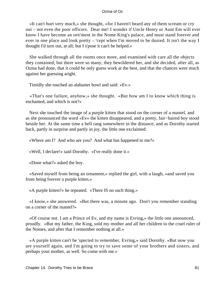«It can't hurt very much,» she thought, «for I haven't heard any of them scream or cry out – not even the poor officers. Dear me! I wonder if Uncle Henry or Aunt Em will ever know I have become an orn'ment in the Nome King's palace, and must stand forever and ever in one place and look pretty – 'cept when I'm moved to be dusted. It isn't the way I thought I'd turn out, at all; but I s'pose it can't be helped.»

 She walked through all the rooms once more, and examined with care all the objects they contained; but there were so many, they bewildered her, and she decided, after all, as Ozma had done, that it could be only guess work at the best, and that the chances were much against her guessing aright.

Timidly she touched an alabaster bowl and said: «Ev.»

 «That's one failure, anyhow,» she thought. «But how am I to know which thing is enchanted, and which is not?»

 Next she touched the image of a purple kitten that stood on the corner of a mantel, and as she pronounced the word «Ev» the kitten disappeared, and a pretty, fair−haired boy stood beside her. At the same time a bell rang somewhere in the distance, and as Dorothy started back, partly in surprise and partly in joy, the little one exclaimed:

«Where am I? And who are you? And what has happened to me?»

«Well, I declare!» said Dorothy. «I've really done it.»

«Done what?» asked the boy.

 «Saved myself from being an ornament,» replied the girl, with a laugh, «and saved you from being forever a purple kitten.»

«A purple kitten?» he repeated. «There IS no such thing.»

 «I know,» she answered. «But there was, a minute ago. Don't you remember standing on a corner of the mantel?»

 «Of course not. I am a Prince of Ev, and my name is Evring,» the little one announced, proudly. «But my father, the King, sold my mother and all her children to the cruel ruler of the Nomes, and after that I remember nothing at all.»

 «A purple kitten can't be 'spected to remember, Evring,» said Dorothy. «But now you are yourself again, and I'm going to try to save some of your brothers and sisters, and perhaps your mother, as well. So come with me.»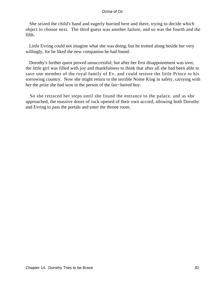She seized the child's hand and eagerly hurried here and there, trying to decide which object to choose next. The third guess was another failure, and so was the fourth and the fifth.

 Little Evring could not imagine what she was doing, but he trotted along beside her very willingly, for he liked the new companion he had found.

 Dorothy's further quest proved unsuccessful; but after her first disappointment was over, the little girl was filled with joy and thankfulness to think that after all she had been able to save one member of the royal family of Ev, and could restore the little Prince to his sorrowing country. Now she might return to the terrible Nome King in safety, carrying with her the prize she had won in the person of the fair−haired boy.

 So she retraced her steps until she found the entrance to the palace, and as she approached, the massive doors of rock opened of their own accord, allowing both Dorothy and Evring to pass the portals and enter the throne room.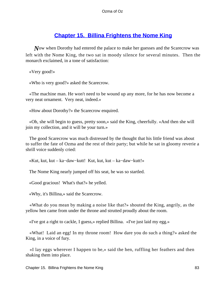# **[Chapter 15. Billina Frightens the Nome King](#page-111-0)**

*N*ow when Dorothy had entered the palace to make her guesses and the Scarecrow was left with the Nome King, the two sat in moody silence for several minutes. Then the monarch exclaimed, in a tone of satisfaction:

«Very good!»

«Who is very good?» asked the Scarecrow.

 «The machine man. He won't need to be wound up any more, for he has now become a very neat ornament. Very neat, indeed.»

«How about Dorothy?» the Scarecrow enquired.

 «Oh, she will begin to guess, pretty soon,» said the King, cheerfully. «And then she will join my collection, and it will be your turn.»

 The good Scarecrow was much distressed by the thought that his little friend was about to suffer the fate of Ozma and the rest of their party; but while he sat in gloomy reverie a shrill voice suddenly cried:

«Kut, kut, kut – ka−daw−kutt! Kut, kut, kut – ka−daw−kutt!»

The Nome King nearly jumped off his seat, he was so startled.

«Good gracious! What's that?» he yelled.

«Why, it's Billina,» said the Scarecrow.

 «What do you mean by making a noise like that?» shouted the King, angrily, as the yellow hen came from under the throne and strutted proudly about the room.

«I've got a right to cackle, I guess,» replied Billina. «I've just laid my egg.»

 «What! Laid an egg! In my throne room! How dare you do such a thing?» asked the King, in a voice of fury.

 «I lay eggs wherever I happen to be,» said the hen, ruffling her feathers and then shaking them into place.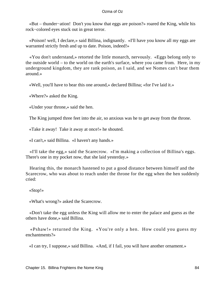«But – thunder−ation! Don't you know that eggs are poison?» roared the King, while his rock−colored eyes stuck out in great terror.

 «Poison! well, I declare,» said Billina, indignantly. «I'll have you know all my eggs are warranted strictly fresh and up to date. Poison, indeed!»

 «You don't understand,» retorted the little monarch, nervously. «Eggs belong only to the outside world – to the world on the earth's surface, where you came from. Here, in my underground kingdom, they are rank poison, as I said, and we Nomes can't bear them around.»

«Well, you'll have to bear this one around,» declared Billina; «for I've laid it.»

«Where?» asked the King.

«Under your throne,» said the hen.

The King jumped three feet into the air, so anxious was he to get away from the throne.

«Take it away! Take it away at once!» he shouted.

«I can't,» said Billina. «I haven't any hands.»

 «I'll take the egg,» said the Scarecrow. «I'm making a collection of Billina's eggs. There's one in my pocket now, that she laid yesterday.»

 Hearing this, the monarch hastened to put a good distance between himself and the Scarecrow, who was about to reach under the throne for the egg when the hen suddenly cried:

«Stop!»

«What's wrong?» asked the Scarecrow.

 «Don't take the egg unless the King will allow me to enter the palace and guess as the others have done,» said Billina.

 «Pshaw!» returned the King. «You're only a hen. How could you guess my enchantments?»

«I can try, I suppose,» said Billina. «And, if I fail, you will have another ornament.»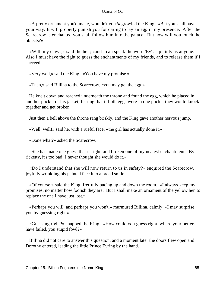«A pretty ornament you'd make, wouldn't you?» growled the King. «But you shall have your way. It will properly punish you for daring to lay an egg in my presence. After the Scarecrow is enchanted you shall follow him into the palace. But how will you touch the objects?»

 «With my claws,» said the hen; «and I can speak the word 'Ev' as plainly as anyone. Also I must have the right to guess the enchantments of my friends, and to release them if I succeed.»

«Very well,» said the King. «You have my promise.»

«Then,» said Billina to the Scarecrow, «you may get the egg.»

 He knelt down and reached underneath the throne and found the egg, which he placed in another pocket of his jacket, fearing that if both eggs were in one pocket they would knock together and get broken.

Just then a bell above the throne rang briskly, and the King gave another nervous jump.

«Well, well!» said he, with a rueful face; «the girl has actually done it.»

«Done what?» asked the Scarecrow.

 «She has made one guess that is right, and broken one of my neatest enchantments. By ricketty, it's too bad! I never thought she would do it.»

 «Do I understand that she will now return to us in safety?» enquired the Scarecrow, joyfully wrinkling his painted face into a broad smile.

 «Of course,» said the King, fretfully pacing up and down the room. «I always keep my promises, no matter how foolish they are. But I shall make an ornament of the yellow hen to replace the one I have just lost.»

 «Perhaps you will, and perhaps you won't,» murmured Billina, calmly. «I may surprise you by guessing right.»

 «Guessing right?» snapped the King. «How could you guess right, where your betters have failed, you stupid fowl?»

 Billina did not care to answer this question, and a moment later the doors flew open and Dorothy entered, leading the little Prince Evring by the hand.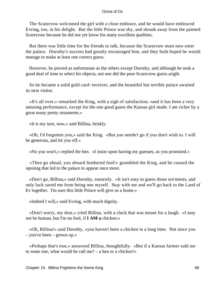The Scarecrow welcomed the girl with a close embrace, and he would have embraced Evring, too, in his delight. But the little Prince was shy, and shrank away from the painted Scarecrow because he did not yet know his many excellent qualities.

 But there was little time for the friends to talk, because the Scarecrow must now enter the palace. Dorothy's success had greatly encouraged him, and they both hoped he would manage to make at least one correct guess.

 However, he proved as unfortunate as the others except Dorothy, and although he took a good deal of time to select his objects, not one did the poor Scarecrow guess aright.

 So he became a solid gold card−receiver, and the beautiful but terrible palace awaited its next visitor.

 «It's all over,» remarked the King, with a sigh of satisfaction; «and it has been a very amusing performance, except for the one good guess the Kansas girl made. I am richer by a great many pretty ornaments.»

«It is my turn, now,» said Billina, briskly.

 «Oh, I'd forgotten you,» said the King. «But you needn't go if you don't wish to. I will be generous, and let you off.»

«No you won't,» replied the hen. «I insist upon having my guesses, as you promised.»

 «Then go ahead, you absurd feathered fool!» grumbled the King, and he caused the opening that led to the palace to appear once more.

 «Don't go, Billina,» said Dorothy, earnestly. «It isn't easy to guess those orn'ments, and only luck saved me from being one myself. Stay with me and we'll go back to the Land of Ev together. I'm sure this little Prince will give us a home.»

«Indeed I will,» said Evring, with much dignity.

 «Don't worry, my dear,» cried Billina, with a cluck that was meant for a laugh. «I may not be human, but I'm no fool, if **I AM a** chicken.»

 «Oh, Billina!» said Dorothy, «you haven't been a chicken in a long time. Not since you – you've been – grown up.»

 «Perhaps that's true,» answered Billina, thoughtfully. «But if a Kansas farmer sold me to some one, what would he call me? – a hen or a chicken!»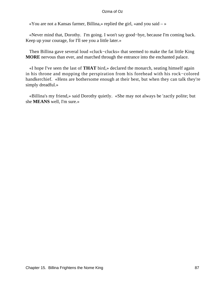«You are not a Kansas farmer, Billina,» replied the girl, «and you said  $-\infty$ 

 «Never mind that, Dorothy. I'm going. I won't say good−bye, because I'm coming back. Keep up your courage, for I'll see you a little later.»

 Then Billina gave several loud «cluck−clucks» that seemed to make the fat little King **MORE** nervous than ever, and marched through the entrance into the enchanted palace.

 «I hope I've seen the last of **THAT** bird,» declared the monarch, seating himself again in his throne and mopping the perspiration from his forehead with his rock−colored handkerchief. «Hens are bothersome enough at their best, but when they can talk they're simply dreadful.»

 «Billina's my friend,» said Dorothy quietly. «She may not always be 'zactly polite; but she **MEANS** well, I'm sure.»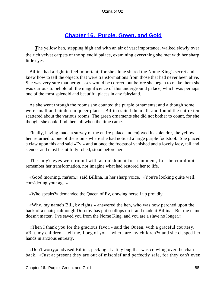# **[Chapter 16. Purple, Green, and Gold](#page-111-0)**

**The yellow hen, stepping high and with an air of vast importance, walked slowly over** the rich velvet carpets of the splendid palace, examining everything she met with her sharp little eyes.

 Billina had a right to feel important; for she alone shared the Nome King's secret and knew how to tell the objects that were transformations from those that had never been alive. She was very sure that her guesses would be correct, but before she began to make them she was curious to behold all the magnificence of this underground palace, which was perhaps one of the most splendid and beautiful places in any fairyland.

 As she went through the rooms she counted the purple ornaments; and although some were small and hidden in queer places, Billina spied them all, and found the entire ten scattered about the various rooms. The green ornaments she did not bother to count, for she thought she could find them all when the time came.

 Finally, having made a survey of the entire palace and enjoyed its splendor, the yellow hen returned to one of the rooms where she had noticed a large purple footstool. She placed a claw upon this and said «Ev,» and at once the footstool vanished and a lovely lady, tall and slender and most beautifully robed, stood before her.

 The lady's eyes were round with astonishment for a moment, for she could not remember her transformation, nor imagine what had restored her to life.

 «Good morning, ma'am,» said Billina, in her sharp voice. «You're looking quite well, considering your age.»

«Who speaks?» demanded the Queen of Ev, drawing herself up proudly.

 «Why, my name's Bill, by rights,» answered the hen, who was now perched upon the back of a chair; «although Dorothy has put scollops on it and made it Billina. But the name doesn't matter. I've saved you from the Nome King, and you are a slave no longer.»

 «Then I thank you for the gracious favor,» said the Queen, with a graceful courtesy. «But, my children – tell me, I beg of you – where are my children?» and she clasped her hands in anxious entreaty.

 «Don't worry,» advised Billina, pecking at a tiny bug that was crawling over the chair back. «Just at present they are out of mischief and perfectly safe, for they can't even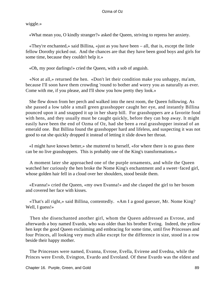wiggle.»

«What mean you, O kindly stranger?» asked the Queen, striving to repress her anxiety.

 «They're enchanted,» said Billina, «just as you have been – all, that is, except the little fellow Dorothy picked out. And the chances are that they have been good boys and girls for some time, because they couldn't help it.»

«Oh, my poor darlings!» cried the Queen, with a sob of anguish.

 «Not at all,» returned the hen. «Don't let their condition make you unhappy, ma'am, because I'll soon have them crowding 'round to bother and worry you as naturally as ever. Come with me, if you please, and I'll show you how pretty they look.»

 She flew down from her perch and walked into the next room, the Queen following. As she passed a low table a small green grasshopper caught her eye, and instantly Billina pounced upon it and snapped it up in her sharp bill. For grasshoppers are a favorite food with hens, and they usually must be caught quickly, before they can hop away. It might easily have been the end of Ozma of Oz, had she been a real grasshopper instead of an emerald one. But Billina found the grasshopper hard and lifeless, and suspecting it was not good to eat she quickly dropped it instead of letting it slide down her throat.

 «I might have known better,» she muttered to herself, «for where there is no grass there can be no live grasshoppers. This is probably one of the King's transformations.»

 A moment later she approached one of the purple ornaments, and while the Queen watched her curiously the hen broke the Nome King's enchantment and a sweet−faced girl, whose golden hair fell in a cloud over her shoulders, stood beside them.

 «Evanna!» cried the Queen, «my own Evanna!» and she clasped the girl to her bosom and covered her face with kisses.

 «That's all right,» said Billina, contentedly. «Am I a good guesser, Mr. Nome King? Well, I guess!»

 Then she disenchanted another girl, whom the Queen addressed as Evrose, and afterwards a boy named Evardo, who was older than his brother Evring. Indeed, the yellow hen kept the good Queen exclaiming and embracing for some time, until five Princesses and four Princes, all looking very much alike except for the difference in size, stood in a row beside their happy mother.

 The Princesses were named, Evanna, Evrose, Evella, Evirene and Evedna, while the Princes were Evrob, Evington, Evardo and Evroland. Of these Evardo was the eldest and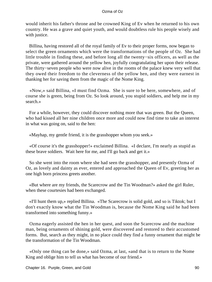would inherit his father's throne and be crowned King of Ev when he returned to his own country. He was a grave and quiet youth, and would doubtless rule his people wisely and with justice.

 Billina, having restored all of the royal family of Ev to their proper forms, now began to select the green ornaments which were the transformations of the people of Oz. She had little trouble in finding these, and before long all the twenty−six officers, as well as the private, were gathered around the yellow hen, joyfully congratulating her upon their release. The thirty−seven people who were now alive in the rooms of the palace knew very well that they owed their freedom to the cleverness of the yellow hen, and they were earnest in thanking her for saving them from the magic of the Nome King.

 «Now,» said Billina, «I must find Ozma. She is sure to be here, somewhere, and of course she is green, being from Oz. So look around, you stupid soldiers, and help me in my search.»

 For a while, however, they could discover nothing more that was green. But the Queen, who had kissed all her nine children once more and could now find time to take an interest in what was going on, said to the hen:

«Mayhap, my gentle friend, it is the grasshopper whom you seek.»

 «Of course it's the grasshopper!» exclaimed Billina. «I declare, I'm nearly as stupid as these brave soldiers. Wait here for me, and I'll go back and get it.»

 So she went into the room where she had seen the grasshopper, and presently Ozma of Oz, as lovely and dainty as ever, entered and approached the Queen of Ev, greeting her as one high born princess greets another.

 «But where are my friends, the Scarecrow and the Tin Woodman?» asked the girl Ruler, when these courtesies had been exchanged.

 «I'll hunt them up,» replied Billina. «The Scarecrow is solid gold, and so is Tiktok; but I don't exactly know what the Tin Woodman is, because the Nome King said he had been transformed into something funny.»

 Ozma eagerly assisted the hen in her quest, and soon the Scarecrow and the machine man, being ornaments of shining gold, were discovered and restored to their accustomed forms. But, search as they might, in no place could they find a funny ornament that might be the transformation of the Tin Woodman.

 «Only one thing can be done,» said Ozma, at last, «and that is to return to the Nome King and oblige him to tell us what has become of our friend.»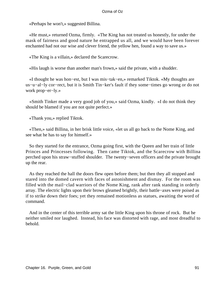«Perhaps he won't,» suggested Billina.

 «He must,» returned Ozma, firmly. «The King has not treated us honestly, for under the mask of fairness and good nature he entrapped us all, and we would have been forever enchanted had not our wise and clever friend, the yellow hen, found a way to save us.»

«The King is a villain,» declared the Scarecrow.

«His laugh is worse than another man's frown,» said the private, with a shudder.

 «I thought he was hon−est, but I was mis−tak−en,» remarked Tiktok. «My thoughts are us−u−al−ly cor−rect, but it is Smith Tin−ker's fault if they some−times go wrong or do not work prop−er−ly.»

 «Smith Tinker made a very good job of you,» said Ozma, kindly. «I do not think they should be blamed if you are not quite perfect.»

«Thank you,» replied Tiktok.

 «Then,» said Billina, in her brisk little voice, «let us all go back to the Nome King, and see what he has to say for himself.»

 So they started for the entrance, Ozma going first, with the Queen and her train of little Princes and Princesses following. Then came Tiktok, and the Scarecrow with Billina perched upon his straw−stuffed shoulder. The twenty−seven officers and the private brought up the rear.

 As they reached the hall the doors flew open before them; but then they all stopped and stared into the domed cavern with faces of astonishment and dismay. For the room was filled with the mail−clad warriors of the Nome King, rank after rank standing in orderly array. The electric lights upon their brows gleamed brightly, their battle−axes were poised as if to strike down their foes; yet they remained motionless as statues, awaiting the word of command.

 And in the center of this terrible army sat the little King upon his throne of rock. But he neither smiled nor laughed. Instead, his face was distorted with rage, and most dreadful to behold.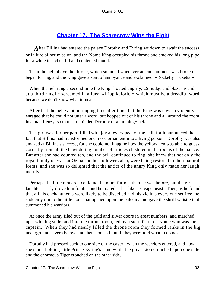# **[Chapter 17. The Scarecrow Wins the Fight](#page-111-0)**

*A*fter Billina had entered the palace Dorothy and Evring sat down to await the success or failure of her mission, and the Nome King occupied his throne and smoked his long pipe for a while in a cheerful and contented mood.

 Then the bell above the throne, which sounded whenever an enchantment was broken, began to ring, and the King gave a start of annoyance and exclaimed, «Rocketty−ricketts!»

 When the bell rang a second time the King shouted angrily, «Smudge and blazes!» and at a third ring he screamed in a fury, «Hippikaloric!» which must be a dreadful word because we don't know what it means.

 After that the bell went on ringing time after time; but the King was now so violently enraged that he could not utter a word, but hopped out of his throne and all around the room in a mad frenzy, so that he reminded Dorothy of a jumping−jack.

 The girl was, for her part, filled with joy at every peal of the bell, for it announced the fact that Billina had transformed one more ornament into a living person. Dorothy was also amazed at Billina's success, for she could not imagine how the yellow hen was able to guess correctly from all the bewildering number of articles clustered in the rooms of the palace. But after she had counted ten, and the bell continued to ring, she knew that not only the royal family of Ev, but Ozma and her followers also, were being restored to their natural forms, and she was so delighted that the antics of the angry King only made her laugh merrily.

 Perhaps the little monarch could not be more furious than he was before, but the girl's laughter nearly drove him frantic, and he roared at her like a savage beast. Then, as he found that all his enchantments were likely to be dispelled and his victims every one set free, he suddenly ran to the little door that opened upon the balcony and gave the shrill whistle that summoned his warriors.

 At once the army filed out of the gold and silver doors in great numbers, and marched up a winding stairs and into the throne room, led by a stern featured Nome who was their captain. When they had nearly filled the throne room they formed ranks in the big underground cavern below, and then stood still until they were told what to do next.

 Dorothy had pressed back to one side of the cavern when the warriors entered, and now she stood holding little Prince Evring's hand while the great Lion crouched upon one side and the enormous Tiger crouched on the other side.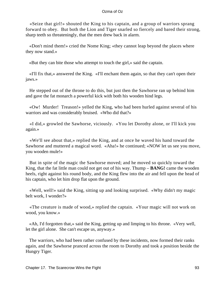«Seize that girl!» shouted the King to his captain, and a group of warriors sprang forward to obey. But both the Lion and Tiger snarled so fiercely and bared their strong, sharp teeth so threateningly, that the men drew back in alarm.

 «Don't mind them!» cried the Nome King; «they cannot leap beyond the places where they now stand.»

«But they can bite those who attempt to touch the girl,» said the captain.

 «I'll fix that,» answered the King. «I'll enchant them again, so that they can't open their jaws.»

 He stepped out of the throne to do this, but just then the Sawhorse ran up behind him and gave the fat monarch a powerful kick with both his wooden hind legs.

 «Ow! Murder! Treason!» yelled the King, who had been hurled against several of his warriors and was considerably bruised. «Who did that?»

 «I did,» growled the Sawhorse, viciously. «You let Dorothy alone, or I'll kick you again.»

 «We'll see about that,» replied the King, and at once he waved his hand toward the Sawhorse and muttered a magical word. «Aha!» he continued; «NOW let us see you move, you wooden mule!»

 But in spite of the magic the Sawhorse moved; and he moved so quickly toward the King, that the fat little man could not get out of his way. Thump – **BANG!** came the wooden heels, right against his round body, and the King flew into the air and fell upon the head of his captain, who let him drop flat upon the ground.

 «Well, well!» said the King, sitting up and looking surprised. «Why didn't my magic belt work, I wonder?»

 «The creature is made of wood,» replied the captain. «Your magic will not work on wood, you know.»

 «Ah, I'd forgotten that,» said the King, getting up and limping to his throne. «Very well, let the girl alone. She can't escape us, anyway.»

 The warriors, who had been rather confused by these incidents, now formed their ranks again, and the Sawhorse pranced across the room to Dorothy and took a position beside the Hungry Tiger.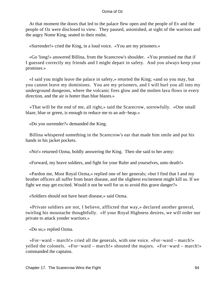At that moment the doors that led to the palace flew open and the people of Ev and the people of Oz were disclosed to view. They paused, astonished, at sight of the warriors and the angry Nome King, seated in their midst.

«Surrender!» cried the King, in a loud voice. «You are my prisoners.»

 «Go 'long!» answered Billina, from the Scarecrow's shoulder. «You promised me that if I guessed correctly my friends and I might depart in safety. And you always keep your promises.»

 «I said you might leave the palace in safety,» retorted the King; «and so you may, but you cannot leave my dominions. You are my prisoners, and I will hurl you all into my underground dungeons, where the volcanic fires glow and the molten lava flows in every direction, and the air is hotter than blue blazes.»

 «That will be the end of me, all right,» said the Scarecrow, sorrowfully. «One small blaze, blue or green, is enough to reduce me to an ash−heap.»

«Do you surrender?» demanded the King.

 Billina whispered something in the Scarecrow's ear that made him smile and put his hands in his jacket pockets.

«No!» returned Ozma, boldly answering the King. Then she said to her army:

«Forward, my brave soldiers, and fight for your Ruler and yourselves, unto death!»

 «Pardon me, Most Royal Ozma,» replied one of her generals; «but I find that I and my brother officers all suffer from heart disease, and the slightest excitement might kill us. If we fight we may get excited. Would it not be well for us to avoid this grave danger?»

«Soldiers should not have heart disease,» said Ozma.

 «Private soldiers are not, I believe, afflicted that way,» declared another general, twirling his moustache thoughtfully. «If your Royal Highness desires, we will order our private to attack yonder warriors.»

«Do so,» replied Ozma.

 «For−ward – march!» cried all the generals, with one voice. «For−ward – march!» yelled the colonels. «For−ward – march!» shouted the majors. «For−ward – march!» commanded the captains.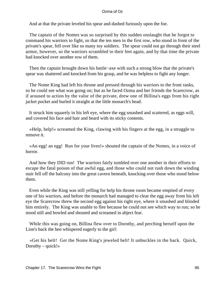And at that the private leveled his spear and dashed furiously upon the foe.

 The captain of the Nomes was so surprised by this sudden onslaught that he forgot to command his warriors to fight, so that the ten men in the first row, who stood in front of the private's spear, fell over like so many toy soldiers. The spear could not go through their steel armor, however, so the warriors scrambled to their feet again, and by that time the private had knocked over another row of them.

Then the captain brought down his battle−axe with such a strong blow that the private's spear was shattered and knocked from his grasp, and he was helpless to fight any longer.

 The Nome King had left his throne and pressed through his warriors to the front ranks, so he could see what was going on; but as he faced Ozma and her friends the Scarecrow, as if aroused to action by the valor of the private, drew one of Billina's eggs from his right jacket pocket and hurled it straight at the little monarch's head.

 It struck him squarely in his left eye, where the egg smashed and scattered, as eggs will, and covered his face and hair and beard with its sticky contents.

 «Help, help!» screamed the King, clawing with his fingers at the egg, in a struggle to remove it.

 «An egg! an egg! Run for your lives!» shouted the captain of the Nomes, in a voice of horror.

 And how they DID run! The warriors fairly tumbled over one another in their efforts to escape the fatal poison of that awful egg, and those who could not rush down the winding stair fell off the balcony into the great cavern beneath, knocking over those who stood below them.

 Even while the King was still yelling for help his throne room became emptied of every one of his warriors, and before the monarch had managed to clear the egg away from his left eye the Scarecrow threw the second egg against his right eye, where it smashed and blinded him entirely. The King was unable to flee because he could not see which way to run; so he stood still and howled and shouted and screamed in abject fear.

 While this was going on, Billina flew over to Dorothy, and perching herself upon the Lion's back the hen whispered eagerly to the girl:

 «Get his belt! Get the Nome King's jeweled belt! It unbuckles in the back. Quick, Dorothy –  $quick!$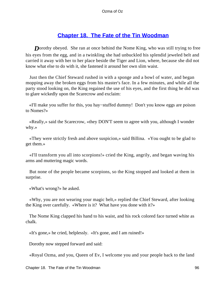# **[Chapter 18. The Fate of the Tin Woodman](#page-111-0)**

**D**orothy obeyed. She ran at once behind the Nome King, who was still trying to free his eyes from the egg, and in a twinkling she had unbuckled his splendid jeweled belt and carried it away with her to her place beside the Tiger and Lion, where, because she did not know what else to do with it, she fastened it around her own slim waist.

 Just then the Chief Steward rushed in with a sponge and a bowl of water, and began mopping away the broken eggs from his master's face. In a few minutes, and while all the party stood looking on, the King regained the use of his eyes, and the first thing he did was to glare wickedly upon the Scarecrow and exclaim:

 «I'll make you suffer for this, you hay−stuffed dummy! Don't you know eggs are poison to Nomes?»

 «Really,» said the Scarecrow, «they DON'T seem to agree with you, although I wonder why.»

 «They were strictly fresh and above suspicion,» said Billina. «You ought to be glad to get them.»

 «I'll transform you all into scorpions!» cried the King, angrily, and began waving his arms and muttering magic words.

 But none of the people became scorpions, so the King stopped and looked at them in surprise.

«What's wrong?» he asked.

 «Why, you are not wearing your magic belt,» replied the Chief Steward, after looking the King over carefully. «Where is it? What have you done with it?»

 The Nome King clapped his hand to his waist, and his rock colored face turned white as chalk.

«It's gone,» he cried, helplessly. «It's gone, and I am ruined!»

Dorothy now stepped forward and said:

«Royal Ozma, and you, Queen of Ev, I welcome you and your people back to the land

Chapter 18. The Fate of the Tin Woodman **96** Shapes 1986 Shapes 1986 Shapes 1986 Shapes 1986 Shapes 1986 Shapes 1996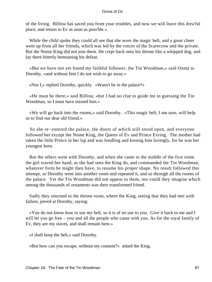of the living. Billina has saved you from your troubles, and now we will leave this drea'ful place, and return to Ev as soon as poss'ble.»

While the child spoke they could all see that she wore the magic belt, and a great cheer went up from all her friends, which was led by the voices of the Scarecrow and the private. But the Nome King did not join them. He crept back onto his throne like a whipped dog, and lay there bitterly bemoaning his defeat.

 «But we have not yet found my faithful follower, the Tin Woodman,» said Ozma to Dorothy, «and without him I do not wish to go away.»

«Nor I,» replied Dorothy, quickly. «Wasn't he in the palace?»

 «He must be there,» said Billina; «but I had no clue to guide me in guessing the Tin Woodman, so I must have missed him.»

 «We will go back into the rooms,» said Dorothy. «This magic belt, I am sure, will help us to find our dear old friend.»

 So she re−entered the palace, the doors of which still stood open, and everyone followed her except the Nome King, the Queen of Ev and Prince Evring. The mother had taken the little Prince in her lap and was fondling and kissing him lovingly, for he was her youngest born.

 But the others went with Dorothy, and when she came to the middle of the first room the girl waved her hand, as she had seen the King do, and commanded the Tin Woodman, whatever form he might then have, to resume his proper shape. No result followed this attempt, so Dorothy went into another room and repeated it, and so through all the rooms of the palace. Yet the Tin Woodman did not appear to them, nor could they imagine which among the thousands of ornaments was their transformed friend.

 Sadly they returned to the throne room, where the King, seeing that they had met with failure, jeered at Dorothy, saying:

 «You do not know how to use my belt, so it is of no use to you. Give it back to me and I will let you go free – you and all the people who came with you. As for the royal family of Ev, they are my slaves, and shall remain here.»

«I shall keep the belt,» said Dorothy.

«But how can you escape, without my consent?» asked the King.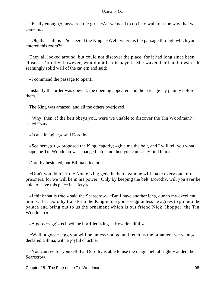«Easily enough,» answered the girl. «All we need to do is to walk out the way that we came in.»

 «Oh, that's all, is it?» sneered the King. «Well, where is the passage through which you entered this room?»

 They all looked around, but could not discover the place, for it had long since been closed. Dorothy, however, would not be dismayed. She waved her hand toward the seemingly solid wall of the cavern and said:

«I command the passage to open!»

 Instantly the order was obeyed; the opening appeared and the passage lay plainly before them.

The King was amazed, and all the others overjoyed.

 «Why, then, if the belt obeys you, were we unable to discover the Tin Woodman?» asked Ozma.

«I can't imagine,» said Dorothy.

 «See here, girl,» proposed the King, eagerly; «give me the belt, and I will tell you what shape the Tin Woodman was changed into, and then you can easily find him.»

Dorothy hesitated, but Billina cried out:

 «Don't you do it! If the Nome King gets the belt again he will make every one of us prisoners, for we will be in his power. Only by keeping the belt, Dorothy, will you ever be able to leave this place in safety.»

 «I think that is true,» said the Scarecrow. «But I have another idea, due to my excellent brains. Let Dorothy transform the King into a goose−egg unless he agrees to go into the palace and bring out to us the ornament which is our friend Nick Chopper, the Tin Woodman<sup>»</sup>

«A goose−egg!» echoed the horrified King. «How dreadful!»

 «Well, a goose−egg you will be unless you go and fetch us the ornament we want,» declared Billina, with a joyful chuckle.

 «You can see for yourself that Dorothy is able to use the magic belt all right,» added the Scarecrow.

Chapter 18. The Fate of the Tin Woodman **98** and the Times of the Times of the Times of the Times of the Times of the Times of the Times of the Times of the Times of the Times of the Times of the Times of the Times of the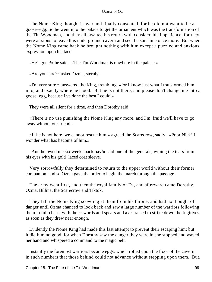The Nome King thought it over and finally consented, for he did not want to be a goose−egg. So he went into the palace to get the ornament which was the transformation of the Tin Woodman, and they all awaited his return with considerable impatience, for they were anxious to leave this underground cavern and see the sunshine once more. But when the Nome King came back he brought nothing with him except a puzzled and anxious expression upon his face.

«He's gone!» he said. «The Tin Woodman is nowhere in the palace.»

«Are you sure?» asked Ozma, sternly.

 «I'm very sure,» answered the King, trembling, «for I know just what I transformed him into, and exactly where he stood. But he is not there, and please don't change me into a goose−egg, because I've done the best I could.»

They were all silent for a time, and then Dorothy said:

 «There is no use punishing the Nome King any more, and I'm 'fraid we'll have to go away without our friend.»

 «If he is not here, we cannot rescue him,» agreed the Scarecrow, sadly. «Poor Nick! I wonder what has become of him.»

 «And he owed me six weeks back pay!» said one of the generals, wiping the tears from his eyes with his gold−laced coat sleeve.

 Very sorrowfully they determined to return to the upper world without their former companion, and so Ozma gave the order to begin the march through the passage.

 The army went first, and then the royal family of Ev, and afterward came Dorothy, Ozma, Billina, the Scarecrow and Tiktok.

 They left the Nome King scowling at them from his throne, and had no thought of danger until Ozma chanced to look back and saw a large number of the warriors following them in full chase, with their swords and spears and axes raised to strike down the fugitives as soon as they drew near enough.

 Evidently the Nome King had made this last attempt to prevent their escaping him; but it did him no good, for when Dorothy saw the danger they were in she stopped and waved her hand and whispered a command to the magic belt.

 Instantly the foremost warriors became eggs, which rolled upon the floor of the cavern in such numbers that those behind could not advance without stepping upon them. But,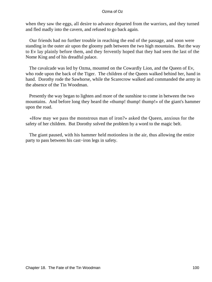when they saw the eggs, all desire to advance departed from the warriors, and they turned and fled madly into the cavern, and refused to go back again.

 Our friends had no further trouble in reaching the end of the passage, and soon were standing in the outer air upon the gloomy path between the two high mountains. But the way to Ev lay plainly before them, and they fervently hoped that they had seen the last of the Nome King and of his dreadful palace.

 The cavalcade was led by Ozma, mounted on the Cowardly Lion, and the Queen of Ev, who rode upon the back of the Tiger. The children of the Queen walked behind her, hand in hand. Dorothy rode the Sawhorse, while the Scarecrow walked and commanded the army in the absence of the Tin Woodman.

 Presently the way began to lighten and more of the sunshine to come in between the two mountains. And before long they heard the «thump! thump! thump!» of the giant's hammer upon the road.

 «How may we pass the monstrous man of iron?» asked the Queen, anxious for the safety of her children. But Dorothy solved the problem by a word to the magic belt.

 The giant paused, with his hammer held motionless in the air, thus allowing the entire party to pass between his cast−iron legs in safety.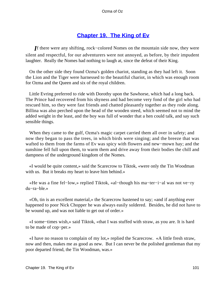# **[Chapter 19. The King of Ev](#page-111-0)**

*I*f there were any shifting, rock−colored Nomes on the mountain side now, they were silent and respectful, for our adventurers were not annoyed, as before, by their impudent laughter. Really the Nomes had nothing to laugh at, since the defeat of their King.

 On the other side they found Ozma's golden chariot, standing as they had left it. Soon the Lion and the Tiger were harnessed to the beautiful chariot, in which was enough room for Ozma and the Queen and six of the royal children.

 Little Evring preferred to ride with Dorothy upon the Sawhorse, which had a long back. The Prince had recovered from his shyness and had become very fond of the girl who had rescued him, so they were fast friends and chatted pleasantly together as they rode along. Billina was also perched upon the head of the wooden steed, which seemed not to mind the added weight in the least, and the boy was full of wonder that a hen could talk, and say such sensible things.

 When they came to the gulf, Ozma's magic carpet carried them all over in safety; and now they began to pass the trees, in which birds were singing; and the breeze that was wafted to them from the farms of Ev was spicy with flowers and new−mown hay; and the sunshine fell full upon them, to warm them and drive away from their bodies the chill and dampness of the underground kingdom of the Nomes.

 «I would be quite content,» said the Scarecrow to Tiktok, «were only the Tin Woodman with us. But it breaks my heart to leave him behind.»

 «He was a fine fel−low,» replied Tiktok, «al−though his ma−ter−i−al was not ve−ry du−ra−ble.»

 «Oh, tin is an excellent material,» the Scarecrow hastened to say; «and if anything ever happened to poor Nick Chopper he was always easily soldered. Besides, he did not have to be wound up, and was not liable to get out of order.»

 «I some−times wish,» said Tiktok, «that I was stuffed with straw, as you are. It is hard to be made of cop−per.»

 «I have no reason to complain of my lot,» replied the Scarecrow. «A little fresh straw, now and then, makes me as good as new. But I can never be the polished gentleman that my poor departed friend, the Tin Woodman, was.»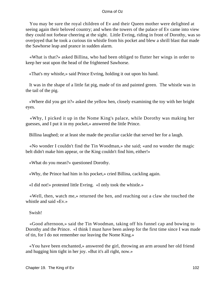You may be sure the royal children of Ev and their Queen mother were delighted at seeing again their beloved country; and when the towers of the palace of Ev came into view they could not forbear cheering at the sight. Little Evring, riding in front of Dorothy, was so overjoyed that he took a curious tin whistle from his pocket and blew a shrill blast that made the Sawhorse leap and prance in sudden alarm.

 «What is that?» asked Billina, who had been obliged to flutter her wings in order to keep her seat upon the head of the frightened Sawhorse.

«That's my whistle,» said Prince Evring, holding it out upon his hand.

 It was in the shape of a little fat pig, made of tin and painted green. The whistle was in the tail of the pig.

 «Where did you get it?» asked the yellow hen, closely examining the toy with her bright eyes.

 «Why, I picked it up in the Nome King's palace, while Dorothy was making her guesses, and I put it in my pocket,» answered the little Prince.

Billina laughed; or at least she made the peculiar cackle that served her for a laugh.

 «No wonder I couldn't find the Tin Woodman,» she said; «and no wonder the magic belt didn't make him appear, or the King couldn't find him, either!»

«What do you mean?» questioned Dorothy.

«Why, the Prince had him in his pocket,» cried Billina, cackling again.

«I did not!» protested little Evring. «I only took the whistle.»

 «Well, then, watch me,» returned the hen, and reaching out a claw she touched the whistle and said «Ev.»

Swish!

 «Good afternoon,» said the Tin Woodman, taking off his funnel cap and bowing to Dorothy and the Prince. «I think I must have been asleep for the first time since I was made of tin, for I do not remember our leaving the Nome King.»

 «You have been enchanted,» answered the girl, throwing an arm around her old friend and hugging him tight in her joy. «But it's all right, now.»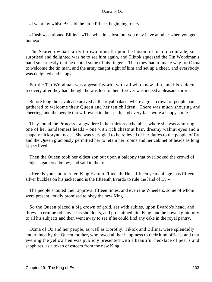«I want my whistle!» said the little Prince, beginning to cry.

 «Hush!» cautioned Billina. «The whistle is lost, but you may have another when you get home.»

 The Scarecrow had fairly thrown himself upon the bosom of his old comrade, so surprised and delighted was he to see him again, and Tiktok squeezed the Tin Woodman's hand so earnestly that he dented some of his fingers. Then they had to make way for Ozma to welcome the tin man, and the army caught sight of him and set up a cheer, and everybody was delighted and happy.

 For the Tin Woodman was a great favorite with all who knew him, and his sudden recovery after they had thought he was lost to them forever was indeed a pleasant surprise.

 Before long the cavalcade arrived at the royal palace, where a great crowd of people had gathered to welcome their Queen and her ten children. There was much shouting and cheering, and the people threw flowers in their path, and every face wore a happy smile.

 They found the Princess Langwidere in her mirrored chamber, where she was admiring one of her handsomest heads – one with rich chestnut hair, dreamy walnut eyes and a shapely hickorynut nose. She was very glad to be relieved of her duties to the people of Ev, and the Queen graciously permitted her to retain her rooms and her cabinet of heads as long as she lived.

 Then the Queen took her eldest son out upon a balcony that overlooked the crowd of subjects gathered below, and said to them:

 «Here is your future ruler, King Evardo Fifteenth. He is fifteen years of age, has fifteen silver buckles on his jacket and is the fifteenth Evardo to rule the land of Ev.»

 The people shouted their approval fifteen times, and even the Wheelers, some of whom were present, loudly promised to obey the new King.

 So the Queen placed a big crown of gold, set with rubies, upon Evardo's head, and threw an ermine robe over his shoulders, and proclaimed him King; and he bowed gratefully to all his subjects and then went away to see if he could find any cake in the royal pantry.

 Ozma of Oz and her people, as well as Dorothy, Tiktok and Billina, were splendidly entertained by the Queen mother, who owed all her happiness to their kind offices; and that evening the yellow hen was publicly presented with a beautiful necklace of pearls and sapphires, as a token of esteem from the new King.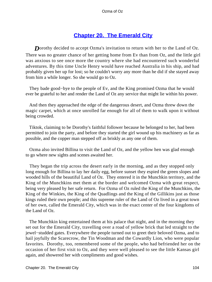# **[Chapter 20. The Emerald City](#page-111-0)**

**D**orothy decided to accept Ozma's invitation to return with her to the Land of Oz. There was no greater chance of her getting home from Ev than from Oz, and the little girl was anxious to see once more the country where she had encountered such wonderful adventures. By this time Uncle Henry would have reached Australia in his ship, and had probably given her up for lost; so he couldn't worry any more than he did if she stayed away from him a while longer. So she would go to Oz.

 They bade good−bye to the people of Ev, and the King promised Ozma that he would ever be grateful to her and render the Land of Oz any service that might lie within his power.

 And then they approached the edge of the dangerous desert, and Ozma threw down the magic carpet, which at once unrolled far enough for all of them to walk upon it without being crowded.

 Tiktok, claiming to be Dorothy's faithful follower because he belonged to her, had been permitted to join the party, and before they started the girl wound up his machinery as far as possible, and the copper man stepped off as briskly as any one of them.

 Ozma also invited Billina to visit the Land of Oz, and the yellow hen was glad enough to go where new sights and scenes awaited her.

 They began the trip across the desert early in the morning, and as they stopped only long enough for Billina to lay her daily egg, before sunset they espied the green slopes and wooded hills of the beautiful Land of Oz. They entered it in the Munchkin territory, and the King of the Munchkins met them at the border and welcomed Ozma with great respect, being very pleased by her safe return. For Ozma of Oz ruled the King of the Munchkins, the King of the Winkies, the King of the Quadlings and the King of the Gillikins just as those kings ruled their own people; and this supreme ruler of the Land of Oz lived in a great town of her own, called the Emerald City, which was in the exact center of the four kingdoms of the Land of Oz.

 The Munchkin king entertained them at his palace that night, and in the morning they set out for the Emerald City, travelling over a road of yellow brick that led straight to the jewel−studded gates. Everywhere the people turned out to greet their beloved Ozma, and to hail joyfully the Scarecrow, the Tin Woodman and the Cowardly Lion, who were popular favorites. Dorothy, too, remembered some of the people, who had befriended her on the occasion of her first visit to Oz, and they were well pleased to see the little Kansas girl again, and showered her with compliments and good wishes.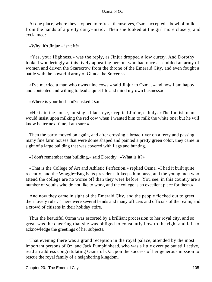At one place, where they stopped to refresh themselves, Ozma accepted a bowl of milk from the hands of a pretty dairy−maid. Then she looked at the girl more closely, and exclaimed:

«Why, it's  $Jinjur - isn't it!$ 

 «Yes, your Highness,» was the reply, as Jinjur dropped a low curtsy. And Dorothy looked wonderingly at this lively appearing person, who had once assembled an army of women and driven the Scarecrow from the throne of the Emerald City, and even fought a battle with the powerful army of Glinda the Sorceress.

 «I've married a man who owns nine cows,» said Jinjur to Ozma, «and now I am happy and contented and willing to lead a quiet life and mind my own business.»

«Where is your husband?» asked Ozma.

 «He is in the house, nursing a black eye,» replied Jinjur, calmly. «The foolish man would insist upon milking the red cow when I wanted him to milk the white one; but he will know better next time, I am sure.»

 Then the party moved on again, and after crossing a broad river on a ferry and passing many fine farm houses that were dome shaped and painted a pretty green color, they came in sight of a large building that was covered with flags and bunting.

«I don't remember that building,» said Dorothy. «What is it?»

 «That is the College of Art and Athletic Perfection,» replied Ozma. «I had it built quite recently, and the Woggle−Bug is its president. It keeps him busy, and the young men who attend the college are no worse off than they were before. You see, in this country are a number of youths who do not like to work, and the college is an excellent place for them.»

 And now they came in sight of the Emerald City, and the people flocked out to greet their lovely ruler. There were several bands and many officers and officials of the realm, and a crowd of citizens in their holiday attire.

 Thus the beautiful Ozma was escorted by a brilliant procession to her royal city, and so great was the cheering that she was obliged to constantly bow to the right and left to acknowledge the greetings of her subjects.

 That evening there was a grand reception in the royal palace, attended by the most important persons of Oz, and Jack Pumpkinhead, who was a little overripe but still active, read an address congratulating Ozma of Oz upon the success of her generous mission to rescue the royal family of a neighboring kingdom.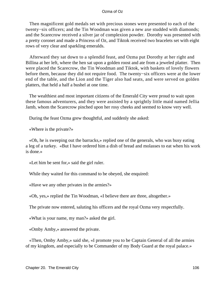Then magnificent gold medals set with precious stones were presented to each of the twenty−six officers; and the Tin Woodman was given a new axe studded with diamonds; and the Scarecrow received a silver jar of complexion powder. Dorothy was presented with a pretty coronet and made a Princess of Oz, and Tiktok received two bracelets set with eight rows of very clear and sparkling emeralds.

 Afterward they sat down to a splendid feast, and Ozma put Dorothy at her right and Billina at her left, where the hen sat upon a golden roost and ate from a jeweled platter. Then were placed the Scarecrow, the Tin Woodman and Tiktok, with baskets of lovely flowers before them, because they did not require food. The twenty−six officers were at the lower end of the table, and the Lion and the Tiger also had seats, and were served on golden platters, that held a half a bushel at one time.

 The wealthiest and most important citizens of the Emerald City were proud to wait upon these famous adventurers, and they were assisted by a sprightly little maid named Jellia Jamb, whom the Scarecrow pinched upon her rosy cheeks and seemed to know very well.

During the feast Ozma grew thoughtful, and suddenly she asked:

«Where is the private?»

 «Oh, he is sweeping out the barracks,» replied one of the generals, who was busy eating a leg of a turkey. «But I have ordered him a dish of bread and molasses to eat when his work is done.»

«Let him be sent for,» said the girl ruler.

While they waited for this command to be obeyed, she enquired:

«Have we any other privates in the armies?»

«Oh, yes,» replied the Tin Woodman, «I believe there are three, altogether.»

The private now entered, saluting his officers and the royal Ozma very respectfully.

«What is your name, my man?» asked the girl.

«Omby Amby,» answered the private.

 «Then, Omby Amby,» said she, «I promote you to be Captain General of all the armies of my kingdom, and especially to be Commander of my Body Guard at the royal palace.»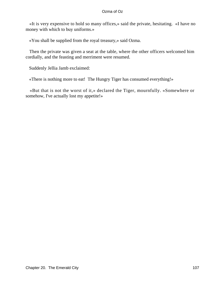«It is very expensive to hold so many offices,» said the private, hesitating. «I have no money with which to buy uniforms.»

«You shall be supplied from the royal treasury,» said Ozma.

 Then the private was given a seat at the table, where the other officers welcomed him cordially, and the feasting and merriment were resumed.

Suddenly Jellia Jamb exclaimed:

«There is nothing more to eat! The Hungry Tiger has consumed everything!»

 «But that is not the worst of it,» declared the Tiger, mournfully. «Somewhere or somehow, I've actually lost my appetite!»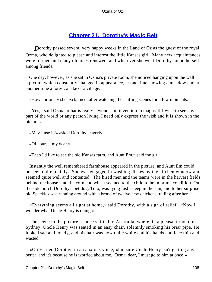### **[Chapter 21. Dorothy's Magic Belt](#page-112-0)**

<span id="page-108-0"></span>**D**orothy passed several very happy weeks in the Land of Oz as the guest of the royal Ozma, who delighted to please and interest the little Kansas girl. Many new acquaintances were formed and many old ones renewed, and wherever she went Dorothy found herself among friends.

 One day, however, as she sat in Ozma's private room, she noticed hanging upon the wall a picture which constantly changed in appearance, at one time showing a meadow and at another time a forest, a lake or a village.

«How curious!» she exclaimed, after watching the shifting scenes for a few moments.

 «Yes,» said Ozma, «that is really a wonderful invention in magic. If I wish to see any part of the world or any person living, I need only express the wish and it is shown in the picture.»

«May I use it?» asked Dorothy, eagerly.

«Of course, my dear.»

«Then I'd like to see the old Kansas farm, and Aunt Em,» said the girl.

 Instantly the well remembered farmhouse appeared in the picture, and Aunt Em could be seen quite plainly. She was engaged in washing dishes by the kitchen window and seemed quite well and contented. The hired men and the teams were in the harvest fields behind the house, and the corn and wheat seemed to the child to be in prime condition. On the side porch Dorothy's pet dog, Toto, was lying fast asleep in the sun, and to her surprise old Speckles was running around with a brood of twelve new chickens trailing after her.

 «Everything seems all right at home,» said Dorothy, with a sigh of relief. «Now I wonder what Uncle Henry is doing.»

 The scene in the picture at once shifted to Australia, where, in a pleasant room in Sydney, Uncle Henry was seated in an easy chair, solemnly smoking his briar pipe. He looked sad and lonely, and his hair was now quite white and his hands and face thin and wasted.

 «Oh!» cried Dorothy, in an anxious voice, «I'm sure Uncle Henry isn't getting any better, and it's because he is worried about me. Ozma, dear, I must go to him at once!»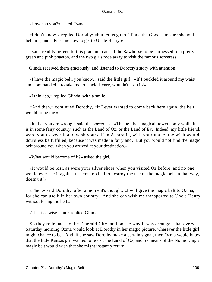«How can you?» asked Ozma.

 «I don't know,» replied Dorothy; «but let us go to Glinda the Good. I'm sure she will help me, and advise me how to get to Uncle Henry.»

 Ozma readily agreed to this plan and caused the Sawhorse to be harnessed to a pretty green and pink phaeton, and the two girls rode away to visit the famous sorceress.

Glinda received them graciously, and listened to Dorothy's story with attention.

 «I have the magic belt, you know,» said the little girl. «If I buckled it around my waist and commanded it to take me to Uncle Henry, wouldn't it do it?»

«I think so,» replied Glinda, with a smile.

 «And then,» continued Dorothy, «if I ever wanted to come back here again, the belt would bring me.»

 «In that you are wrong,» said the sorceress. «The belt has magical powers only while it is in some fairy country, such as the Land of Oz, or the Land of Ev. Indeed, my little friend, were you to wear it and wish yourself in Australia, with your uncle, the wish would doubtless be fulfilled, because it was made in fairyland. But you would not find the magic belt around you when you arrived at your destination.»

«What would become of it?» asked the girl.

 «It would be lost, as were your silver shoes when you visited Oz before, and no one would ever see it again. It seems too bad to destroy the use of the magic belt in that way, doesn't it?»

 «Then,» said Dorothy, after a moment's thought, «I will give the magic belt to Ozma, for she can use it in her own country. And she can wish me transported to Uncle Henry without losing the belt.»

«That is a wise plan,» replied Glinda.

 So they rode back to the Emerald City, and on the way it was arranged that every Saturday morning Ozma would look at Dorothy in her magic picture, wherever the little girl might chance to be. And, if she saw Dorothy make a certain signal, then Ozma would know that the little Kansas girl wanted to revisit the Land of Oz, and by means of the Nome King's magic belt would wish that she might instantly return.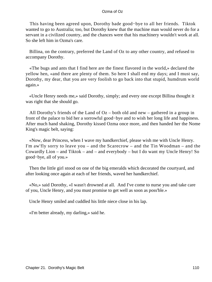This having been agreed upon, Dorothy bade good−bye to all her friends. Tiktok wanted to go to Australia; too, but Dorothy knew that the machine man would never do for a servant in a civilized country, and the chances were that his machinery wouldn't work at all. So she left him in Ozma's care.

 Billina, on the contrary, preferred the Land of Oz to any other country, and refused to accompany Dorothy.

 «The bugs and ants that I find here are the finest flavored in the world,» declared the yellow hen, «and there are plenty of them. So here I shall end my days; and I must say, Dorothy, my dear, that you are very foolish to go back into that stupid, humdrum world again.»

 «Uncle Henry needs me,» said Dorothy, simply; and every one except Billina thought it was right that she should go.

 All Dorothy's friends of the Land of Oz – both old and new – gathered in a group in front of the palace to bid her a sorrowful good−bye and to wish her long life and happiness. After much hand shaking, Dorothy kissed Ozma once more, and then handed her the Nome King's magic belt, saying:

 «Now, dear Princess, when I wave my handkerchief, please wish me with Uncle Henry. I'm aw'fly sorry to leave you – and the Scarecrow – and the Tin Woodman – and the Cowardly Lion – and Tiktok – and – and everybody – but I do want my Uncle Henry! So good−bye, all of you.»

 Then the little girl stood on one of the big emeralds which decorated the courtyard, and after looking once again at each of her friends, waved her handkerchief.

 «No,» said Dorothy, «I wasn't drowned at all. And I've come to nurse you and take care of you, Uncle Henry, and you must promise to get well as soon as poss'ble.»

Uncle Henry smiled and cuddled his little niece close in his lap.

«I'm better already, my darling,» said he.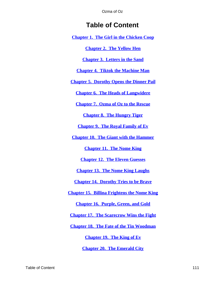# **Table of Content**

**[Chapter 1. The Girl in the Chicken Coop](#page-3-0)**

**[Chapter 2. The Yellow Hen](#page-7-0)**

**[Chapter 3. Letters in the Sand](#page-13-0)**

**[Chapter 4. Tiktok the Machine Man](#page-18-0)**

**[Chapter 5. Dorothy Opens the Dinner Pail](#page-24-0)**

**[Chapter 6. The Heads of Langwidere](#page-30-0)**

**[Chapter 7. Ozma of Oz to the Rescue](#page-40-0)**

**[Chapter 8. The Hungry Tiger](#page-46-0)**

**[Chapter 9. The Royal Family of Ev](#page-51-0)**

**[Chapter 10. The Giant with the Hammer](#page-56-0)**

**[Chapter 11. The Nome King](#page-62-0)**

**[Chapter 12. The Eleven Guesses](#page-70-0)**

**[Chapter 13. The Nome King Laughs](#page-73-0)**

**[Chapter 14. Dorothy Tries to be Brave](#page-77-0)**

**[Chapter 15. Billina Frightens the Nome King](#page-83-0)**

**[Chapter 16. Purple, Green, and Gold](#page-88-0)**

**[Chapter 17. The Scarecrow Wins the Fight](#page-92-0)**

**[Chapter 18. The Fate of the Tin Woodman](#page-96-0)**

**[Chapter 19. The King of Ev](#page-101-0)**

**[Chapter 20. The Emerald City](#page-104-0)**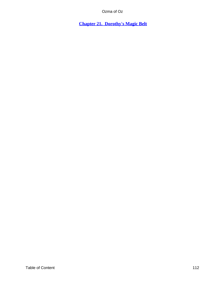<span id="page-112-0"></span>**[Chapter 21. Dorothy's Magic Belt](#page-108-0)**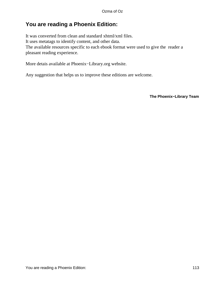# **You are reading a Phoenix Edition:**

It was converted from clean and standard xhtml/xml files. It uses metatags to identify content, and other data. The available resources specific to each ebook format were used to give the reader a pleasant reading experience.

More detais available at Phoenix−Library.org website.

Any suggestion that helps us to improve these editions are welcome.

**The Phoenix−Library Team**